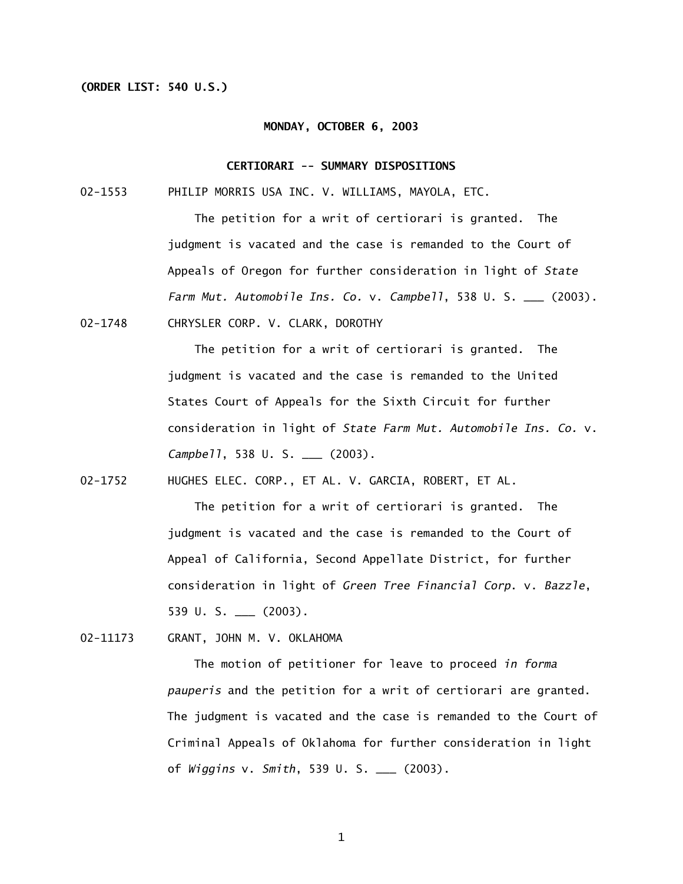# **(ORDER LIST: 540 U.S.)**

#### **MONDAY, OCTOBER 6, 2003**

### **CERTIORARI -- SUMMARY DISPOSITIONS**

02-1553 PHILIP MORRIS USA INC. V. WILLIAMS, MAYOLA, ETC.

The petition for a writ of certiorari is granted. The judgment is vacated and the case is remanded to the Court of Appeals of Oregon for further consideration in light of *State Farm Mut. Automobile Ins. Co.* v. *Campbell*, 538 U. S. \_\_\_ (2003).

02-1748 CHRYSLER CORP. V. CLARK, DOROTHY

The petition for a writ of certiorari is granted. The judgment is vacated and the case is remanded to the United States Court of Appeals for the Sixth Circuit for further consideration in light of *State Farm Mut. Automobile Ins. Co.* v. *Campbell*, 538 U. S. \_\_\_ (2003).

02-1752 HUGHES ELEC. CORP., ET AL. V. GARCIA, ROBERT, ET AL.

The petition for a writ of certiorari is granted. The judgment is vacated and the case is remanded to the Court of Appeal of California, Second Appellate District, for further consideration in light of *Green Tree Financial Corp*. v. *Bazzle*, 539 U. S. \_\_\_ (2003).

02-11173 GRANT, JOHN M. V. OKLAHOMA

The motion of petitioner for leave to proceed *in forma pauperis* and the petition for a writ of certiorari are granted. The judgment is vacated and the case is remanded to the Court of Criminal Appeals of Oklahoma for further consideration in light of *Wiggins* v. *Smith*, 539 U. S. \_\_\_ (2003).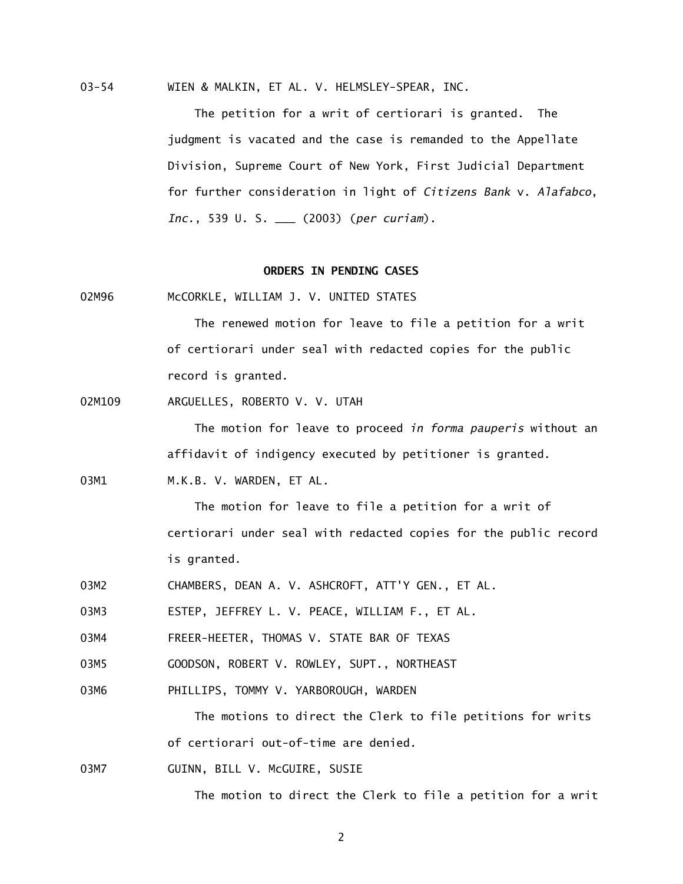03-54 WIEN & MALKIN, ET AL. V. HELMSLEY-SPEAR, INC.

The petition for a writ of certiorari is granted. The judgment is vacated and the case is remanded to the Appellate Division, Supreme Court of New York, First Judicial Department for further consideration in light of *Citizens Bank* v. *Alafabco*, *Inc.*, 539 U. S. \_\_\_ (2003) (*per curiam*).

## **ORDERS IN PENDING CASES**

02M96 McCORKLE, WILLIAM J. V. UNITED STATES

The renewed motion for leave to file a petition for a writ of certiorari under seal with redacted copies for the public record is granted.

02M109 ARGUELLES, ROBERTO V. V. UTAH

The motion for leave to proceed *in forma pauperis* without an affidavit of indigency executed by petitioner is granted.

03M1 M.K.B. V. WARDEN. ET AL.

The motion for leave to file a petition for a writ of certiorari under seal with redacted copies for the public record is granted.

03M2 CHAMBERS, DEAN A. V. ASHCROFT, ATT'Y GEN., ET AL.

03M3 ESTEP, JEFFREY L. V. PEACE, WILLIAM F., ET AL.

03M4 FREER-HEETER, THOMAS V. STATE BAR OF TEXAS

03M5 GOODSON, ROBERT V. ROWLEY, SUPT., NORTHEAST

03M6 PHILLIPS, TOMMY V. YARBOROUGH, WARDEN

The motions to direct the Clerk to file petitions for writs of certiorari out-of-time are denied.

03M7 GUINN, BILL V. McGUIRE, SUSIE

The motion to direct the Clerk to file a petition for a writ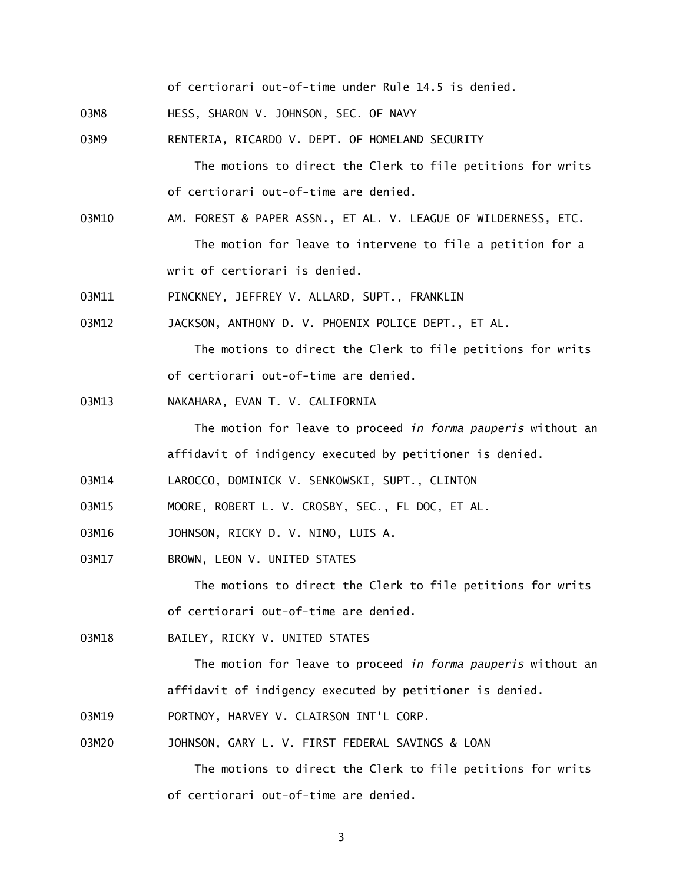of certiorari out-of-time under Rule 14.5 is denied.

- 03M8 HESS, SHARON V. JOHNSON, SEC. OF NAVY
- 03M9 RENTERIA, RICARDO V. DEPT. OF HOMELAND SECURITY

The motions to direct the Clerk to file petitions for writs of certiorari out-of-time are denied.

- 03M10 AM. FOREST & PAPER ASSN., ET AL. V. LEAGUE OF WILDERNESS, ETC. The motion for leave to intervene to file a petition for a writ of certiorari is denied.
- 03M11 PINCKNEY, JEFFREY V. ALLARD, SUPT., FRANKLIN

03M12 JACKSON, ANTHONY D. V. PHOENIX POLICE DEPT., ET AL.

The motions to direct the Clerk to file petitions for writs of certiorari out-of-time are denied.

03M13 NAKAHARA, EVAN T. V. CALIFORNIA

The motion for leave to proceed *in forma pauperis* without an affidavit of indigency executed by petitioner is denied.

- 03M14 LAROCCO, DOMINICK V. SENKOWSKI, SUPT., CLINTON
- 03M15 MOORE, ROBERT L. V. CROSBY, SEC., FL DOC, ET AL.
- 03M16 JOHNSON, RICKY D. V. NINO, LUIS A.
- 03M17 BROWN, LEON V. UNITED STATES

The motions to direct the Clerk to file petitions for writs of certiorari out-of-time are denied.

03M18 BAILEY, RICKY V. UNITED STATES

The motion for leave to proceed *in forma pauperis* without an affidavit of indigency executed by petitioner is denied.

- 03M19 PORTNOY, HARVEY V. CLAIRSON INT'L CORP.
- 03M20 JOHNSON, GARY L. V. FIRST FEDERAL SAVINGS & LOAN

The motions to direct the Clerk to file petitions for writs of certiorari out-of-time are denied.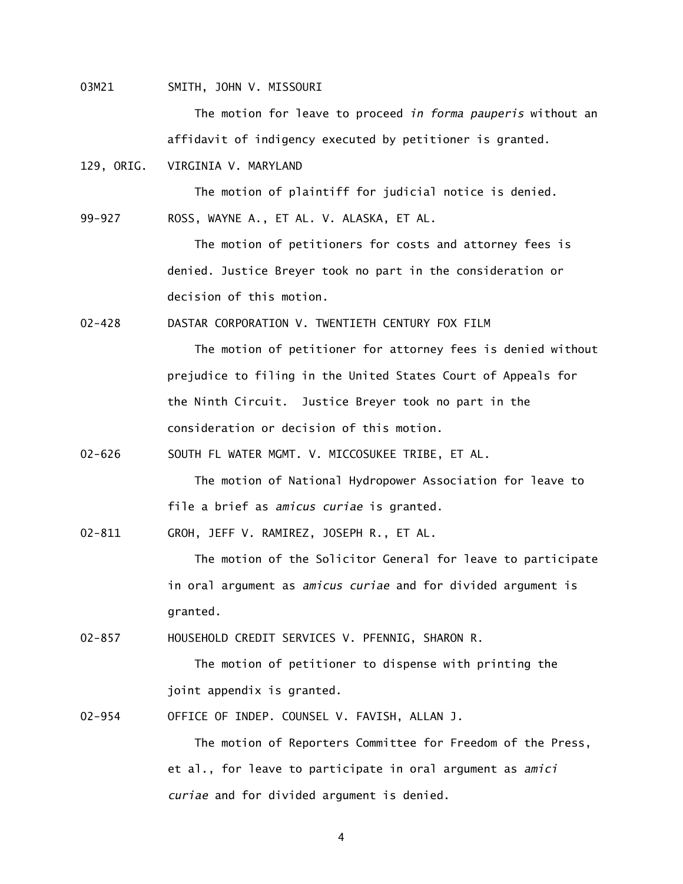03M21 SMITH, JOHN V. MISSOURI

The motion for leave to proceed *in forma pauperis* without an affidavit of indigency executed by petitioner is granted.

129, ORIG. VIRGINIA V. MARYLAND

The motion of plaintiff for judicial notice is denied.

99-927 ROSS, WAYNE A., ET AL. V. ALASKA, ET AL.

The motion of petitioners for costs and attorney fees is denied. Justice Breyer took no part in the consideration or decision of this motion.

02-428 DASTAR CORPORATION V. TWENTIETH CENTURY FOX FILM

The motion of petitioner for attorney fees is denied without prejudice to filing in the United States Court of Appeals for the Ninth Circuit. Justice Breyer took no part in the consideration or decision of this motion.

02-626 SOUTH FL WATER MGMT. V. MICCOSUKEE TRIBE, ET AL.

The motion of National Hydropower Association for leave to file a brief as *amicus curiae* is granted.

02-811 GROH, JEFF V. RAMIREZ, JOSEPH R., ET AL.

The motion of the Solicitor General for leave to participate in oral argument as *amicus curiae* and for divided argument is granted.

02-857 HOUSEHOLD CREDIT SERVICES V. PFENNIG, SHARON R.

The motion of petitioner to dispense with printing the joint appendix is granted.

02-954 OFFICE OF INDEP. COUNSEL V. FAVISH, ALLAN J.

The motion of Reporters Committee for Freedom of the Press, et al., for leave to participate in oral argument as *amici curiae* and for divided argument is denied.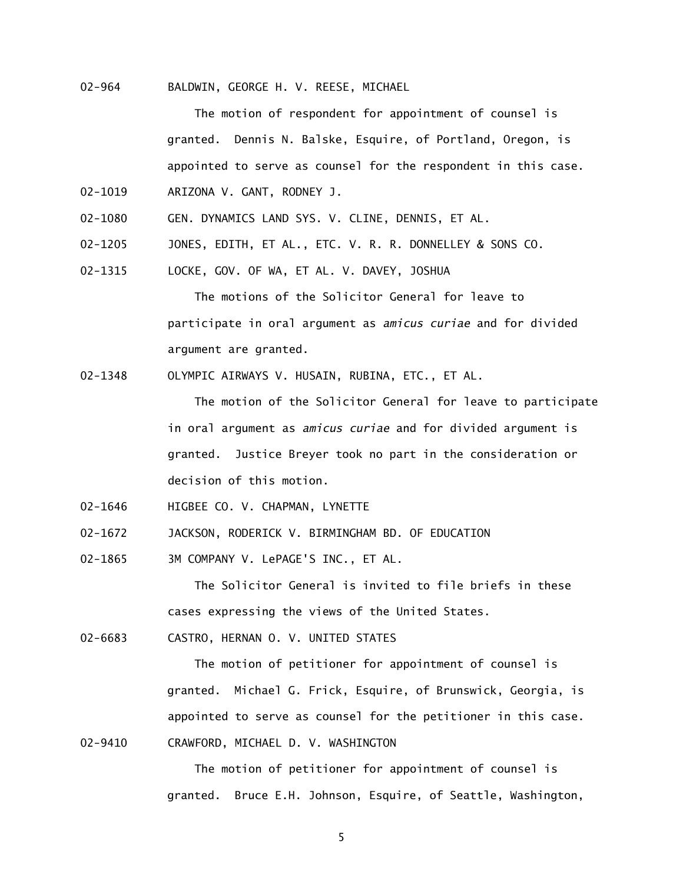02-964 BALDWIN, GEORGE H. V. REESE, MICHAEL

The motion of respondent for appointment of counsel is granted. Dennis N. Balske, Esquire, of Portland, Oregon, is appointed to serve as counsel for the respondent in this case. 02-1019 ARIZONA V. GANT, RODNEY J.

- 02-1080 GEN. DYNAMICS LAND SYS. V. CLINE, DENNIS, ET AL.
- 02-1205 JONES, EDITH, ET AL., ETC. V. R. R. DONNELLEY & SONS CO.
- 02-1315 LOCKE, GOV. OF WA, ET AL. V. DAVEY, JOSHUA

The motions of the Solicitor General for leave to participate in oral argument as *amicus curiae* and for divided argument are granted.

02-1348 OLYMPIC AIRWAYS V. HUSAIN, RUBINA, ETC., ET AL.

The motion of the Solicitor General for leave to participate in oral argument as *amicus curiae* and for divided argument is granted. Justice Breyer took no part in the consideration or decision of this motion.

- 02-1646 HIGBEE CO. V. CHAPMAN, LYNETTE
- 02-1672 JACKSON, RODERICK V. BIRMINGHAM BD. OF EDUCATION
- 02-1865 3M COMPANY V. LePAGE'S INC., ET AL.

The Solicitor General is invited to file briefs in these cases expressing the views of the United States.

02-6683 CASTRO, HERNAN O. V. UNITED STATES

The motion of petitioner for appointment of counsel is granted. Michael G. Frick, Esquire, of Brunswick, Georgia, is appointed to serve as counsel for the petitioner in this case. 02-9410 CRAWFORD, MICHAEL D. V. WASHINGTON

> The motion of petitioner for appointment of counsel is granted. Bruce E.H. Johnson, Esquire, of Seattle, Washington,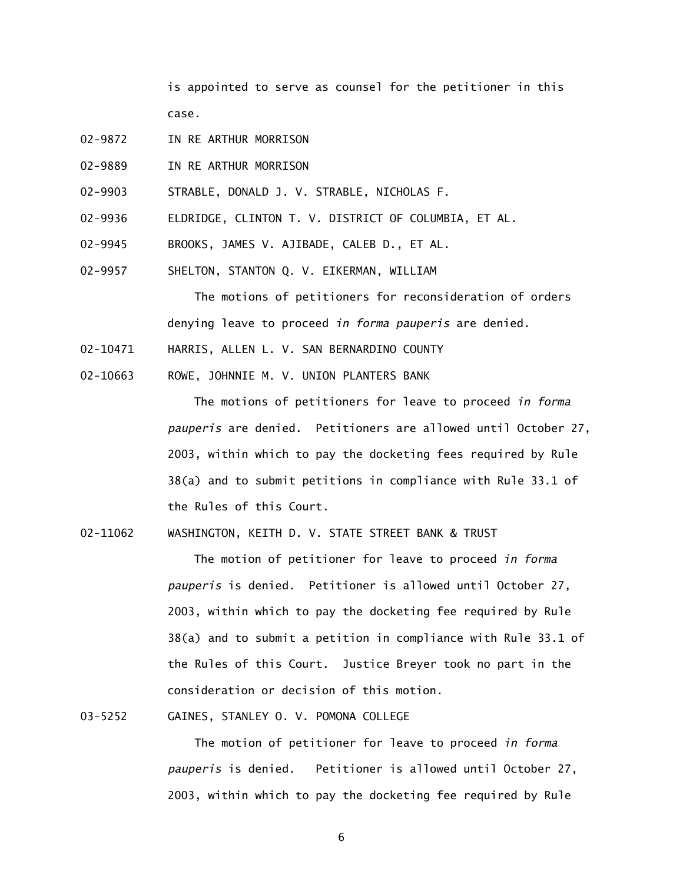is appointed to serve as counsel for the petitioner in this case.

- 02-9872 IN RE ARTHUR MORRISON
- 02-9889 IN RE ARTHUR MORRISON
- 02-9903 STRABLE, DONALD J. V. STRABLE, NICHOLAS F.
- 02-9936 ELDRIDGE, CLINTON T. V. DISTRICT OF COLUMBIA, ET AL.
- 02-9945 BROOKS, JAMES V. AJIBADE, CALEB D., ET AL.
- 02-9957 SHELTON, STANTON Q. V. EIKERMAN, WILLIAM

The motions of petitioners for reconsideration of orders denying leave to proceed *in forma pauperis* are denied.

- 02-10471 HARRIS, ALLEN L. V. SAN BERNARDINO COUNTY
- 02-10663 ROWE, JOHNNIE M. V. UNION PLANTERS BANK

The motions of petitioners for leave to proceed *in forma pauperis* are denied. Petitioners are allowed until October 27, 2003, within which to pay the docketing fees required by Rule 38(a) and to submit petitions in compliance with Rule 33.1 of the Rules of this Court.

02-11062 WASHINGTON, KEITH D. V. STATE STREET BANK & TRUST

The motion of petitioner for leave to proceed *in forma pauperis* is denied. Petitioner is allowed until October 27, 2003, within which to pay the docketing fee required by Rule 38(a) and to submit a petition in compliance with Rule 33.1 of the Rules of this Court. Justice Breyer took no part in the consideration or decision of this motion.

03-5252 GAINES, STANLEY O. V. POMONA COLLEGE

The motion of petitioner for leave to proceed *in forma pauperis* is denied. Petitioner is allowed until October 27, 2003, within which to pay the docketing fee required by Rule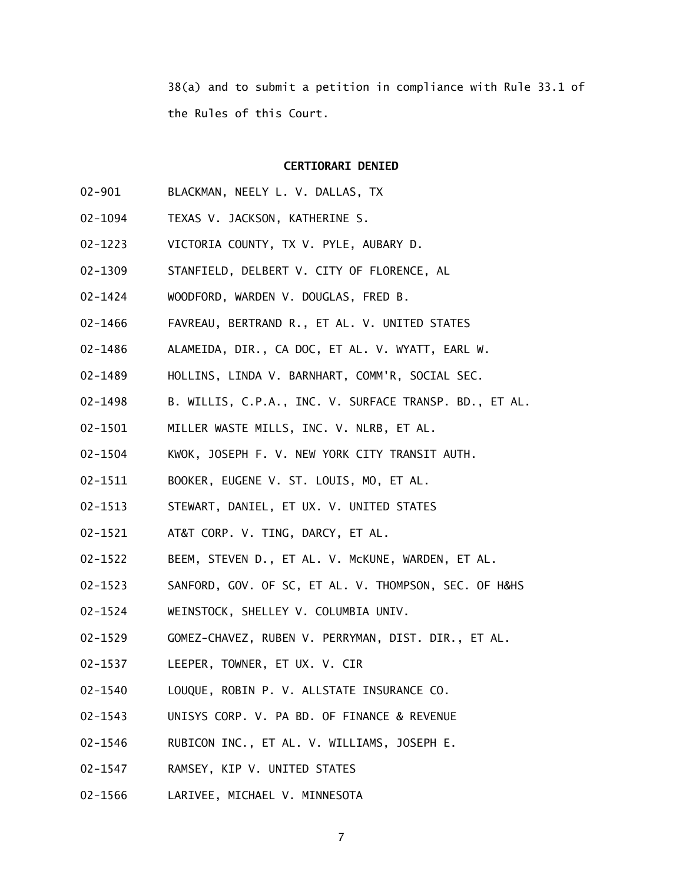38(a) and to submit a petition in compliance with Rule 33.1 of the Rules of this Court.

### **CERTIORARI DENIED**

- 02-901 BLACKMAN, NEELY L. V. DALLAS, TX
- 02-1094 TEXAS V. JACKSON, KATHERINE S.
- 02-1223 VICTORIA COUNTY, TX V. PYLE, AUBARY D.
- 02-1309 STANFIELD, DELBERT V. CITY OF FLORENCE, AL
- 02-1424 WOODFORD, WARDEN V. DOUGLAS, FRED B.
- 02-1466 FAVREAU, BERTRAND R., ET AL. V. UNITED STATES
- 02-1486 ALAMEIDA, DIR., CA DOC, ET AL. V. WYATT, EARL W.
- 02-1489 HOLLINS, LINDA V. BARNHART, COMM'R, SOCIAL SEC.
- 02-1498 B. WILLIS, C.P.A., INC. V. SURFACE TRANSP. BD., ET AL.
- 02-1501 MILLER WASTE MILLS, INC. V. NLRB, ET AL.
- 02-1504 KWOK, JOSEPH F. V. NEW YORK CITY TRANSIT AUTH.
- 02-1511 BOOKER, EUGENE V. ST. LOUIS, MO, ET AL.
- 02-1513 STEWART, DANIEL, ET UX. V. UNITED STATES
- 02-1521 AT&T CORP. V. TING, DARCY, ET AL.
- 02-1522 BEEM, STEVEN D., ET AL. V. McKUNE, WARDEN, ET AL.
- 02-1523 SANFORD, GOV. OF SC, ET AL. V. THOMPSON, SEC. OF H&HS
- 02-1524 WEINSTOCK, SHELLEY V. COLUMBIA UNIV.
- 02-1529 GOMEZ-CHAVEZ, RUBEN V. PERRYMAN, DIST. DIR., ET AL.
- 02-1537 LEEPER, TOWNER, ET UX. V. CIR
- 02-1540 LOUQUE, ROBIN P. V. ALLSTATE INSURANCE CO.
- 02-1543 UNISYS CORP. V. PA BD. OF FINANCE & REVENUE
- 02-1546 RUBICON INC., ET AL. V. WILLIAMS, JOSEPH E.
- 02-1547 RAMSEY, KIP V. UNITED STATES
- 02-1566 LARIVEE, MICHAEL V. MINNESOTA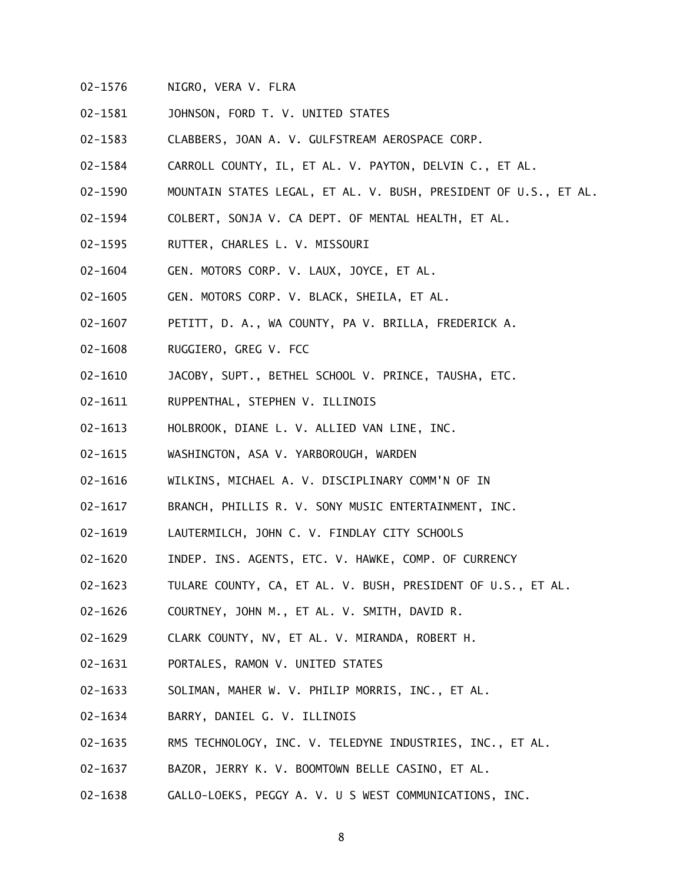- 02-1576 NIGRO, VERA V. FLRA
- 02-1581 JOHNSON, FORD T. V. UNITED STATES
- 02-1583 CLABBERS, JOAN A. V. GULFSTREAM AEROSPACE CORP.
- 02-1584 CARROLL COUNTY, IL, ET AL. V. PAYTON, DELVIN C., ET AL.
- 02-1590 MOUNTAIN STATES LEGAL, ET AL. V. BUSH, PRESIDENT OF U.S., ET AL.
- 02-1594 COLBERT, SONJA V. CA DEPT. OF MENTAL HEALTH, ET AL.
- 02-1595 RUTTER, CHARLES L. V. MISSOURI
- 02-1604 GEN. MOTORS CORP. V. LAUX, JOYCE, ET AL.
- 02-1605 GEN. MOTORS CORP. V. BLACK, SHEILA, ET AL.
- 02-1607 PETITT, D. A., WA COUNTY, PA V. BRILLA, FREDERICK A.
- 02-1608 RUGGIERO, GREG V. FCC
- 02-1610 JACOBY, SUPT., BETHEL SCHOOL V. PRINCE, TAUSHA, ETC.
- 02-1611 RUPPENTHAL, STEPHEN V. ILLINOIS
- 02-1613 HOLBROOK, DIANE L. V. ALLIED VAN LINE, INC.
- 02-1615 WASHINGTON, ASA V. YARBOROUGH, WARDEN
- 02-1616 WILKINS, MICHAEL A. V. DISCIPLINARY COMM'N OF IN
- 02-1617 BRANCH, PHILLIS R. V. SONY MUSIC ENTERTAINMENT, INC.
- 02-1619 LAUTERMILCH, JOHN C. V. FINDLAY CITY SCHOOLS
- 02-1620 INDEP. INS. AGENTS, ETC. V. HAWKE, COMP. OF CURRENCY
- 02-1623 TULARE COUNTY, CA, ET AL. V. BUSH, PRESIDENT OF U.S., ET AL.
- 02-1626 COURTNEY, JOHN M., ET AL. V. SMITH, DAVID R.
- 02-1629 CLARK COUNTY, NV, ET AL. V. MIRANDA, ROBERT H.
- 02-1631 PORTALES, RAMON V. UNITED STATES
- 02-1633 SOLIMAN, MAHER W. V. PHILIP MORRIS, INC., ET AL.
- 02-1634 BARRY, DANIEL G. V. ILLINOIS
- 02-1635 RMS TECHNOLOGY, INC. V. TELEDYNE INDUSTRIES, INC., ET AL.
- 02-1637 BAZOR, JERRY K. V. BOOMTOWN BELLE CASINO, ET AL.
- 02-1638 GALLO-LOEKS, PEGGY A. V. U S WEST COMMUNICATIONS, INC.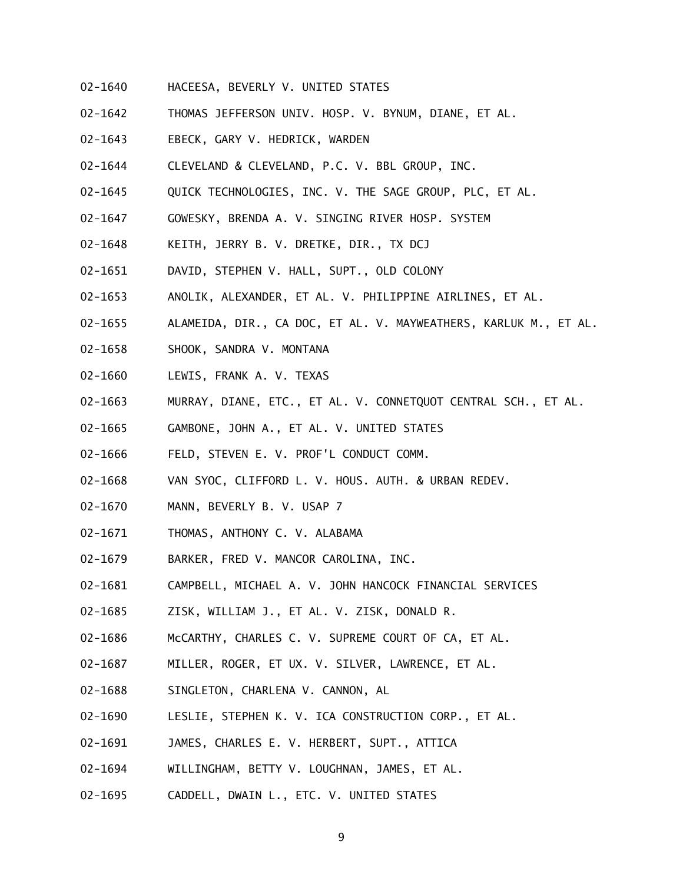- 02-1640 HACEESA, BEVERLY V. UNITED STATES
- 02-1642 THOMAS JEFFERSON UNIV. HOSP. V. BYNUM, DIANE, ET AL.
- 02-1643 EBECK, GARY V. HEDRICK, WARDEN
- 02-1644 CLEVELAND & CLEVELAND, P.C. V. BBL GROUP, INC.
- 02-1645 QUICK TECHNOLOGIES, INC. V. THE SAGE GROUP, PLC, ET AL.
- 02-1647 GOWESKY, BRENDA A. V. SINGING RIVER HOSP. SYSTEM
- 02-1648 KEITH, JERRY B. V. DRETKE, DIR., TX DCJ
- 02-1651 DAVID, STEPHEN V. HALL, SUPT., OLD COLONY
- 02-1653 ANOLIK, ALEXANDER, ET AL. V. PHILIPPINE AIRLINES, ET AL.
- 02-1655 ALAMEIDA, DIR., CA DOC, ET AL. V. MAYWEATHERS, KARLUK M., ET AL.
- 02-1658 SHOOK, SANDRA V. MONTANA
- 02-1660 LEWIS, FRANK A. V. TEXAS
- 02-1663 MURRAY, DIANE, ETC., ET AL. V. CONNETQUOT CENTRAL SCH., ET AL.
- 02-1665 GAMBONE, JOHN A., ET AL. V. UNITED STATES
- 02-1666 FELD, STEVEN E. V. PROF'L CONDUCT COMM.
- 02-1668 VAN SYOC, CLIFFORD L. V. HOUS. AUTH. & URBAN REDEV.
- 02-1670 MANN, BEVERLY B. V. USAP 7
- 02-1671 THOMAS, ANTHONY C. V. ALABAMA
- 02-1679 BARKER, FRED V. MANCOR CAROLINA, INC.
- 02-1681 CAMPBELL, MICHAEL A. V. JOHN HANCOCK FINANCIAL SERVICES
- 02-1685 ZISK, WILLIAM J., ET AL. V. ZISK, DONALD R.
- 02-1686 McCARTHY, CHARLES C. V. SUPREME COURT OF CA, ET AL.
- 02-1687 MILLER, ROGER, ET UX. V. SILVER, LAWRENCE, ET AL.
- 02-1688 SINGLETON, CHARLENA V. CANNON, AL
- 02-1690 LESLIE, STEPHEN K. V. ICA CONSTRUCTION CORP., ET AL.
- 02-1691 JAMES, CHARLES E. V. HERBERT, SUPT., ATTICA
- 02-1694 WILLINGHAM, BETTY V. LOUGHNAN, JAMES, ET AL.
- 02-1695 CADDELL, DWAIN L., ETC. V. UNITED STATES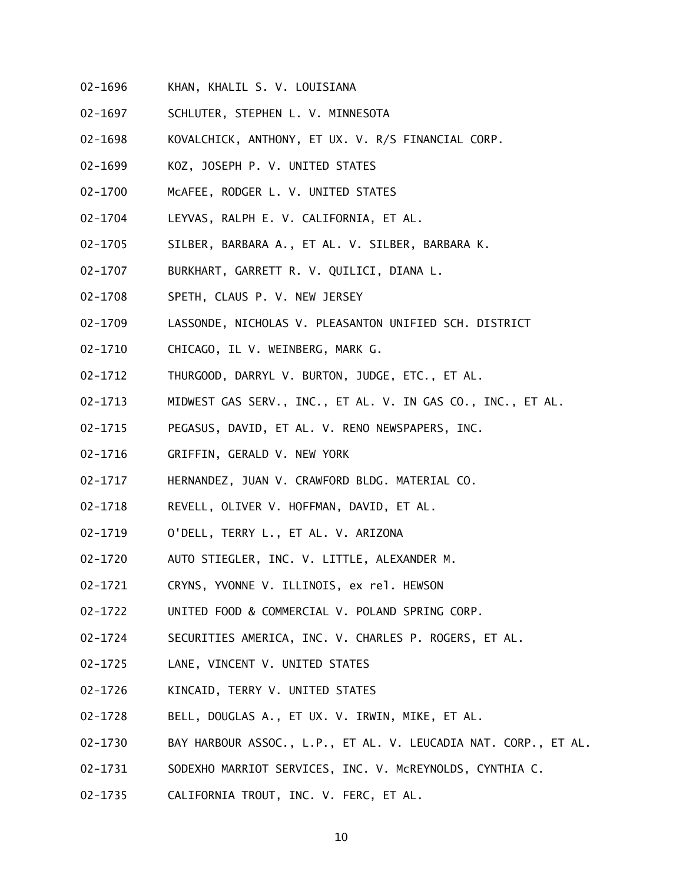- 02-1696 KHAN, KHALIL S. V. LOUISIANA
- 02-1697 SCHLUTER, STEPHEN L. V. MINNESOTA
- 02-1698 KOVALCHICK, ANTHONY, ET UX. V. R/S FINANCIAL CORP.
- 02-1699 KOZ, JOSEPH P. V. UNITED STATES
- 02-1700 McAFEE, RODGER L. V. UNITED STATES
- 02-1704 LEYVAS, RALPH E. V. CALIFORNIA, ET AL.
- 02-1705 SILBER, BARBARA A., ET AL. V. SILBER, BARBARA K.
- 02-1707 BURKHART, GARRETT R. V. QUILICI, DIANA L.
- 02-1708 SPETH, CLAUS P. V. NEW JERSEY
- 02-1709 LASSONDE, NICHOLAS V. PLEASANTON UNIFIED SCH. DISTRICT
- 02-1710 CHICAGO, IL V. WEINBERG, MARK G.
- 02-1712 THURGOOD, DARRYL V. BURTON, JUDGE, ETC., ET AL.
- 02-1713 MIDWEST GAS SERV., INC., ET AL. V. IN GAS CO., INC., ET AL.
- 02-1715 PEGASUS, DAVID, ET AL. V. RENO NEWSPAPERS, INC.
- 02-1716 GRIFFIN, GERALD V. NEW YORK
- 02-1717 HERNANDEZ, JUAN V. CRAWFORD BLDG. MATERIAL CO.
- 02-1718 REVELL, OLIVER V. HOFFMAN, DAVID, ET AL.
- 02-1719 O'DELL, TERRY L., ET AL. V. ARIZONA
- 02-1720 AUTO STIEGLER, INC. V. LITTLE, ALEXANDER M.
- 02-1721 CRYNS, YVONNE V. ILLINOIS, ex rel. HEWSON
- 02-1722 UNITED FOOD & COMMERCIAL V. POLAND SPRING CORP.
- 02-1724 SECURITIES AMERICA, INC. V. CHARLES P. ROGERS, ET AL.
- 02-1725 LANE, VINCENT V. UNITED STATES
- 02-1726 KINCAID, TERRY V. UNITED STATES
- 02-1728 BELL, DOUGLAS A., ET UX. V. IRWIN, MIKE, ET AL.
- 02-1730 BAY HARBOUR ASSOC., L.P., ET AL. V. LEUCADIA NAT. CORP., ET AL.
- 02-1731 SODEXHO MARRIOT SERVICES, INC. V. McREYNOLDS, CYNTHIA C.
- 02-1735 CALIFORNIA TROUT, INC. V. FERC, ET AL.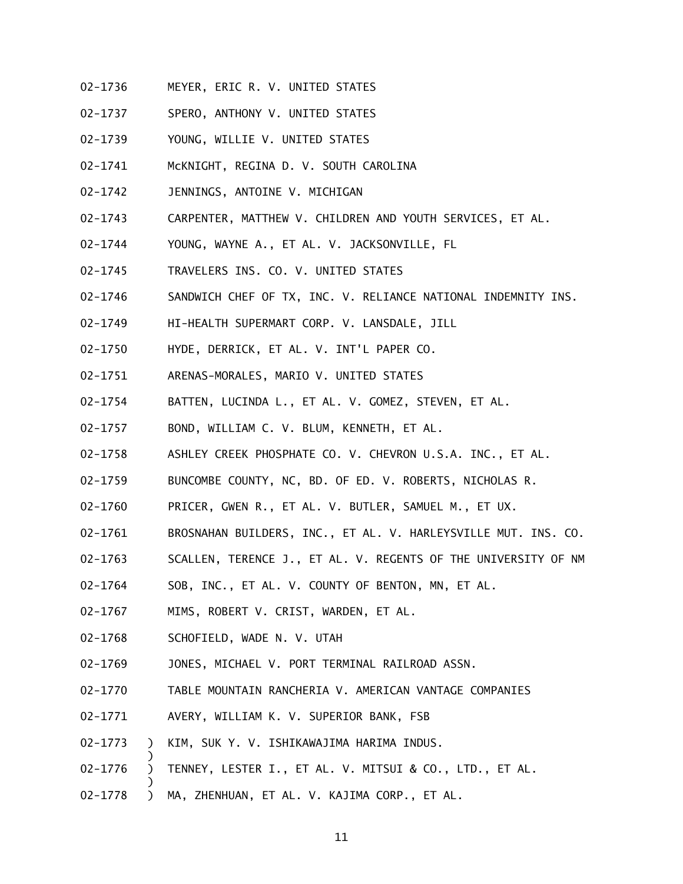- 02-1736 MEYER, ERIC R. V. UNITED STATES
- 02-1737 SPERO, ANTHONY V. UNITED STATES
- 02-1739 YOUNG, WILLIE V. UNITED STATES
- 02-1741 McKNIGHT, REGINA D. V. SOUTH CAROLINA
- 02-1742 JENNINGS, ANTOINE V. MICHIGAN
- 02-1743 CARPENTER, MATTHEW V. CHILDREN AND YOUTH SERVICES, ET AL.
- 02-1744 YOUNG, WAYNE A., ET AL. V. JACKSONVILLE, FL
- 02-1745 TRAVELERS INS. CO. V. UNITED STATES
- 02-1746 SANDWICH CHEF OF TX, INC. V. RELIANCE NATIONAL INDEMNITY INS.
- 02-1749 HI-HEALTH SUPERMART CORP. V. LANSDALE, JILL
- 02-1750 HYDE, DERRICK, ET AL. V. INT'L PAPER CO.
- 02-1751 ARENAS-MORALES, MARIO V. UNITED STATES
- 02-1754 BATTEN, LUCINDA L., ET AL. V. GOMEZ, STEVEN, ET AL.
- 02-1757 BOND, WILLIAM C. V. BLUM, KENNETH, ET AL.
- 02-1758 ASHLEY CREEK PHOSPHATE CO. V. CHEVRON U.S.A. INC., ET AL.
- 02-1759 BUNCOMBE COUNTY, NC, BD. OF ED. V. ROBERTS, NICHOLAS R.
- 02-1760 PRICER, GWEN R., ET AL. V. BUTLER, SAMUEL M., ET UX.
- 02-1761 BROSNAHAN BUILDERS, INC., ET AL. V. HARLEYSVILLE MUT. INS. CO.
- 02-1763 SCALLEN, TERENCE J., ET AL. V. REGENTS OF THE UNIVERSITY OF NM
- 02-1764 SOB, INC., ET AL. V. COUNTY OF BENTON, MN, ET AL.
- 02-1767 MIMS, ROBERT V. CRIST, WARDEN, ET AL.
- 02-1768 SCHOFIELD, WADE N. V. UTAH

)

- 02-1769 JONES, MICHAEL V. PORT TERMINAL RAILROAD ASSN.
- 02-1770 TABLE MOUNTAIN RANCHERIA V. AMERICAN VANTAGE COMPANIES
- 02-1771 AVERY, WILLIAM K. V. SUPERIOR BANK, FSB
- 02-1773 ) KIM, SUK Y. V. ISHIKAWAJIMA HARIMA INDUS.
- 02-1776 ) TENNEY, LESTER I., ET AL. V. MITSUI & CO., LTD., ET AL.
- 02-1778 ) MA, ZHENHUAN, ET AL. V. KAJIMA CORP., ET AL.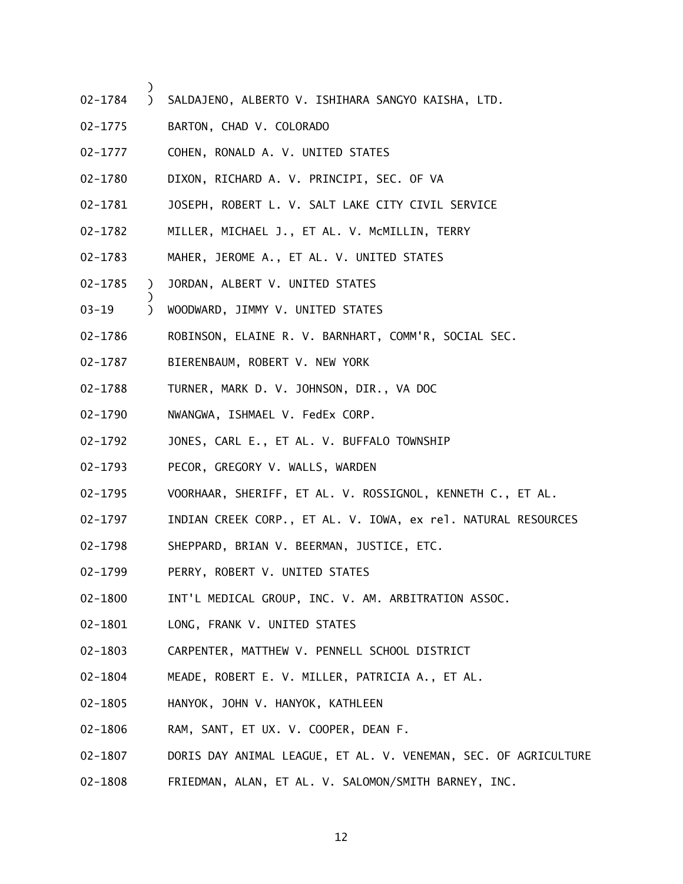- 02-1784 ) SALDAJENO, ALBERTO V. ISHIHARA SANGYO KAISHA, LTD.
- 02-1775 BARTON, CHAD V. COLORADO

- 02-1777 COHEN, RONALD A. V. UNITED STATES
- 02-1780 DIXON, RICHARD A. V. PRINCIPI, SEC. OF VA
- 02-1781 JOSEPH, ROBERT L. V. SALT LAKE CITY CIVIL SERVICE
- 02-1782 MILLER, MICHAEL J., ET AL. V. McMILLIN, TERRY
- 02-1783 MAHER, JEROME A., ET AL. V. UNITED STATES
- 02-1785 ) JORDAN, ALBERT V. UNITED STATES
- 03-19 ) WOODWARD, JIMMY V. UNITED STATES
- 02-1786 ROBINSON, ELAINE R. V. BARNHART, COMM'R, SOCIAL SEC.
- 02-1787 BIERENBAUM, ROBERT V. NEW YORK
- 02-1788 TURNER, MARK D. V. JOHNSON, DIR., VA DOC
- 02-1790 NWANGWA, ISHMAEL V. FedEx CORP.
- 02-1792 JONES, CARL E., ET AL. V. BUFFALO TOWNSHIP
- 02-1793 PECOR, GREGORY V. WALLS, WARDEN
- 02-1795 VOORHAAR, SHERIFF, ET AL. V. ROSSIGNOL, KENNETH C., ET AL.
- 02-1797 INDIAN CREEK CORP., ET AL. V. IOWA, ex rel. NATURAL RESOURCES
- 02-1798 SHEPPARD, BRIAN V. BEERMAN, JUSTICE, ETC.
- 02-1799 PERRY, ROBERT V. UNITED STATES
- 02-1800 INT'L MEDICAL GROUP, INC. V. AM. ARBITRATION ASSOC.
- 02-1801 LONG, FRANK V. UNITED STATES
- 02-1803 CARPENTER, MATTHEW V. PENNELL SCHOOL DISTRICT
- 02-1804 MEADE, ROBERT E. V. MILLER, PATRICIA A., ET AL.
- 02-1805 HANYOK, JOHN V. HANYOK, KATHLEEN
- 02-1806 RAM, SANT, ET UX. V. COOPER, DEAN F.
- 02-1807 DORIS DAY ANIMAL LEAGUE, ET AL. V. VENEMAN, SEC. OF AGRICULTURE
- 02-1808 FRIEDMAN, ALAN, ET AL. V. SALOMON/SMITH BARNEY, INC.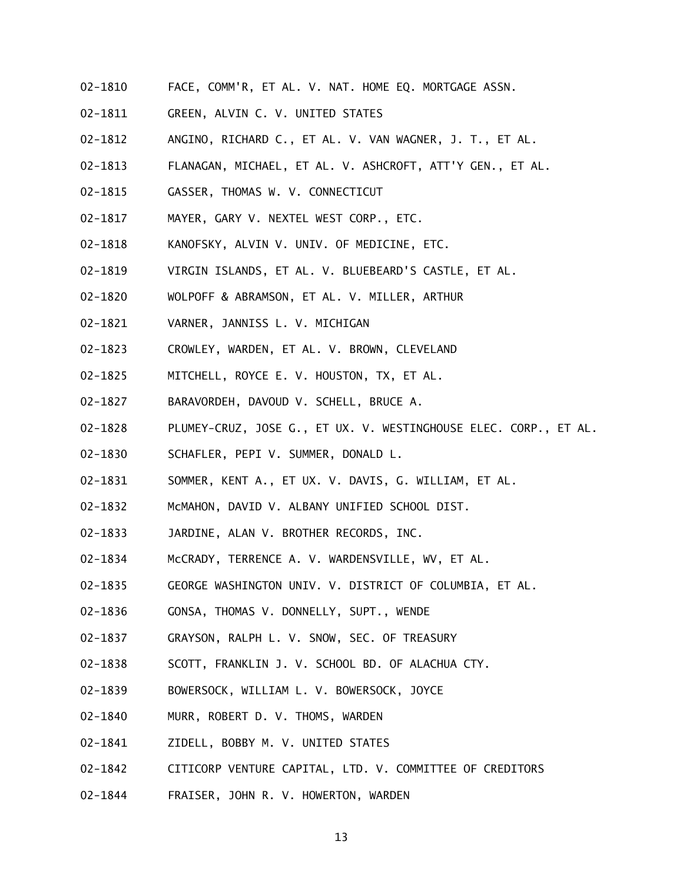- 02-1810 FACE, COMM'R, ET AL. V. NAT. HOME EQ. MORTGAGE ASSN.
- 02-1811 GREEN, ALVIN C. V. UNITED STATES
- 02-1812 ANGINO, RICHARD C., ET AL. V. VAN WAGNER, J. T., ET AL.
- 02-1813 FLANAGAN, MICHAEL, ET AL. V. ASHCROFT, ATT'Y GEN., ET AL.
- 02-1815 GASSER, THOMAS W. V. CONNECTICUT
- 02-1817 MAYER, GARY V. NEXTEL WEST CORP., ETC.
- 02-1818 KANOFSKY, ALVIN V. UNIV. OF MEDICINE, ETC.
- 02-1819 VIRGIN ISLANDS, ET AL. V. BLUEBEARD'S CASTLE, ET AL.
- 02-1820 WOLPOFF & ABRAMSON, ET AL. V. MILLER, ARTHUR
- 02-1821 VARNER, JANNISS L. V. MICHIGAN
- 02-1823 CROWLEY, WARDEN, ET AL. V. BROWN, CLEVELAND
- 02-1825 MITCHELL, ROYCE E. V. HOUSTON, TX, ET AL.
- 02-1827 BARAVORDEH, DAVOUD V. SCHELL, BRUCE A.
- 02-1828 PLUMEY-CRUZ, JOSE G., ET UX. V. WESTINGHOUSE ELEC. CORP., ET AL.
- 02-1830 SCHAFLER, PEPI V. SUMMER, DONALD L.
- 02-1831 SOMMER, KENT A., ET UX. V. DAVIS, G. WILLIAM, ET AL.
- 02-1832 McMAHON, DAVID V. ALBANY UNIFIED SCHOOL DIST.
- 02-1833 JARDINE, ALAN V. BROTHER RECORDS, INC.
- 02-1834 McCRADY, TERRENCE A. V. WARDENSVILLE, WV, ET AL.
- 02-1835 GEORGE WASHINGTON UNIV. V. DISTRICT OF COLUMBIA, ET AL.
- 02-1836 GONSA, THOMAS V. DONNELLY, SUPT., WENDE
- 02-1837 GRAYSON, RALPH L. V. SNOW, SEC. OF TREASURY
- 02-1838 SCOTT, FRANKLIN J. V. SCHOOL BD. OF ALACHUA CTY.
- 02-1839 BOWERSOCK, WILLIAM L. V. BOWERSOCK, JOYCE
- 02-1840 MURR, ROBERT D. V. THOMS, WARDEN
- 02-1841 ZIDELL, BOBBY M. V. UNITED STATES
- 02-1842 CITICORP VENTURE CAPITAL, LTD. V. COMMITTEE OF CREDITORS
- 02-1844 FRAISER, JOHN R. V. HOWERTON, WARDEN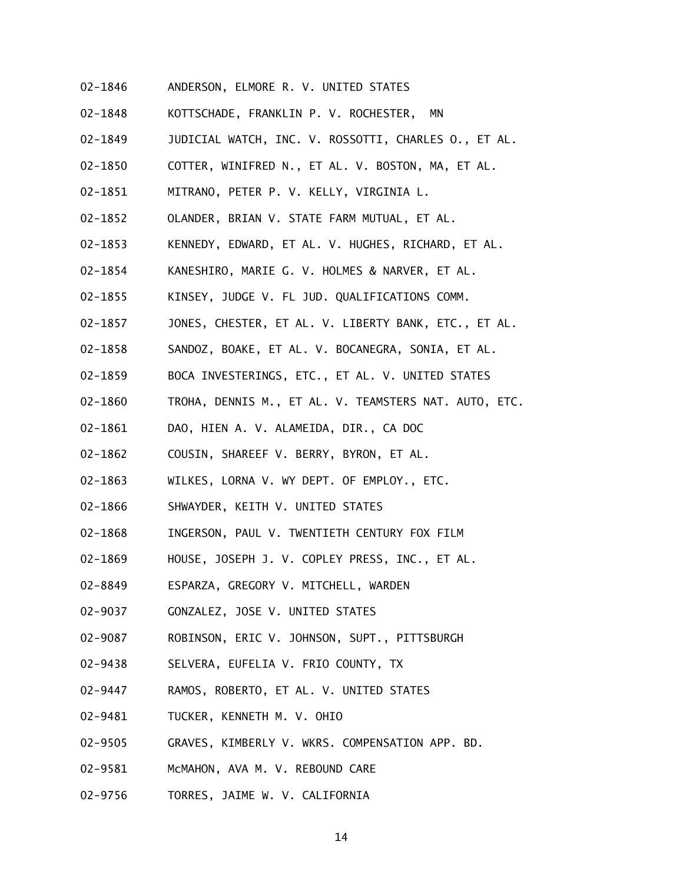- 02-1846 ANDERSON, ELMORE R. V. UNITED STATES
- 02-1848 KOTTSCHADE, FRANKLIN P. V. ROCHESTER, MN
- 02-1849 JUDICIAL WATCH, INC. V. ROSSOTTI, CHARLES O., ET AL.
- 02-1850 COTTER, WINIFRED N., ET AL. V. BOSTON, MA, ET AL.
- 02-1851 MITRANO, PETER P. V. KELLY, VIRGINIA L.
- 02-1852 OLANDER, BRIAN V. STATE FARM MUTUAL, ET AL.
- 02-1853 KENNEDY, EDWARD, ET AL. V. HUGHES, RICHARD, ET AL.
- 02-1854 KANESHIRO, MARIE G. V. HOLMES & NARVER, ET AL.
- 02-1855 KINSEY, JUDGE V. FL JUD. QUALIFICATIONS COMM.
- 02-1857 JONES, CHESTER, ET AL. V. LIBERTY BANK, ETC., ET AL.
- 02-1858 SANDOZ, BOAKE, ET AL. V. BOCANEGRA, SONIA, ET AL.
- 02-1859 BOCA INVESTERINGS, ETC., ET AL. V. UNITED STATES
- 02-1860 TROHA, DENNIS M., ET AL. V. TEAMSTERS NAT. AUTO, ETC.
- 02-1861 DAO, HIEN A. V. ALAMEIDA, DIR., CA DOC
- 02-1862 COUSIN, SHAREEF V. BERRY, BYRON, ET AL.
- 02-1863 WILKES, LORNA V. WY DEPT. OF EMPLOY., ETC.
- 02-1866 SHWAYDER, KEITH V. UNITED STATES
- 02-1868 INGERSON, PAUL V. TWENTIETH CENTURY FOX FILM
- 02-1869 HOUSE, JOSEPH J. V. COPLEY PRESS, INC., ET AL.
- 02-8849 ESPARZA, GREGORY V. MITCHELL, WARDEN
- 02-9037 GONZALEZ, JOSE V. UNITED STATES
- 02-9087 ROBINSON, ERIC V. JOHNSON, SUPT., PITTSBURGH
- 02-9438 SELVERA, EUFELIA V. FRIO COUNTY, TX
- 02-9447 RAMOS, ROBERTO, ET AL. V. UNITED STATES
- 02-9481 TUCKER, KENNETH M. V. OHIO
- 02-9505 GRAVES, KIMBERLY V. WKRS. COMPENSATION APP. BD.
- 02-9581 McMAHON, AVA M. V. REBOUND CARE
- 02-9756 TORRES, JAIME W. V. CALIFORNIA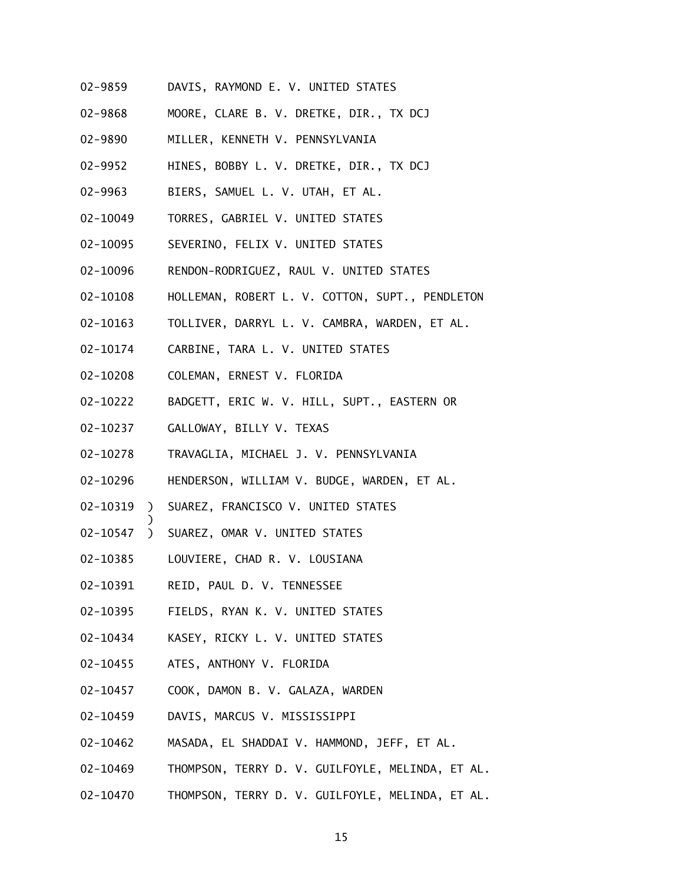- 02-9859 DAVIS, RAYMOND E. V. UNITED STATES
- 02-9868 MOORE, CLARE B. V. DRETKE, DIR., TX DCJ
- 02-9890 MILLER, KENNETH V. PENNSYLVANIA
- 02-9952 HINES, BOBBY L. V. DRETKE, DIR., TX DCJ
- 02-9963 BIERS, SAMUEL L. V. UTAH, ET AL.
- 02-10049 TORRES, GABRIEL V. UNITED STATES
- 02-10095 SEVERINO, FELIX V. UNITED STATES
- 02-10096 RENDON-RODRIGUEZ, RAUL V. UNITED STATES
- 02-10108 HOLLEMAN, ROBERT L. V. COTTON, SUPT., PENDLETON
- 02-10163 TOLLIVER, DARRYL L. V. CAMBRA, WARDEN, ET AL.
- 02-10174 CARBINE, TARA L. V. UNITED STATES
- 02-10208 COLEMAN, ERNEST V. FLORIDA
- 02-10222 BADGETT, ERIC W. V. HILL, SUPT., EASTERN OR
- 02-10237 GALLOWAY, BILLY V. TEXAS

- 02-10278 TRAVAGLIA, MICHAEL J. V. PENNSYLVANIA
- 02-10296 HENDERSON, WILLIAM V. BUDGE, WARDEN, ET AL.
- 02-10319 ) SUAREZ, FRANCISCO V. UNITED STATES
- 02-10547 ) SUAREZ, OMAR V. UNITED STATES
- 02-10385 LOUVIERE, CHAD R. V. LOUSIANA
- 02-10391 REID, PAUL D. V. TENNESSEE
- 02-10395 FIELDS, RYAN K. V. UNITED STATES
- 02-10434 KASEY, RICKY L. V. UNITED STATES
- 02-10455 ATES, ANTHONY V. FLORIDA
- 02-10457 COOK, DAMON B. V. GALAZA, WARDEN
- 02-10459 DAVIS, MARCUS V. MISSISSIPPI
- 02-10462 MASADA, EL SHADDAI V. HAMMOND, JEFF, ET AL.
- 02-10469 THOMPSON, TERRY D. V. GUILFOYLE, MELINDA, ET AL.
- 02-10470 THOMPSON, TERRY D. V. GUILFOYLE, MELINDA, ET AL.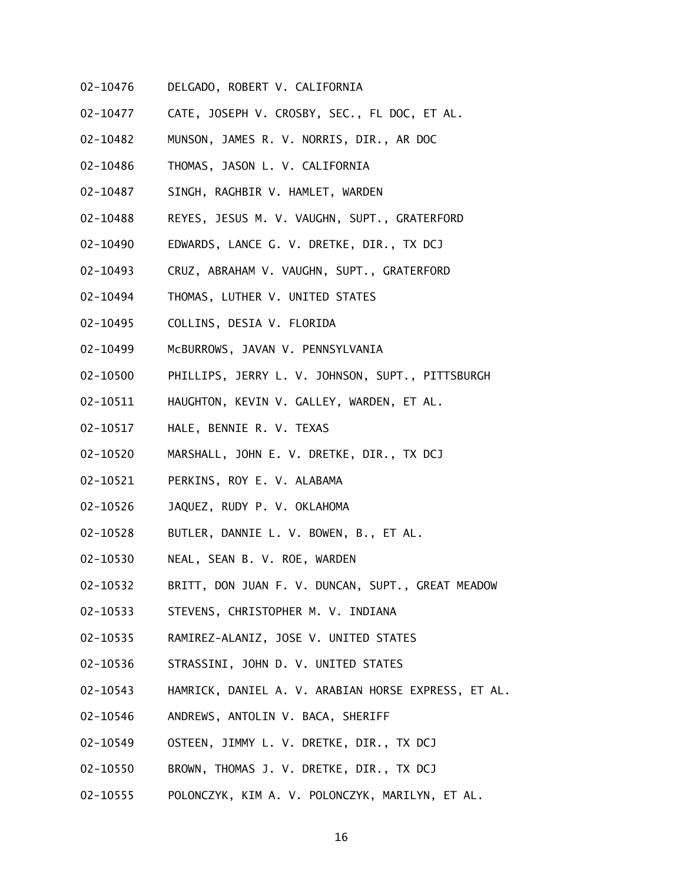- 02-10476 DELGADO, ROBERT V. CALIFORNIA
- 02-10477 CATE, JOSEPH V. CROSBY, SEC., FL DOC, ET AL.
- 02-10482 MUNSON, JAMES R. V. NORRIS, DIR., AR DOC
- 02-10486 THOMAS, JASON L. V. CALIFORNIA
- 02-10487 SINGH, RAGHBIR V. HAMLET, WARDEN
- 02-10488 REYES, JESUS M. V. VAUGHN, SUPT., GRATERFORD
- 02-10490 EDWARDS, LANCE G. V. DRETKE, DIR., TX DCJ
- 02-10493 CRUZ, ABRAHAM V. VAUGHN, SUPT., GRATERFORD
- 02-10494 THOMAS, LUTHER V. UNITED STATES
- 02-10495 COLLINS, DESIA V. FLORIDA
- 02-10499 McBURROWS, JAVAN V. PENNSYLVANIA
- 02-10500 PHILLIPS, JERRY L. V. JOHNSON, SUPT., PITTSBURGH
- 02-10511 HAUGHTON, KEVIN V. GALLEY, WARDEN, ET AL.
- 02-10517 HALE, BENNIE R. V. TEXAS
- 02-10520 MARSHALL, JOHN E. V. DRETKE, DIR., TX DCJ
- 02-10521 PERKINS, ROY E. V. ALABAMA
- 02-10526 JAQUEZ, RUDY P. V. OKLAHOMA
- 02-10528 BUTLER, DANNIE L. V. BOWEN, B., ET AL.
- 02-10530 NEAL, SEAN B. V. ROE, WARDEN
- 02-10532 BRITT, DON JUAN F. V. DUNCAN, SUPT., GREAT MEADOW
- 02-10533 STEVENS, CHRISTOPHER M. V. INDIANA
- 02-10535 RAMIREZ-ALANIZ, JOSE V. UNITED STATES
- 02-10536 STRASSINI, JOHN D. V. UNITED STATES
- 02-10543 HAMRICK, DANIEL A. V. ARABIAN HORSE EXPRESS, ET AL.
- 02-10546 ANDREWS, ANTOLIN V. BACA, SHERIFF
- 02-10549 OSTEEN, JIMMY L. V. DRETKE, DIR., TX DCJ
- 02-10550 BROWN, THOMAS J. V. DRETKE, DIR., TX DCJ
- 02-10555 POLONCZYK, KIM A. V. POLONCZYK, MARILYN, ET AL.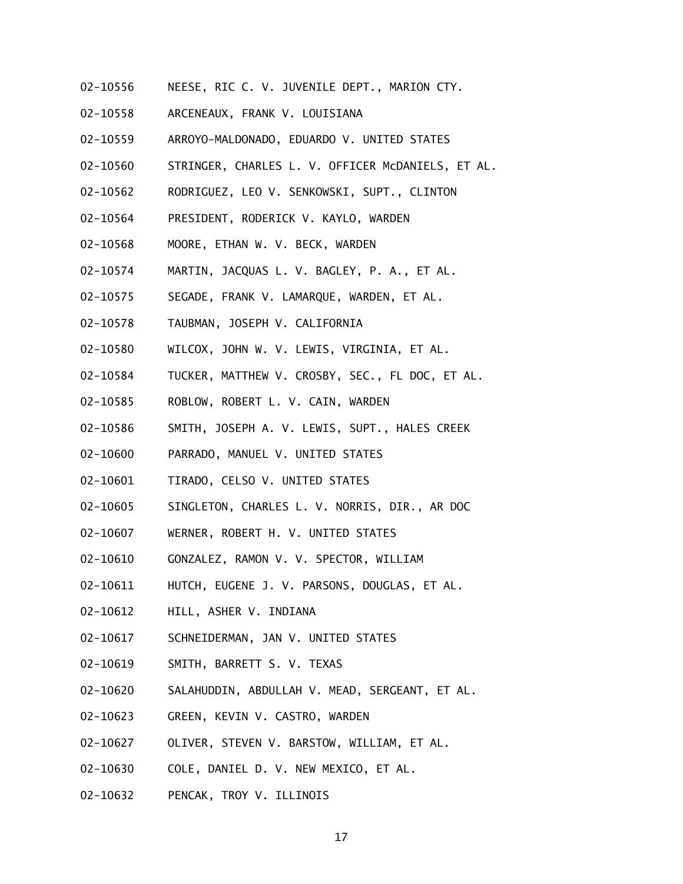- 02-10556 NEESE, RIC C. V. JUVENILE DEPT., MARION CTY.
- 02-10558 ARCENEAUX, FRANK V. LOUISIANA
- 02-10559 ARROYO-MALDONADO, EDUARDO V. UNITED STATES
- 02-10560 STRINGER, CHARLES L. V. OFFICER McDANIELS, ET AL.
- 02-10562 RODRIGUEZ, LEO V. SENKOWSKI, SUPT., CLINTON
- 02-10564 PRESIDENT, RODERICK V. KAYLO, WARDEN
- 02-10568 MOORE, ETHAN W. V. BECK, WARDEN
- 02-10574 MARTIN, JACQUAS L. V. BAGLEY, P. A., ET AL.
- 02-10575 SEGADE, FRANK V. LAMARQUE, WARDEN, ET AL.
- 02-10578 TAUBMAN, JOSEPH V. CALIFORNIA
- 02-10580 WILCOX, JOHN W. V. LEWIS, VIRGINIA, ET AL.
- 02-10584 TUCKER, MATTHEW V. CROSBY, SEC., FL DOC, ET AL.
- 02-10585 ROBLOW, ROBERT L. V. CAIN, WARDEN
- 02-10586 SMITH, JOSEPH A. V. LEWIS, SUPT., HALES CREEK
- 02-10600 PARRADO, MANUEL V. UNITED STATES
- 02-10601 TIRADO, CELSO V. UNITED STATES
- 02-10605 SINGLETON, CHARLES L. V. NORRIS, DIR., AR DOC
- 02-10607 WERNER, ROBERT H. V. UNITED STATES
- 02-10610 GONZALEZ, RAMON V. V. SPECTOR, WILLIAM
- 02-10611 HUTCH, EUGENE J. V. PARSONS, DOUGLAS, ET AL.
- 02-10612 HILL, ASHER V. INDIANA
- 02-10617 SCHNEIDERMAN, JAN V. UNITED STATES
- 02-10619 SMITH, BARRETT S. V. TEXAS
- 02-10620 SALAHUDDIN, ABDULLAH V. MEAD, SERGEANT, ET AL.
- 02-10623 GREEN, KEVIN V. CASTRO, WARDEN
- 02-10627 OLIVER, STEVEN V. BARSTOW, WILLIAM, ET AL.
- 02-10630 COLE, DANIEL D. V. NEW MEXICO, ET AL.
- 02-10632 PENCAK, TROY V. ILLINOIS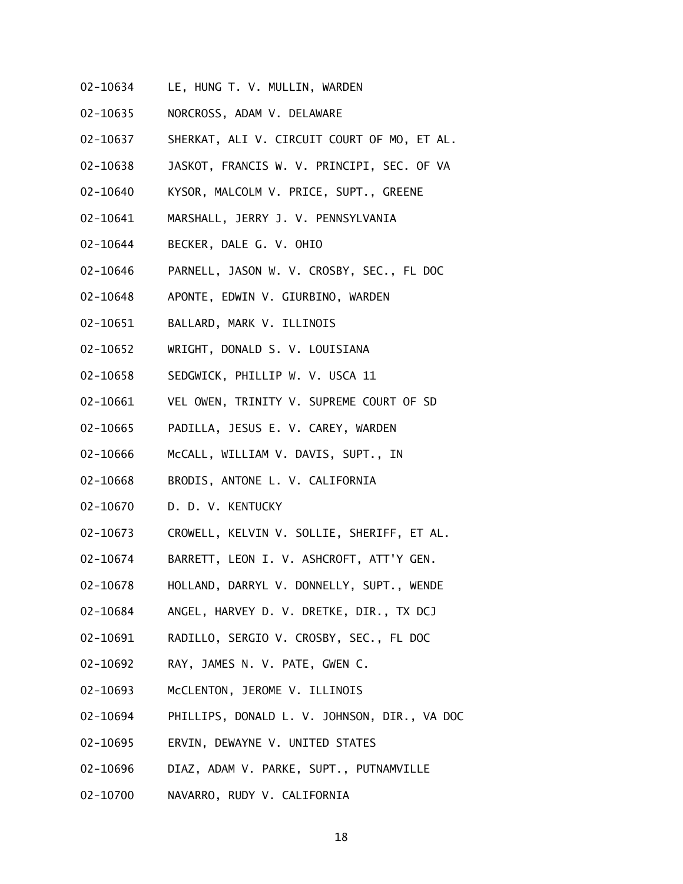- 02-10634 LE, HUNG T. V. MULLIN, WARDEN
- 02-10635 NORCROSS, ADAM V. DELAWARE
- 02-10637 SHERKAT, ALI V. CIRCUIT COURT OF MO, ET AL.
- 02-10638 JASKOT, FRANCIS W. V. PRINCIPI, SEC. OF VA
- 02-10640 KYSOR, MALCOLM V. PRICE, SUPT., GREENE
- 02-10641 MARSHALL, JERRY J. V. PENNSYLVANIA
- 02-10644 BECKER, DALE G. V. OHIO
- 02-10646 PARNELL, JASON W. V. CROSBY, SEC., FL DOC
- 02-10648 APONTE, EDWIN V. GIURBINO, WARDEN
- 02-10651 BALLARD, MARK V. ILLINOIS
- 02-10652 WRIGHT, DONALD S. V. LOUISIANA
- 02-10658 SEDGWICK, PHILLIP W. V. USCA 11
- 02-10661 VEL OWEN, TRINITY V. SUPREME COURT OF SD
- 02-10665 PADILLA, JESUS E. V. CAREY, WARDEN
- 02-10666 McCALL, WILLIAM V. DAVIS, SUPT., IN
- 02-10668 BRODIS, ANTONE L. V. CALIFORNIA
- 02-10670 D. D. V. KENTUCKY
- 02-10673 CROWELL, KELVIN V. SOLLIE, SHERIFF, ET AL.
- 02-10674 BARRETT, LEON I. V. ASHCROFT, ATT'Y GEN.
- 02-10678 HOLLAND, DARRYL V. DONNELLY, SUPT., WENDE
- 02-10684 ANGEL, HARVEY D. V. DRETKE, DIR., TX DCJ
- 02-10691 RADILLO, SERGIO V. CROSBY, SEC., FL DOC
- 02-10692 RAY, JAMES N. V. PATE, GWEN C.
- 02-10693 McCLENTON, JEROME V. ILLINOIS
- 02-10694 PHILLIPS, DONALD L. V. JOHNSON, DIR., VA DOC
- 02-10695 ERVIN, DEWAYNE V. UNITED STATES
- 02-10696 DIAZ, ADAM V. PARKE, SUPT., PUTNAMVILLE
- 02-10700 NAVARRO, RUDY V. CALIFORNIA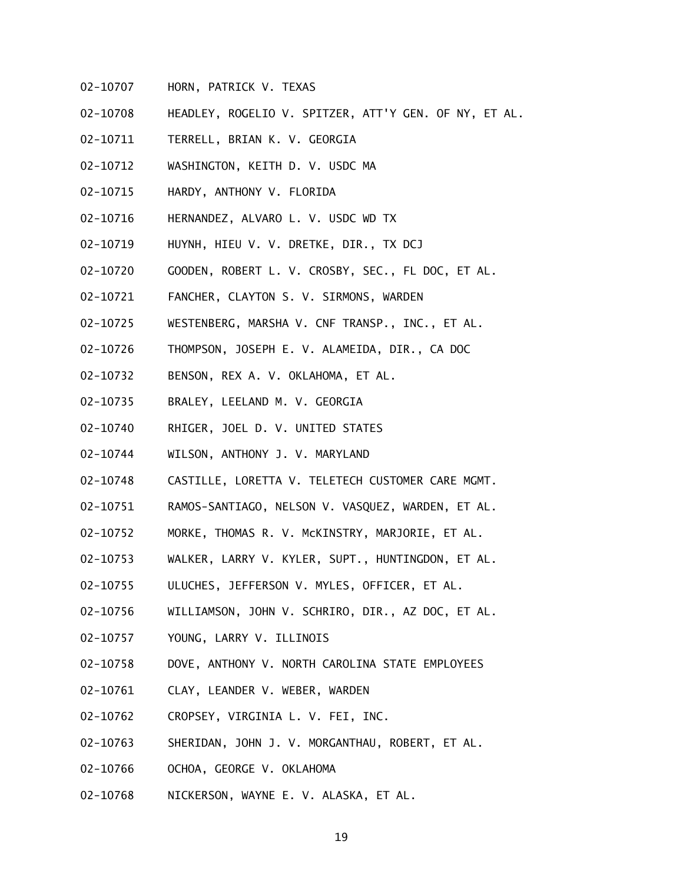- 02-10707 HORN, PATRICK V. TEXAS
- 02-10708 HEADLEY, ROGELIO V. SPITZER, ATT'Y GEN. OF NY, ET AL.
- 02-10711 TERRELL, BRIAN K. V. GEORGIA
- 02-10712 WASHINGTON, KEITH D. V. USDC MA
- 02-10715 HARDY, ANTHONY V. FLORIDA
- 02-10716 HERNANDEZ, ALVARO L. V. USDC WD TX
- 02-10719 HUYNH, HIEU V. V. DRETKE, DIR., TX DCJ
- 02-10720 GOODEN, ROBERT L. V. CROSBY, SEC., FL DOC, ET AL.
- 02-10721 FANCHER, CLAYTON S. V. SIRMONS, WARDEN
- 02-10725 WESTENBERG, MARSHA V. CNF TRANSP., INC., ET AL.
- 02-10726 THOMPSON, JOSEPH E. V. ALAMEIDA, DIR., CA DOC
- 02-10732 BENSON, REX A. V. OKLAHOMA, ET AL.
- 02-10735 BRALEY, LEELAND M. V. GEORGIA
- 02-10740 RHIGER, JOEL D. V. UNITED STATES
- 02-10744 WILSON, ANTHONY J. V. MARYLAND
- 02-10748 CASTILLE, LORETTA V. TELETECH CUSTOMER CARE MGMT.
- 02-10751 RAMOS-SANTIAGO, NELSON V. VASQUEZ, WARDEN, ET AL.
- 02-10752 MORKE, THOMAS R. V. McKINSTRY, MARJORIE, ET AL.
- 02-10753 WALKER, LARRY V. KYLER, SUPT., HUNTINGDON, ET AL.
- 02-10755 ULUCHES, JEFFERSON V. MYLES, OFFICER, ET AL.
- 02-10756 WILLIAMSON, JOHN V. SCHRIRO, DIR., AZ DOC, ET AL.
- 02-10757 YOUNG, LARRY V. ILLINOIS
- 02-10758 DOVE, ANTHONY V. NORTH CAROLINA STATE EMPLOYEES
- 02-10761 CLAY, LEANDER V. WEBER, WARDEN
- 02-10762 CROPSEY, VIRGINIA L. V. FEI, INC.
- 02-10763 SHERIDAN, JOHN J. V. MORGANTHAU, ROBERT, ET AL.
- 02-10766 OCHOA, GEORGE V. OKLAHOMA
- 02-10768 NICKERSON, WAYNE E. V. ALASKA, ET AL.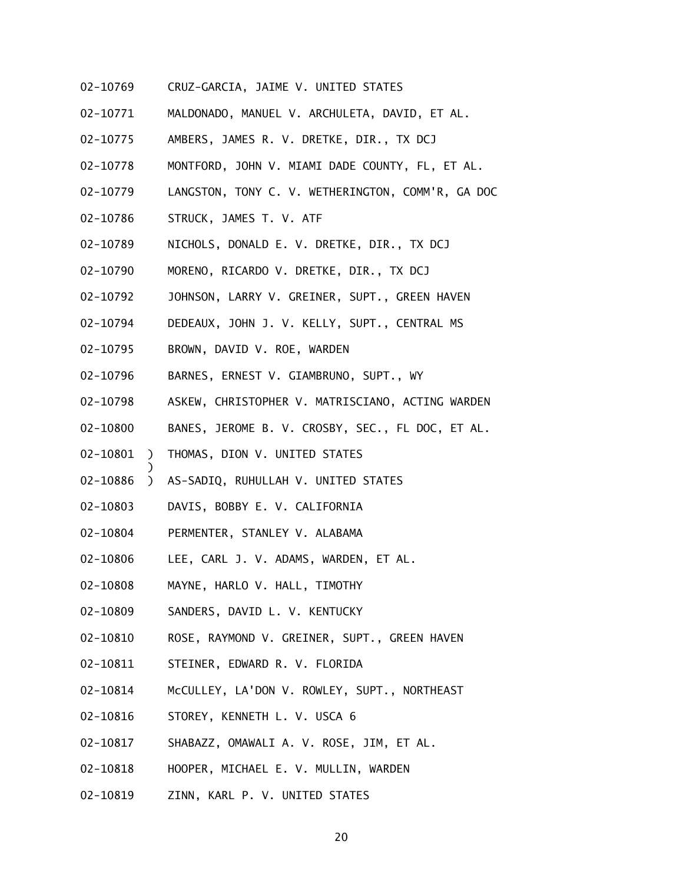- 02-10769 CRUZ-GARCIA, JAIME V. UNITED STATES
- 02-10771 MALDONADO, MANUEL V. ARCHULETA, DAVID, ET AL.
- 02-10775 AMBERS, JAMES R. V. DRETKE, DIR., TX DCJ
- 02-10778 MONTFORD, JOHN V. MIAMI DADE COUNTY, FL, ET AL.
- 02-10779 LANGSTON, TONY C. V. WETHERINGTON, COMM'R, GA DOC
- 02-10786 STRUCK, JAMES T. V. ATF
- 02-10789 NICHOLS, DONALD E. V. DRETKE, DIR., TX DCJ
- 02-10790 MORENO, RICARDO V. DRETKE, DIR., TX DCJ
- 02-10792 JOHNSON, LARRY V. GREINER, SUPT., GREEN HAVEN
- 02-10794 DEDEAUX, JOHN J. V. KELLY, SUPT., CENTRAL MS
- 02-10795 BROWN, DAVID V. ROE, WARDEN
- 02-10796 BARNES, ERNEST V. GIAMBRUNO, SUPT., WY
- 02-10798 ASKEW, CHRISTOPHER V. MATRISCIANO, ACTING WARDEN
- 02-10800 BANES, JEROME B. V. CROSBY, SEC., FL DOC, ET AL.
- 02-10801 ) THOMAS, DION V. UNITED STATES

- 02-10886 ) AS-SADIQ, RUHULLAH V. UNITED STATES
- 02-10803 DAVIS, BOBBY E. V. CALIFORNIA
- 02-10804 PERMENTER, STANLEY V. ALABAMA
- 02-10806 LEE, CARL J. V. ADAMS, WARDEN, ET AL.
- 02-10808 MAYNE, HARLO V. HALL, TIMOTHY
- 02-10809 SANDERS, DAVID L. V. KENTUCKY
- 02-10810 ROSE, RAYMOND V. GREINER, SUPT., GREEN HAVEN
- 02-10811 STEINER, EDWARD R. V. FLORIDA
- 02-10814 McCULLEY, LA'DON V. ROWLEY, SUPT., NORTHEAST
- 02-10816 STOREY, KENNETH L. V. USCA 6
- 02-10817 SHABAZZ, OMAWALI A. V. ROSE, JIM, ET AL.
- 02-10818 HOOPER, MICHAEL E. V. MULLIN, WARDEN
- 02-10819 ZINN, KARL P. V. UNITED STATES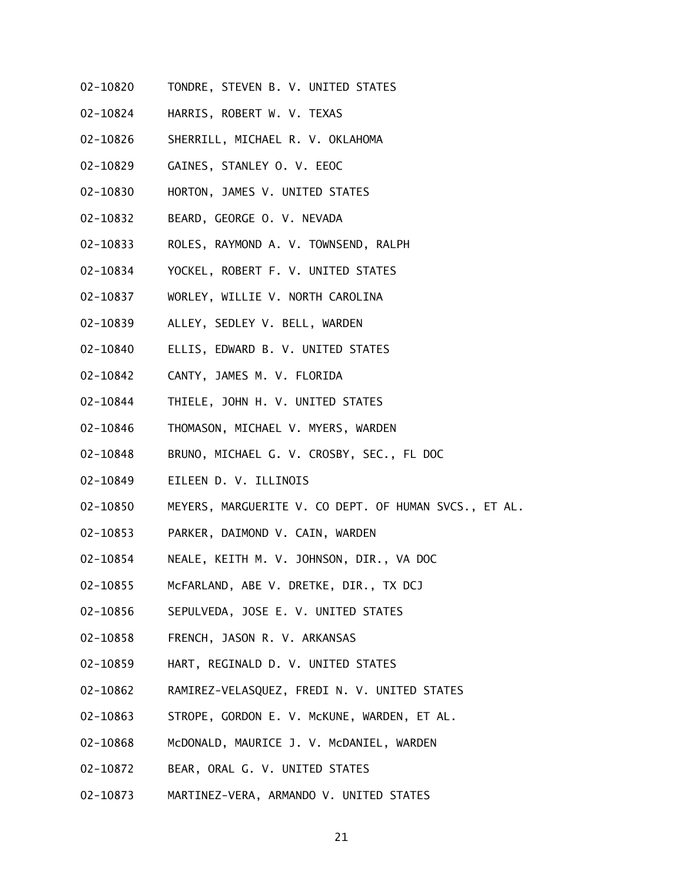- 02-10820 TONDRE, STEVEN B. V. UNITED STATES
- 02-10824 HARRIS, ROBERT W. V. TEXAS
- 02-10826 SHERRILL, MICHAEL R. V. OKLAHOMA
- 02-10829 GAINES, STANLEY O. V. EEOC
- 02-10830 HORTON, JAMES V. UNITED STATES
- 02-10832 BEARD, GEORGE O. V. NEVADA
- 02-10833 ROLES, RAYMOND A. V. TOWNSEND, RALPH
- 02-10834 YOCKEL, ROBERT F. V. UNITED STATES
- 02-10837 WORLEY, WILLIE V. NORTH CAROLINA
- 02-10839 ALLEY, SEDLEY V. BELL, WARDEN
- 02-10840 ELLIS, EDWARD B. V. UNITED STATES
- 02-10842 CANTY, JAMES M. V. FLORIDA
- 02-10844 THIELE, JOHN H. V. UNITED STATES
- 02-10846 THOMASON, MICHAEL V. MYERS, WARDEN
- 02-10848 BRUNO, MICHAEL G. V. CROSBY, SEC., FL DOC
- 02-10849 EILEEN D. V. ILLINOIS
- 02-10850 MEYERS, MARGUERITE V. CO DEPT. OF HUMAN SVCS., ET AL.
- 02-10853 PARKER, DAIMOND V. CAIN, WARDEN
- 02-10854 NEALE, KEITH M. V. JOHNSON, DIR., VA DOC
- 02-10855 McFARLAND, ABE V. DRETKE, DIR., TX DCJ
- 02-10856 SEPULVEDA, JOSE E. V. UNITED STATES
- 02-10858 FRENCH, JASON R. V. ARKANSAS
- 02-10859 HART, REGINALD D. V. UNITED STATES
- 02-10862 RAMIREZ-VELASQUEZ, FREDI N. V. UNITED STATES
- 02-10863 STROPE, GORDON E. V. McKUNE, WARDEN, ET AL.
- 02-10868 McDONALD, MAURICE J. V. McDANIEL, WARDEN
- 02-10872 BEAR, ORAL G. V. UNITED STATES
- 02-10873 MARTINEZ-VERA, ARMANDO V. UNITED STATES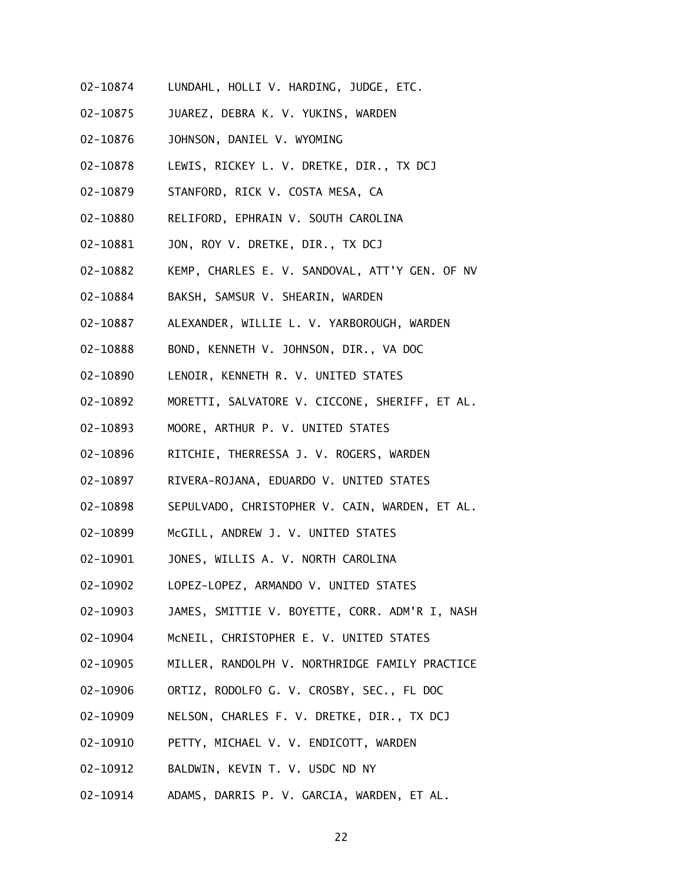- 02-10874 LUNDAHL, HOLLI V. HARDING, JUDGE, ETC.
- 02-10875 JUAREZ, DEBRA K. V. YUKINS, WARDEN
- 02-10876 JOHNSON, DANIEL V. WYOMING
- 02-10878 LEWIS, RICKEY L. V. DRETKE, DIR., TX DCJ
- 02-10879 STANFORD, RICK V. COSTA MESA, CA
- 02-10880 RELIFORD, EPHRAIN V. SOUTH CAROLINA
- 02-10881 JON, ROY V. DRETKE, DIR., TX DCJ
- 02-10882 KEMP, CHARLES E. V. SANDOVAL, ATT'Y GEN. OF NV
- 02-10884 BAKSH, SAMSUR V. SHEARIN, WARDEN
- 02-10887 ALEXANDER, WILLIE L. V. YARBOROUGH, WARDEN
- 02-10888 BOND, KENNETH V. JOHNSON, DIR., VA DOC
- 02-10890 LENOIR, KENNETH R. V. UNITED STATES
- 02-10892 MORETTI, SALVATORE V. CICCONE, SHERIFF, ET AL.
- 02-10893 MOORE, ARTHUR P. V. UNITED STATES
- 02-10896 RITCHIE, THERRESSA J. V. ROGERS, WARDEN
- 02-10897 RIVERA-ROJANA, EDUARDO V. UNITED STATES
- 02-10898 SEPULVADO, CHRISTOPHER V. CAIN, WARDEN, ET AL.
- 02-10899 McGILL, ANDREW J. V. UNITED STATES
- 02-10901 JONES, WILLIS A. V. NORTH CAROLINA
- 02-10902 LOPEZ-LOPEZ, ARMANDO V. UNITED STATES
- 02-10903 JAMES, SMITTIE V. BOYETTE, CORR. ADM'R I, NASH
- 02-10904 McNEIL, CHRISTOPHER E. V. UNITED STATES
- 02-10905 MILLER, RANDOLPH V. NORTHRIDGE FAMILY PRACTICE
- 02-10906 ORTIZ, RODOLFO G. V. CROSBY, SEC., FL DOC
- 02-10909 NELSON, CHARLES F. V. DRETKE, DIR., TX DCJ
- 02-10910 PETTY, MICHAEL V. V. ENDICOTT, WARDEN
- 02-10912 BALDWIN, KEVIN T. V. USDC ND NY
- 02-10914 ADAMS, DARRIS P. V. GARCIA, WARDEN, ET AL.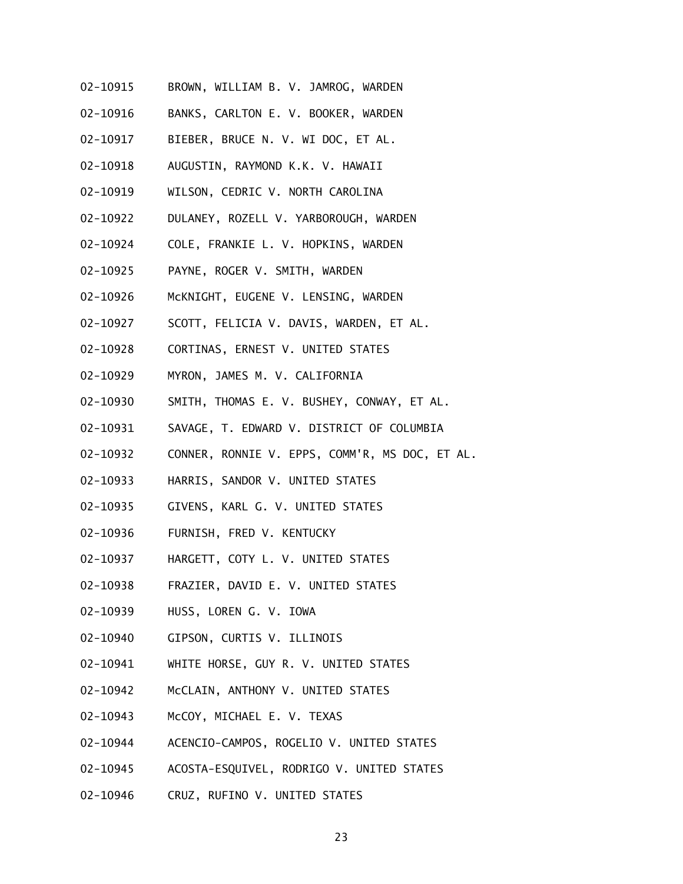- 02-10915 BROWN, WILLIAM B. V. JAMROG, WARDEN
- 02-10916 BANKS, CARLTON E. V. BOOKER, WARDEN
- 02-10917 BIEBER, BRUCE N. V. WI DOC, ET AL.
- 02-10918 AUGUSTIN, RAYMOND K.K. V. HAWAII
- 02-10919 WILSON, CEDRIC V. NORTH CAROLINA
- 02-10922 DULANEY, ROZELL V. YARBOROUGH, WARDEN
- 02-10924 COLE, FRANKIE L. V. HOPKINS, WARDEN
- 02-10925 PAYNE, ROGER V. SMITH, WARDEN
- 02-10926 McKNIGHT, EUGENE V. LENSING, WARDEN
- 02-10927 SCOTT, FELICIA V. DAVIS, WARDEN, ET AL.
- 02-10928 CORTINAS, ERNEST V. UNITED STATES
- 02-10929 MYRON, JAMES M. V. CALIFORNIA
- 02-10930 SMITH, THOMAS E. V. BUSHEY, CONWAY, ET AL.
- 02-10931 SAVAGE, T. EDWARD V. DISTRICT OF COLUMBIA
- 02-10932 CONNER, RONNIE V. EPPS, COMM'R, MS DOC, ET AL.
- 02-10933 HARRIS, SANDOR V. UNITED STATES
- 02-10935 GIVENS, KARL G. V. UNITED STATES
- 02-10936 FURNISH, FRED V. KENTUCKY
- 02-10937 HARGETT, COTY L. V. UNITED STATES
- 02-10938 FRAZIER, DAVID E. V. UNITED STATES
- 02-10939 HUSS, LOREN G. V. IOWA
- 02-10940 GIPSON, CURTIS V. ILLINOIS
- 02-10941 WHITE HORSE, GUY R. V. UNITED STATES
- 02-10942 McCLAIN, ANTHONY V. UNITED STATES
- 02-10943 McCOY, MICHAEL E. V. TEXAS
- 02-10944 ACENCIO-CAMPOS, ROGELIO V. UNITED STATES
- 02-10945 ACOSTA-ESQUIVEL, RODRIGO V. UNITED STATES
- 02-10946 CRUZ, RUFINO V. UNITED STATES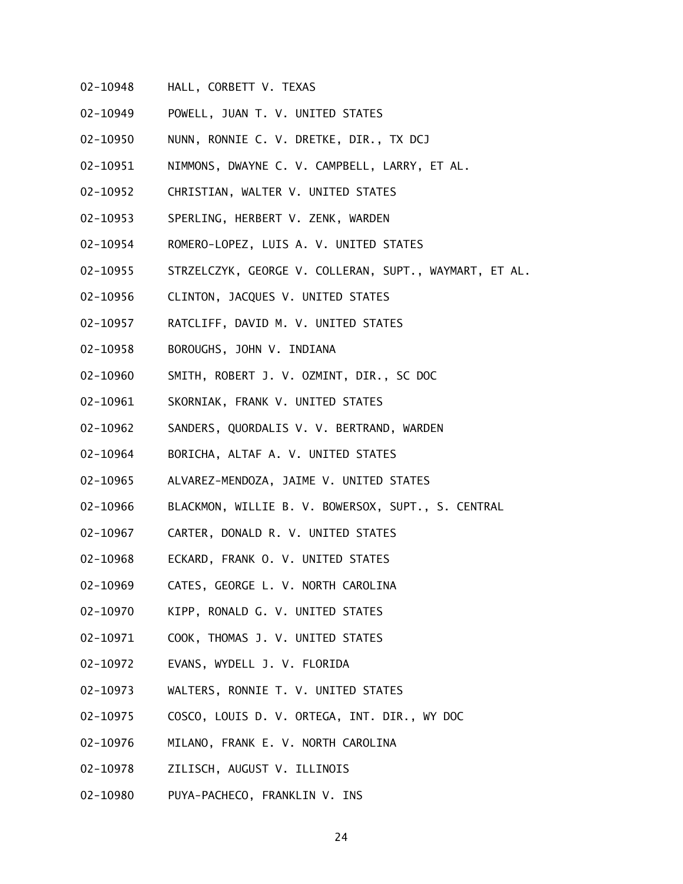- 02-10948 HALL, CORBETT V. TEXAS
- 02-10949 POWELL, JUAN T. V. UNITED STATES
- 02-10950 NUNN, RONNIE C. V. DRETKE, DIR., TX DCJ
- 02-10951 NIMMONS, DWAYNE C. V. CAMPBELL, LARRY, ET AL.
- 02-10952 CHRISTIAN, WALTER V. UNITED STATES
- 02-10953 SPERLING, HERBERT V. ZENK, WARDEN
- 02-10954 ROMERO-LOPEZ, LUIS A. V. UNITED STATES
- 02-10955 STRZELCZYK, GEORGE V. COLLERAN, SUPT., WAYMART, ET AL.
- 02-10956 CLINTON, JACQUES V. UNITED STATES
- 02-10957 RATCLIFF, DAVID M. V. UNITED STATES
- 02-10958 BOROUGHS, JOHN V. INDIANA
- 02-10960 SMITH, ROBERT J. V. OZMINT, DIR., SC DOC
- 02-10961 SKORNIAK, FRANK V. UNITED STATES
- 02-10962 SANDERS, QUORDALIS V. V. BERTRAND, WARDEN
- 02-10964 BORICHA, ALTAF A. V. UNITED STATES
- 02-10965 ALVAREZ-MENDOZA, JAIME V. UNITED STATES
- 02-10966 BLACKMON, WILLIE B. V. BOWERSOX, SUPT., S. CENTRAL
- 02-10967 CARTER, DONALD R. V. UNITED STATES
- 02-10968 ECKARD, FRANK O. V. UNITED STATES
- 02-10969 CATES, GEORGE L. V. NORTH CAROLINA
- 02-10970 KIPP, RONALD G. V. UNITED STATES
- 02-10971 COOK, THOMAS J. V. UNITED STATES
- 02-10972 EVANS, WYDELL J. V. FLORIDA
- 02-10973 WALTERS, RONNIE T. V. UNITED STATES
- 02-10975 COSCO, LOUIS D. V. ORTEGA, INT. DIR., WY DOC
- 02-10976 MILANO, FRANK E. V. NORTH CAROLINA
- 02-10978 ZILISCH, AUGUST V. ILLINOIS
- 02-10980 PUYA-PACHECO, FRANKLIN V. INS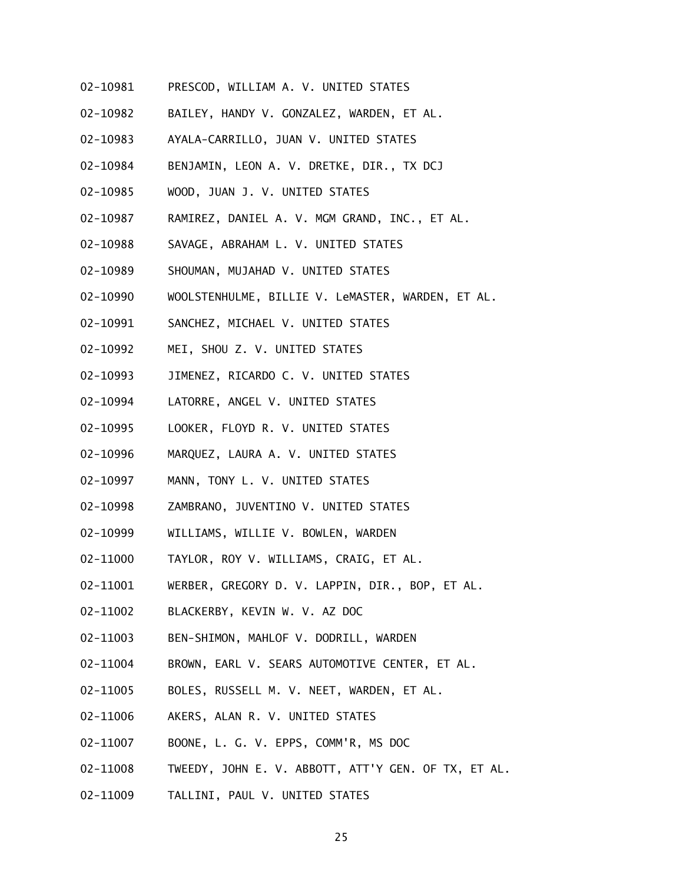- 02-10981 PRESCOD, WILLIAM A. V. UNITED STATES
- 02-10982 BAILEY, HANDY V. GONZALEZ, WARDEN, ET AL.
- 02-10983 AYALA-CARRILLO, JUAN V. UNITED STATES
- 02-10984 BENJAMIN, LEON A. V. DRETKE, DIR., TX DCJ
- 02-10985 WOOD, JUAN J. V. UNITED STATES
- 02-10987 RAMIREZ, DANIEL A. V. MGM GRAND, INC., ET AL.
- 02-10988 SAVAGE, ABRAHAM L. V. UNITED STATES
- 02-10989 SHOUMAN, MUJAHAD V. UNITED STATES
- 02-10990 WOOLSTENHULME, BILLIE V. LeMASTER, WARDEN, ET AL.
- 02-10991 SANCHEZ, MICHAEL V. UNITED STATES
- 02-10992 MEI, SHOU Z. V. UNITED STATES
- 02-10993 JIMENEZ, RICARDO C. V. UNITED STATES
- 02-10994 LATORRE, ANGEL V. UNITED STATES
- 02-10995 LOOKER, FLOYD R. V. UNITED STATES
- 02-10996 MARQUEZ, LAURA A. V. UNITED STATES
- 02-10997 MANN, TONY L. V. UNITED STATES
- 02-10998 ZAMBRANO, JUVENTINO V. UNITED STATES
- 02-10999 WILLIAMS, WILLIE V. BOWLEN, WARDEN
- 02-11000 TAYLOR, ROY V. WILLIAMS, CRAIG, ET AL.
- 02-11001 WERBER, GREGORY D. V. LAPPIN, DIR., BOP, ET AL.
- 02-11002 BLACKERBY, KEVIN W. V. AZ DOC
- 02-11003 BEN-SHIMON, MAHLOF V. DODRILL, WARDEN
- 02-11004 BROWN, EARL V. SEARS AUTOMOTIVE CENTER, ET AL.
- 02-11005 BOLES, RUSSELL M. V. NEET, WARDEN, ET AL.
- 02-11006 AKERS, ALAN R. V. UNITED STATES
- 02-11007 BOONE, L. G. V. EPPS, COMM'R, MS DOC
- 02-11008 TWEEDY, JOHN E. V. ABBOTT, ATT'Y GEN. OF TX, ET AL.
- 02-11009 TALLINI, PAUL V. UNITED STATES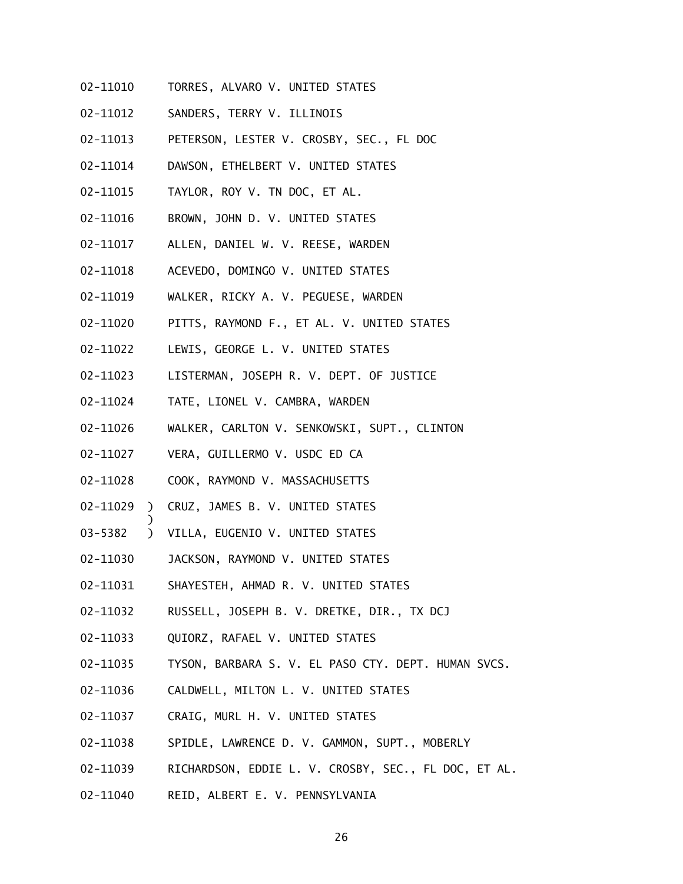- 02-11010 TORRES, ALVARO V. UNITED STATES
- 02-11012 SANDERS, TERRY V. ILLINOIS
- 02-11013 PETERSON, LESTER V. CROSBY, SEC., FL DOC
- 02-11014 DAWSON, ETHELBERT V. UNITED STATES
- 02-11015 TAYLOR, ROY V. TN DOC, ET AL.
- 02-11016 BROWN, JOHN D. V. UNITED STATES
- 02-11017 ALLEN, DANIEL W. V. REESE, WARDEN
- 02-11018 ACEVEDO, DOMINGO V. UNITED STATES
- 02-11019 WALKER, RICKY A. V. PEGUESE, WARDEN
- 02-11020 PITTS, RAYMOND F., ET AL. V. UNITED STATES
- 02-11022 LEWIS, GEORGE L. V. UNITED STATES
- 02-11023 LISTERMAN, JOSEPH R. V. DEPT. OF JUSTICE
- 02-11024 TATE, LIONEL V. CAMBRA, WARDEN
- 02-11026 WALKER, CARLTON V. SENKOWSKI, SUPT., CLINTON
- 02-11027 VERA, GUILLERMO V. USDC ED CA
- 02-11028 COOK, RAYMOND V. MASSACHUSETTS
- 02-11029 ) CRUZ, JAMES B. V. UNITED STATES
- 03-5382 ) VILLA, EUGENIO V. UNITED STATES

- 02-11030 JACKSON, RAYMOND V. UNITED STATES
- 02-11031 SHAYESTEH, AHMAD R. V. UNITED STATES
- 02-11032 RUSSELL, JOSEPH B. V. DRETKE, DIR., TX DCJ
- 02-11033 QUIORZ, RAFAEL V. UNITED STATES
- 02-11035 TYSON, BARBARA S. V. EL PASO CTY. DEPT. HUMAN SVCS.
- 02-11036 CALDWELL, MILTON L. V. UNITED STATES
- 02-11037 CRAIG, MURL H. V. UNITED STATES
- 02-11038 SPIDLE, LAWRENCE D. V. GAMMON, SUPT., MOBERLY
- 02-11039 RICHARDSON, EDDIE L. V. CROSBY, SEC., FL DOC, ET AL.
- 02-11040 REID, ALBERT E. V. PENNSYLVANIA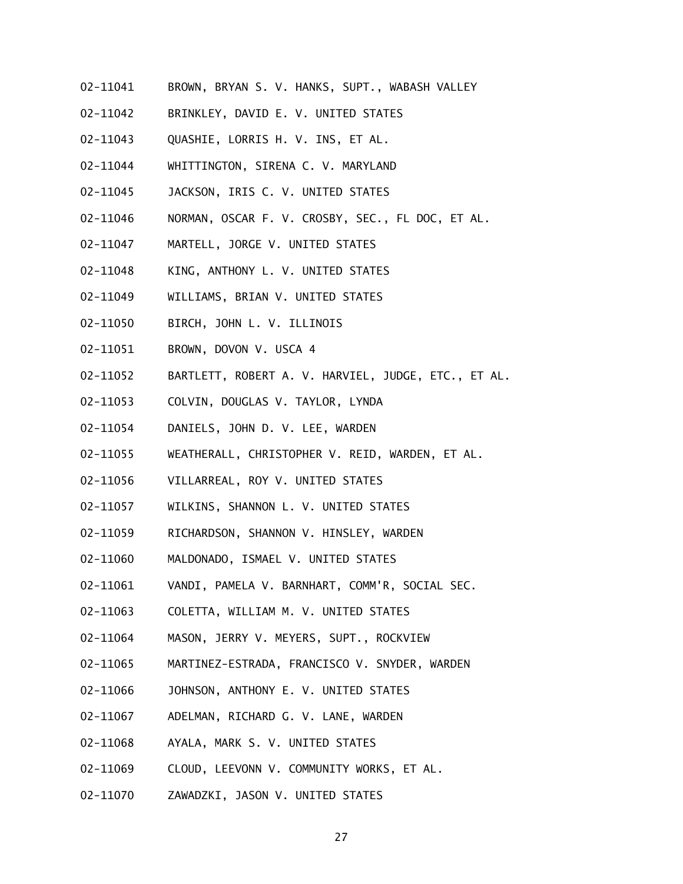- 02-11041 BROWN, BRYAN S. V. HANKS, SUPT., WABASH VALLEY
- 02-11042 BRINKLEY, DAVID E. V. UNITED STATES
- 02-11043 QUASHIE, LORRIS H. V. INS, ET AL.
- 02-11044 WHITTINGTON, SIRENA C. V. MARYLAND
- 02-11045 JACKSON, IRIS C. V. UNITED STATES
- 02-11046 NORMAN, OSCAR F. V. CROSBY, SEC., FL DOC, ET AL.
- 02-11047 MARTELL, JORGE V. UNITED STATES
- 02-11048 KING, ANTHONY L. V. UNITED STATES
- 02-11049 WILLIAMS, BRIAN V. UNITED STATES
- 02-11050 BIRCH, JOHN L. V. ILLINOIS
- 02-11051 BROWN, DOVON V. USCA 4
- 02-11052 BARTLETT, ROBERT A. V. HARVIEL, JUDGE, ETC., ET AL.
- 02-11053 COLVIN, DOUGLAS V. TAYLOR, LYNDA
- 02-11054 DANIELS, JOHN D. V. LEE, WARDEN
- 02-11055 WEATHERALL, CHRISTOPHER V. REID, WARDEN, ET AL.
- 02-11056 VILLARREAL, ROY V. UNITED STATES
- 02-11057 WILKINS, SHANNON L. V. UNITED STATES
- 02-11059 RICHARDSON, SHANNON V. HINSLEY, WARDEN
- 02-11060 MALDONADO, ISMAEL V. UNITED STATES
- 02-11061 VANDI, PAMELA V. BARNHART, COMM'R, SOCIAL SEC.
- 02-11063 COLETTA, WILLIAM M. V. UNITED STATES
- 02-11064 MASON, JERRY V. MEYERS, SUPT., ROCKVIEW
- 02-11065 MARTINEZ-ESTRADA, FRANCISCO V. SNYDER, WARDEN
- 02-11066 JOHNSON, ANTHONY E. V. UNITED STATES
- 02-11067 ADELMAN, RICHARD G. V. LANE, WARDEN
- 02-11068 AYALA, MARK S. V. UNITED STATES
- 02-11069 CLOUD, LEEVONN V. COMMUNITY WORKS, ET AL.
- 02-11070 ZAWADZKI, JASON V. UNITED STATES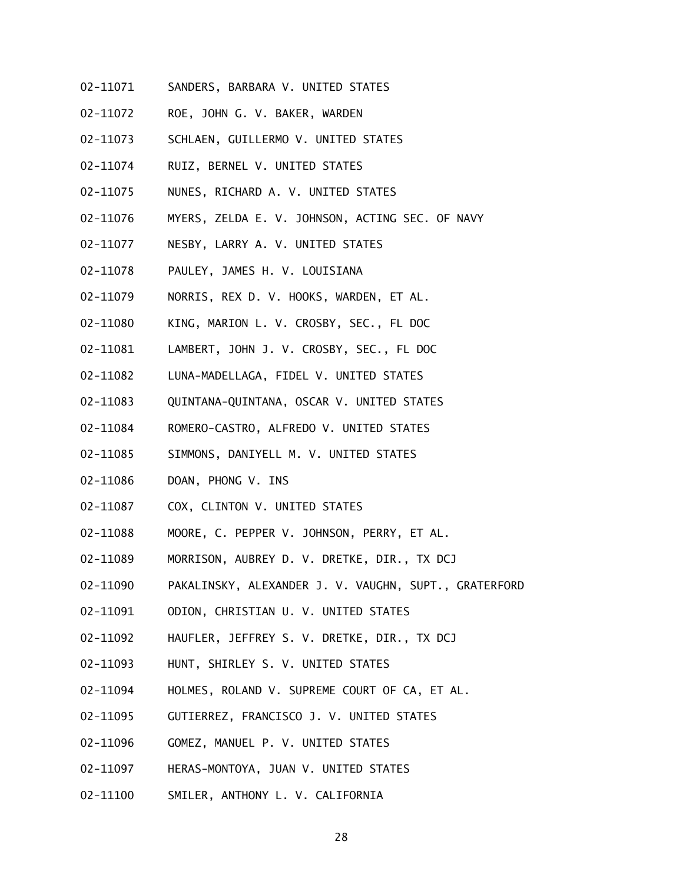- 02-11071 SANDERS, BARBARA V. UNITED STATES
- 02-11072 ROE, JOHN G. V. BAKER, WARDEN
- 02-11073 SCHLAEN, GUILLERMO V. UNITED STATES
- 02-11074 RUIZ, BERNEL V. UNITED STATES
- 02-11075 NUNES, RICHARD A. V. UNITED STATES
- 02-11076 MYERS, ZELDA E. V. JOHNSON, ACTING SEC. OF NAVY
- 02-11077 NESBY, LARRY A. V. UNITED STATES
- 02-11078 PAULEY, JAMES H. V. LOUISIANA
- 02-11079 NORRIS, REX D. V. HOOKS, WARDEN, ET AL.
- 02-11080 KING, MARION L. V. CROSBY, SEC., FL DOC
- 02-11081 LAMBERT, JOHN J. V. CROSBY, SEC., FL DOC
- 02-11082 LUNA-MADELLAGA, FIDEL V. UNITED STATES
- 02-11083 QUINTANA-QUINTANA, OSCAR V. UNITED STATES
- 02-11084 ROMERO-CASTRO, ALFREDO V. UNITED STATES
- 02-11085 SIMMONS, DANIYELL M. V. UNITED STATES
- 02-11086 DOAN, PHONG V. INS
- 02-11087 COX, CLINTON V. UNITED STATES
- 02-11088 MOORE, C. PEPPER V. JOHNSON, PERRY, ET AL.
- 02-11089 MORRISON, AUBREY D. V. DRETKE, DIR., TX DCJ
- 02-11090 PAKALINSKY, ALEXANDER J. V. VAUGHN, SUPT., GRATERFORD
- 02-11091 ODION, CHRISTIAN U. V. UNITED STATES
- 02-11092 HAUFLER, JEFFREY S. V. DRETKE, DIR., TX DCJ
- 02-11093 HUNT, SHIRLEY S. V. UNITED STATES
- 02-11094 HOLMES, ROLAND V. SUPREME COURT OF CA, ET AL.
- 02-11095 GUTIERREZ, FRANCISCO J. V. UNITED STATES
- 02-11096 GOMEZ, MANUEL P. V. UNITED STATES
- 02-11097 HERAS-MONTOYA, JUAN V. UNITED STATES
- 02-11100 SMILER, ANTHONY L. V. CALIFORNIA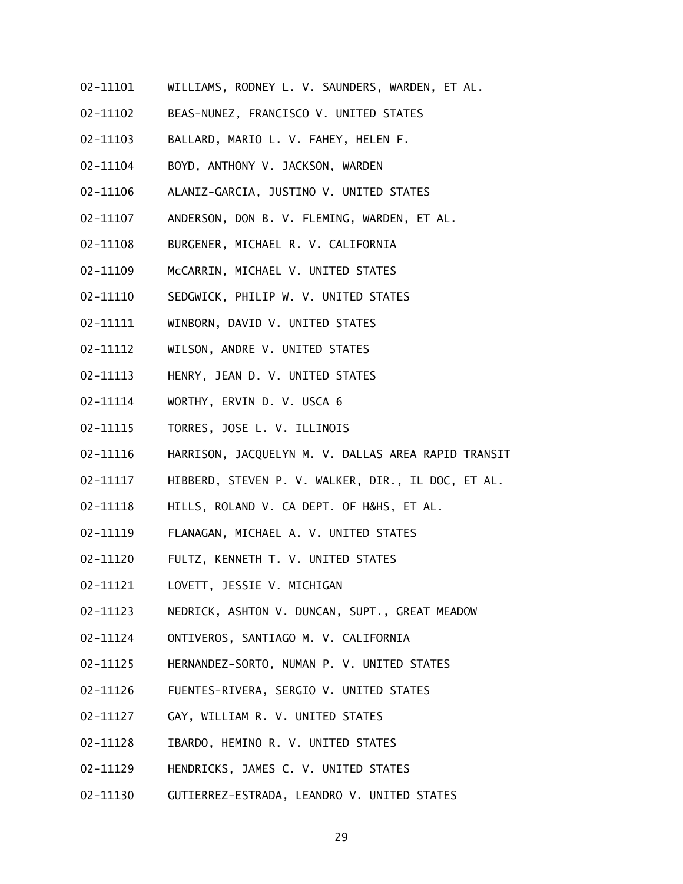- 02-11101 WILLIAMS, RODNEY L. V. SAUNDERS, WARDEN, ET AL.
- 02-11102 BEAS-NUNEZ, FRANCISCO V. UNITED STATES
- 02-11103 BALLARD, MARIO L. V. FAHEY, HELEN F.
- 02-11104 BOYD, ANTHONY V. JACKSON, WARDEN
- 02-11106 ALANIZ-GARCIA, JUSTINO V. UNITED STATES
- 02-11107 ANDERSON, DON B. V. FLEMING, WARDEN, ET AL.
- 02-11108 BURGENER, MICHAEL R. V. CALIFORNIA
- 02-11109 McCARRIN, MICHAEL V. UNITED STATES
- 02-11110 SEDGWICK, PHILIP W. V. UNITED STATES
- 02-11111 WINBORN, DAVID V. UNITED STATES
- 02-11112 WILSON, ANDRE V. UNITED STATES
- 02-11113 HENRY, JEAN D. V. UNITED STATES
- 02-11114 WORTHY, ERVIN D. V. USCA 6
- 02-11115 TORRES, JOSE L. V. ILLINOIS
- 02-11116 HARRISON, JACQUELYN M. V. DALLAS AREA RAPID TRANSIT
- 02-11117 HIBBERD, STEVEN P. V. WALKER, DIR., IL DOC, ET AL.
- 02-11118 HILLS, ROLAND V. CA DEPT. OF H&HS, ET AL.
- 02-11119 FLANAGAN, MICHAEL A. V. UNITED STATES
- 02-11120 FULTZ, KENNETH T. V. UNITED STATES
- 02-11121 LOVETT, JESSIE V. MICHIGAN
- 02-11123 NEDRICK, ASHTON V. DUNCAN, SUPT., GREAT MEADOW
- 02-11124 ONTIVEROS, SANTIAGO M. V. CALIFORNIA
- 02-11125 HERNANDEZ-SORTO, NUMAN P. V. UNITED STATES
- 02-11126 FUENTES-RIVERA, SERGIO V. UNITED STATES
- 02-11127 GAY, WILLIAM R. V. UNITED STATES
- 02-11128 IBARDO, HEMINO R. V. UNITED STATES
- 02-11129 HENDRICKS, JAMES C. V. UNITED STATES
- 02-11130 GUTIERREZ-ESTRADA, LEANDRO V. UNITED STATES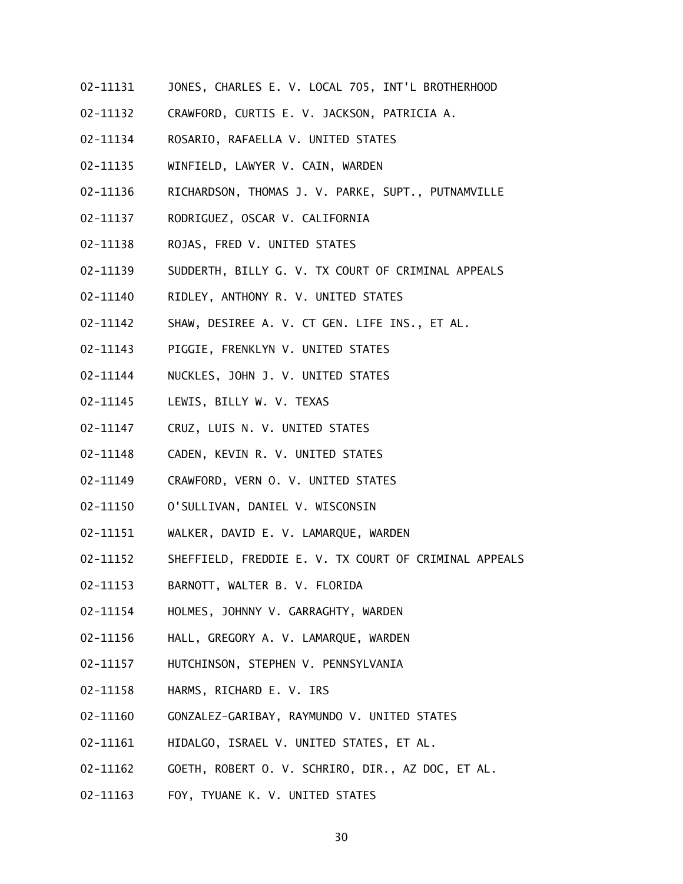- 02-11131 JONES, CHARLES E. V. LOCAL 705, INT'L BROTHERHOOD
- 02-11132 CRAWFORD, CURTIS E. V. JACKSON, PATRICIA A.
- 02-11134 ROSARIO, RAFAELLA V. UNITED STATES
- 02-11135 WINFIELD, LAWYER V. CAIN, WARDEN
- 02-11136 RICHARDSON, THOMAS J. V. PARKE, SUPT., PUTNAMVILLE
- 02-11137 RODRIGUEZ, OSCAR V. CALIFORNIA
- 02-11138 ROJAS, FRED V. UNITED STATES
- 02-11139 SUDDERTH, BILLY G. V. TX COURT OF CRIMINAL APPEALS
- 02-11140 RIDLEY, ANTHONY R. V. UNITED STATES
- 02-11142 SHAW, DESIREE A. V. CT GEN. LIFE INS., ET AL.
- 02-11143 PIGGIE, FRENKLYN V. UNITED STATES
- 02-11144 NUCKLES, JOHN J. V. UNITED STATES
- 02-11145 LEWIS, BILLY W. V. TEXAS
- 02-11147 CRUZ, LUIS N. V. UNITED STATES
- 02-11148 CADEN, KEVIN R. V. UNITED STATES
- 02-11149 CRAWFORD, VERN O. V. UNITED STATES
- 02-11150 O'SULLIVAN, DANIEL V. WISCONSIN
- 02-11151 WALKER, DAVID E. V. LAMARQUE, WARDEN
- 02-11152 SHEFFIELD, FREDDIE E. V. TX COURT OF CRIMINAL APPEALS
- 02-11153 BARNOTT, WALTER B. V. FLORIDA
- 02-11154 HOLMES, JOHNNY V. GARRAGHTY, WARDEN
- 02-11156 HALL, GREGORY A. V. LAMARQUE, WARDEN
- 02-11157 HUTCHINSON, STEPHEN V. PENNSYLVANIA
- 02-11158 HARMS, RICHARD E. V. IRS
- 02-11160 GONZALEZ-GARIBAY, RAYMUNDO V. UNITED STATES
- 02-11161 HIDALGO, ISRAEL V. UNITED STATES, ET AL.
- 02-11162 GOETH, ROBERT O. V. SCHRIRO, DIR., AZ DOC, ET AL.
- 02-11163 FOY, TYUANE K. V. UNITED STATES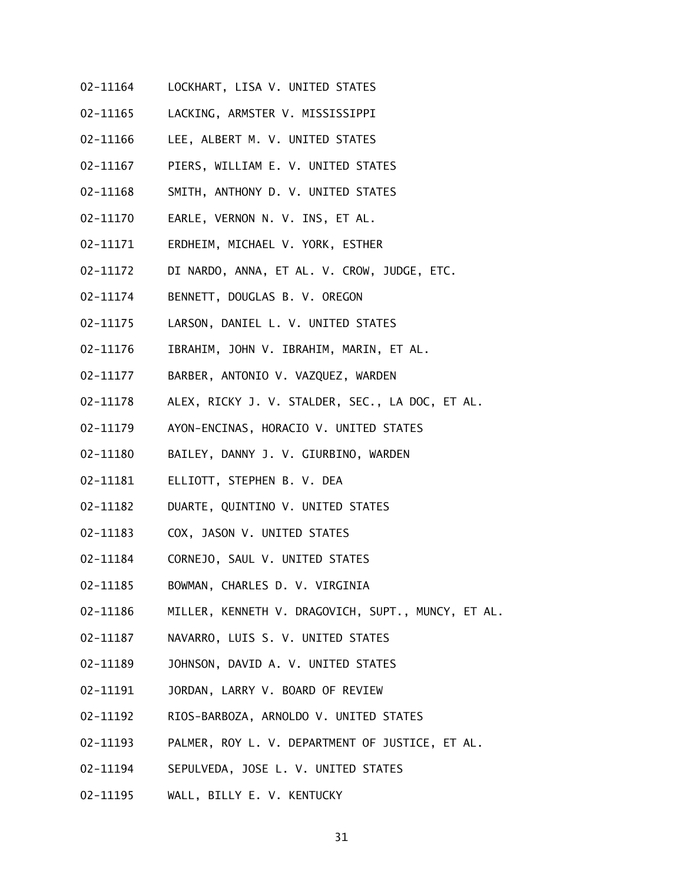- 02-11164 LOCKHART, LISA V. UNITED STATES
- 02-11165 LACKING, ARMSTER V. MISSISSIPPI
- 02-11166 LEE, ALBERT M. V. UNITED STATES
- 02-11167 PIERS, WILLIAM E. V. UNITED STATES
- 02-11168 SMITH, ANTHONY D. V. UNITED STATES
- 02-11170 EARLE, VERNON N. V. INS, ET AL.
- 02-11171 ERDHEIM, MICHAEL V. YORK, ESTHER
- 02-11172 DI NARDO, ANNA, ET AL. V. CROW, JUDGE, ETC.
- 02-11174 BENNETT, DOUGLAS B. V. OREGON
- 02-11175 LARSON, DANIEL L. V. UNITED STATES
- 02-11176 IBRAHIM, JOHN V. IBRAHIM, MARIN, ET AL.
- 02-11177 BARBER, ANTONIO V. VAZQUEZ, WARDEN
- 02-11178 ALEX, RICKY J. V. STALDER, SEC., LA DOC, ET AL.
- 02-11179 AYON-ENCINAS, HORACIO V. UNITED STATES
- 02-11180 BAILEY, DANNY J. V. GIURBINO, WARDEN
- 02-11181 ELLIOTT, STEPHEN B. V. DEA
- 02-11182 DUARTE, QUINTINO V. UNITED STATES
- 02-11183 COX, JASON V. UNITED STATES
- 02-11184 CORNEJO, SAUL V. UNITED STATES
- 02-11185 BOWMAN, CHARLES D. V. VIRGINIA
- 02-11186 MILLER, KENNETH V. DRAGOVICH, SUPT., MUNCY, ET AL.
- 02-11187 NAVARRO, LUIS S. V. UNITED STATES
- 02-11189 JOHNSON, DAVID A. V. UNITED STATES
- 02-11191 JORDAN, LARRY V. BOARD OF REVIEW
- 02-11192 RIOS-BARBOZA, ARNOLDO V. UNITED STATES
- 02-11193 PALMER, ROY L. V. DEPARTMENT OF JUSTICE, ET AL.
- 02-11194 SEPULVEDA, JOSE L. V. UNITED STATES
- 02-11195 WALL, BILLY E. V. KENTUCKY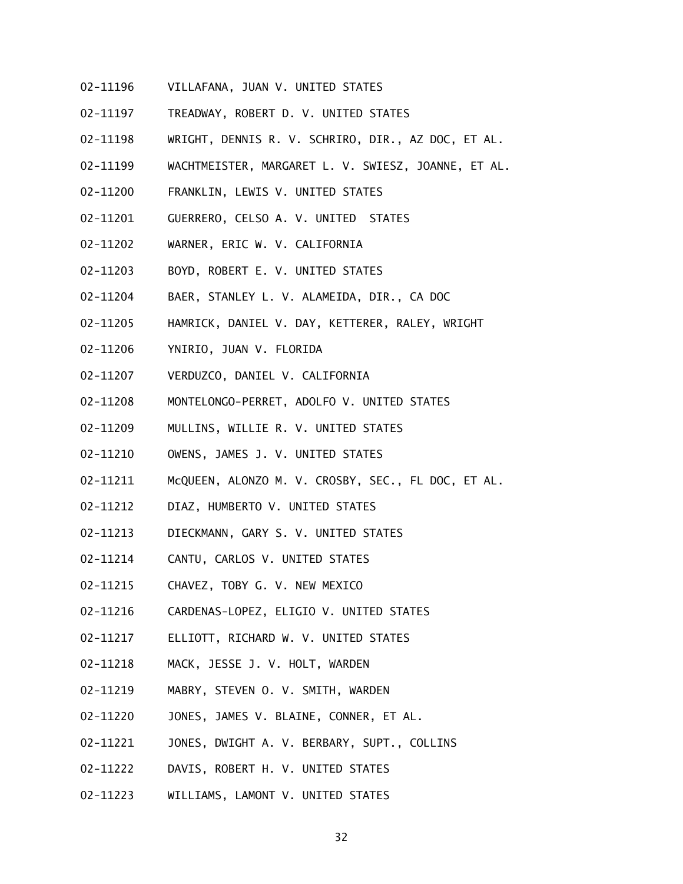- 02-11196 VILLAFANA, JUAN V. UNITED STATES
- 02-11197 TREADWAY, ROBERT D. V. UNITED STATES
- 02-11198 WRIGHT, DENNIS R. V. SCHRIRO, DIR., AZ DOC, ET AL.
- 02-11199 WACHTMEISTER, MARGARET L. V. SWIESZ, JOANNE, ET AL.
- 02-11200 FRANKLIN, LEWIS V. UNITED STATES
- 02-11201 GUERRERO, CELSO A. V. UNITED STATES
- 02-11202 WARNER, ERIC W. V. CALIFORNIA
- 02-11203 BOYD, ROBERT E. V. UNITED STATES
- 02-11204 BAER, STANLEY L. V. ALAMEIDA, DIR., CA DOC
- 02-11205 HAMRICK, DANIEL V. DAY, KETTERER, RALEY, WRIGHT
- 02-11206 YNIRIO, JUAN V. FLORIDA
- 02-11207 VERDUZCO, DANIEL V. CALIFORNIA
- 02-11208 MONTELONGO-PERRET, ADOLFO V. UNITED STATES
- 02-11209 MULLINS, WILLIE R. V. UNITED STATES
- 02-11210 OWENS, JAMES J. V. UNITED STATES
- 02-11211 McQUEEN, ALONZO M. V. CROSBY, SEC., FL DOC, ET AL.
- 02-11212 DIAZ, HUMBERTO V. UNITED STATES
- 02-11213 DIECKMANN, GARY S. V. UNITED STATES
- 02-11214 CANTU, CARLOS V. UNITED STATES
- 02-11215 CHAVEZ, TOBY G. V. NEW MEXICO
- 02-11216 CARDENAS-LOPEZ, ELIGIO V. UNITED STATES
- 02-11217 ELLIOTT, RICHARD W. V. UNITED STATES
- 02-11218 MACK, JESSE J. V. HOLT, WARDEN
- 02-11219 MABRY, STEVEN O. V. SMITH, WARDEN
- 02-11220 JONES, JAMES V. BLAINE, CONNER, ET AL.
- 02-11221 JONES, DWIGHT A. V. BERBARY, SUPT., COLLINS
- 02-11222 DAVIS, ROBERT H. V. UNITED STATES
- 02-11223 WILLIAMS, LAMONT V. UNITED STATES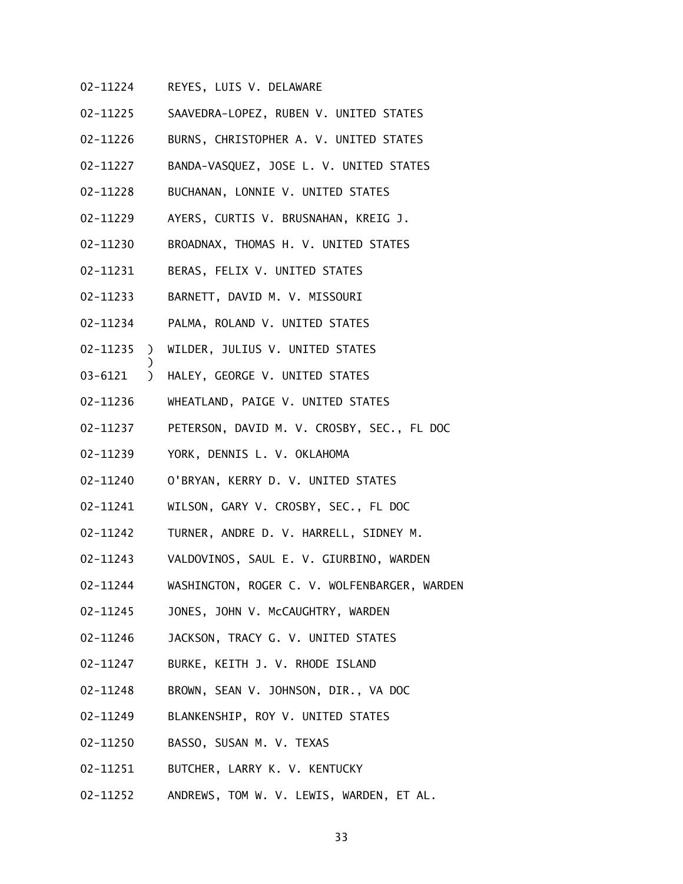- 02-11224 REYES, LUIS V. DELAWARE
- 02-11225 SAAVEDRA-LOPEZ, RUBEN V. UNITED STATES
- 02-11226 BURNS, CHRISTOPHER A. V. UNITED STATES
- 02-11227 BANDA-VASQUEZ, JOSE L. V. UNITED STATES
- 02-11228 BUCHANAN, LONNIE V. UNITED STATES
- 02-11229 AYERS, CURTIS V. BRUSNAHAN, KREIG J.
- 02-11230 BROADNAX, THOMAS H. V. UNITED STATES
- 02-11231 BERAS, FELIX V. UNITED STATES
- 02-11233 BARNETT, DAVID M. V. MISSOURI
- 02-11234 PALMA, ROLAND V. UNITED STATES
- 02-11235 ) WILDER, JULIUS V. UNITED STATES
- 03-6121 ) HALEY, GEORGE V. UNITED STATES

- 02-11236 WHEATLAND, PAIGE V. UNITED STATES
- 02-11237 PETERSON, DAVID M. V. CROSBY, SEC., FL DOC
- 02-11239 YORK, DENNIS L. V. OKLAHOMA
- 02-11240 O'BRYAN, KERRY D. V. UNITED STATES
- 02-11241 WILSON, GARY V. CROSBY, SEC., FL DOC
- 02-11242 TURNER, ANDRE D. V. HARRELL, SIDNEY M.
- 02-11243 VALDOVINOS, SAUL E. V. GIURBINO, WARDEN
- 02-11244 WASHINGTON, ROGER C. V. WOLFENBARGER, WARDEN
- 02-11245 JONES, JOHN V. McCAUGHTRY, WARDEN
- 02-11246 JACKSON, TRACY G. V. UNITED STATES
- 02-11247 BURKE, KEITH J. V. RHODE ISLAND
- 02-11248 BROWN, SEAN V. JOHNSON, DIR., VA DOC
- 02-11249 BLANKENSHIP, ROY V. UNITED STATES
- 02-11250 BASSO, SUSAN M. V. TEXAS
- 02-11251 BUTCHER, LARRY K. V. KENTUCKY
- 02-11252 ANDREWS, TOM W. V. LEWIS, WARDEN, ET AL.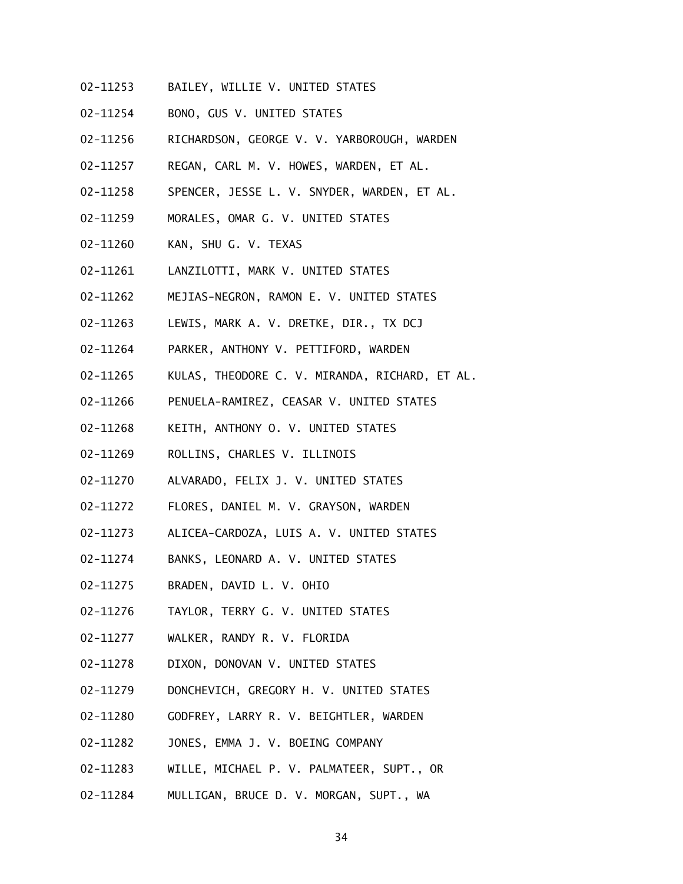- 02-11253 BAILEY, WILLIE V. UNITED STATES
- 02-11254 BONO, GUS V. UNITED STATES
- 02-11256 RICHARDSON, GEORGE V. V. YARBOROUGH, WARDEN
- 02-11257 REGAN, CARL M. V. HOWES, WARDEN, ET AL.
- 02-11258 SPENCER, JESSE L. V. SNYDER, WARDEN, ET AL.
- 02-11259 MORALES, OMAR G. V. UNITED STATES
- 02-11260 KAN, SHU G. V. TEXAS
- 02-11261 LANZILOTTI, MARK V. UNITED STATES
- 02-11262 MEJIAS-NEGRON, RAMON E. V. UNITED STATES
- 02-11263 LEWIS, MARK A. V. DRETKE, DIR., TX DCJ
- 02-11264 PARKER, ANTHONY V. PETTIFORD, WARDEN
- 02-11265 KULAS, THEODORE C. V. MIRANDA, RICHARD, ET AL.
- 02-11266 PENUELA-RAMIREZ, CEASAR V. UNITED STATES
- 02-11268 KEITH, ANTHONY O. V. UNITED STATES
- 02-11269 ROLLINS, CHARLES V. ILLINOIS
- 02-11270 ALVARADO, FELIX J. V. UNITED STATES
- 02-11272 FLORES, DANIEL M. V. GRAYSON, WARDEN
- 02-11273 ALICEA-CARDOZA, LUIS A. V. UNITED STATES
- 02-11274 BANKS, LEONARD A. V. UNITED STATES
- 02-11275 BRADEN, DAVID L. V. OHIO
- 02-11276 TAYLOR, TERRY G. V. UNITED STATES
- 02-11277 WALKER, RANDY R. V. FLORIDA
- 02-11278 DIXON, DONOVAN V. UNITED STATES
- 02-11279 DONCHEVICH, GREGORY H. V. UNITED STATES
- 02-11280 GODFREY, LARRY R. V. BEIGHTLER, WARDEN
- 02-11282 JONES, EMMA J. V. BOEING COMPANY
- 02-11283 WILLE, MICHAEL P. V. PALMATEER, SUPT., OR
- 02-11284 MULLIGAN, BRUCE D. V. MORGAN, SUPT., WA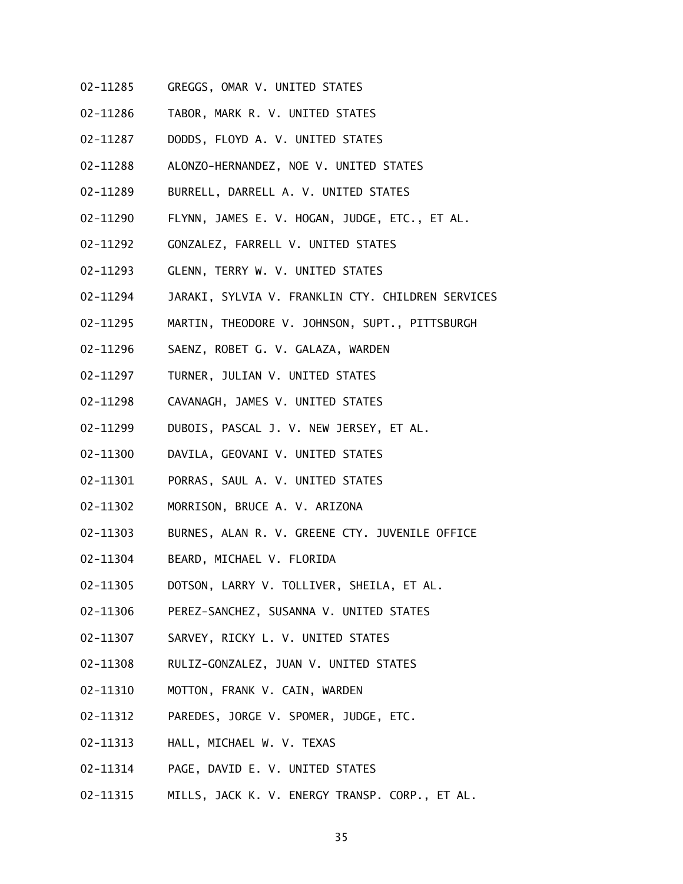- 02-11285 GREGGS, OMAR V. UNITED STATES
- 02-11286 TABOR, MARK R. V. UNITED STATES
- 02-11287 DODDS, FLOYD A. V. UNITED STATES
- 02-11288 ALONZO-HERNANDEZ, NOE V. UNITED STATES
- 02-11289 BURRELL, DARRELL A. V. UNITED STATES
- 02-11290 FLYNN, JAMES E. V. HOGAN, JUDGE, ETC., ET AL.
- 02-11292 GONZALEZ, FARRELL V. UNITED STATES
- 02-11293 GLENN, TERRY W. V. UNITED STATES
- 02-11294 JARAKI, SYLVIA V. FRANKLIN CTY. CHILDREN SERVICES
- 02-11295 MARTIN, THEODORE V. JOHNSON, SUPT., PITTSBURGH
- 02-11296 SAENZ, ROBET G. V. GALAZA, WARDEN
- 02-11297 TURNER, JULIAN V. UNITED STATES
- 02-11298 CAVANAGH, JAMES V. UNITED STATES
- 02-11299 DUBOIS, PASCAL J. V. NEW JERSEY, ET AL.
- 02-11300 DAVILA, GEOVANI V. UNITED STATES
- 02-11301 PORRAS, SAUL A. V. UNITED STATES
- 02-11302 MORRISON, BRUCE A. V. ARIZONA
- 02-11303 BURNES, ALAN R. V. GREENE CTY. JUVENILE OFFICE
- 02-11304 BEARD, MICHAEL V. FLORIDA
- 02-11305 DOTSON, LARRY V. TOLLIVER, SHEILA, ET AL.
- 02-11306 PEREZ-SANCHEZ, SUSANNA V. UNITED STATES
- 02-11307 SARVEY, RICKY L. V. UNITED STATES
- 02-11308 RULIZ-GONZALEZ, JUAN V. UNITED STATES
- 02-11310 MOTTON, FRANK V. CAIN, WARDEN
- 02-11312 PAREDES, JORGE V. SPOMER, JUDGE, ETC.
- 02-11313 HALL, MICHAEL W. V. TEXAS
- 02-11314 PAGE, DAVID E. V. UNITED STATES
- 02-11315 MILLS, JACK K. V. ENERGY TRANSP. CORP., ET AL.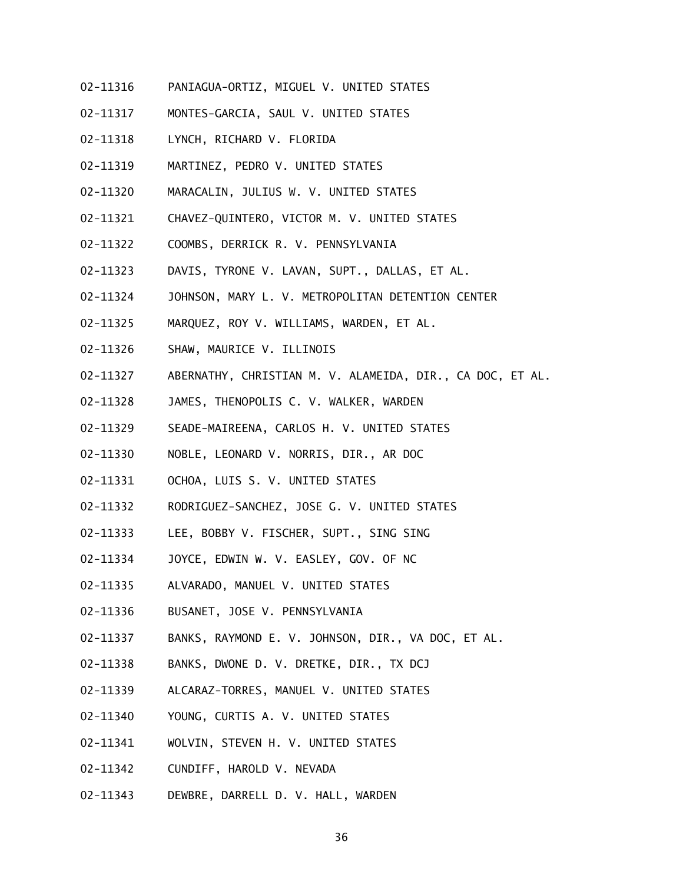- 02-11316 PANIAGUA-ORTIZ, MIGUEL V. UNITED STATES
- 02-11317 MONTES-GARCIA, SAUL V. UNITED STATES
- 02-11318 LYNCH, RICHARD V. FLORIDA
- 02-11319 MARTINEZ, PEDRO V. UNITED STATES
- 02-11320 MARACALIN, JULIUS W. V. UNITED STATES
- 02-11321 CHAVEZ-QUINTERO, VICTOR M. V. UNITED STATES
- 02-11322 COOMBS, DERRICK R. V. PENNSYLVANIA
- 02-11323 DAVIS, TYRONE V. LAVAN, SUPT., DALLAS, ET AL.
- 02-11324 JOHNSON, MARY L. V. METROPOLITAN DETENTION CENTER
- 02-11325 MARQUEZ, ROY V. WILLIAMS, WARDEN, ET AL.
- 02-11326 SHAW, MAURICE V. ILLINOIS
- 02-11327 ABERNATHY, CHRISTIAN M. V. ALAMEIDA, DIR., CA DOC, ET AL.
- 02-11328 JAMES, THENOPOLIS C. V. WALKER, WARDEN
- 02-11329 SEADE-MAIREENA, CARLOS H. V. UNITED STATES
- 02-11330 NOBLE, LEONARD V. NORRIS, DIR., AR DOC
- 02-11331 OCHOA, LUIS S. V. UNITED STATES
- 02-11332 RODRIGUEZ-SANCHEZ, JOSE G. V. UNITED STATES
- 02-11333 LEE, BOBBY V. FISCHER, SUPT., SING SING
- 02-11334 JOYCE, EDWIN W. V. EASLEY, GOV. OF NC
- 02-11335 ALVARADO, MANUEL V. UNITED STATES
- 02-11336 BUSANET, JOSE V. PENNSYLVANIA
- 02-11337 BANKS, RAYMOND E. V. JOHNSON, DIR., VA DOC, ET AL.
- 02-11338 BANKS, DWONE D. V. DRETKE, DIR., TX DCJ
- 02-11339 ALCARAZ-TORRES, MANUEL V. UNITED STATES
- 02-11340 YOUNG, CURTIS A. V. UNITED STATES
- 02-11341 WOLVIN, STEVEN H. V. UNITED STATES
- 02-11342 CUNDIFF, HAROLD V. NEVADA
- 02-11343 DEWBRE, DARRELL D. V. HALL, WARDEN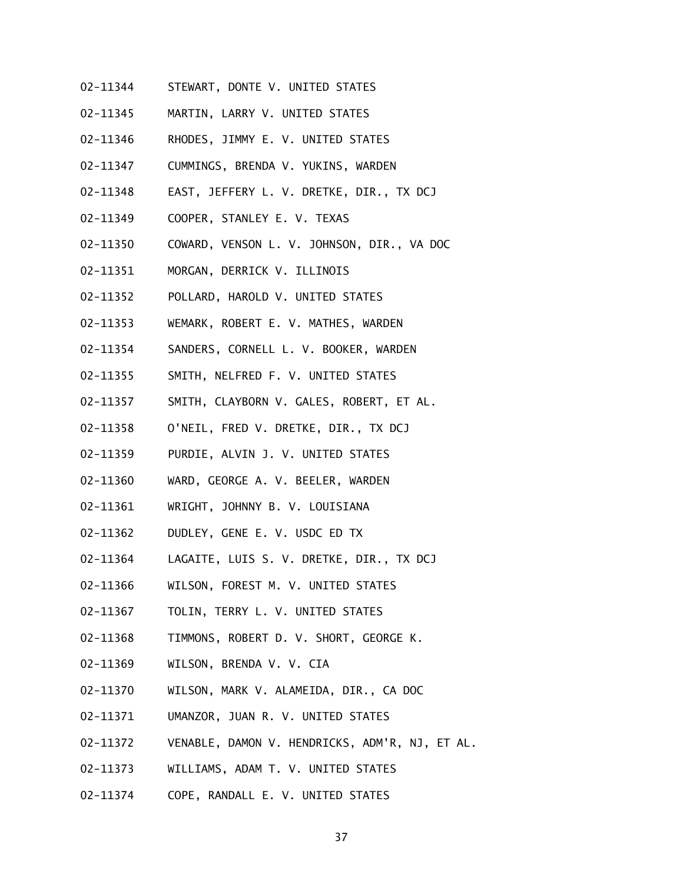- 02-11344 STEWART, DONTE V. UNITED STATES
- 02-11345 MARTIN, LARRY V. UNITED STATES
- 02-11346 RHODES, JIMMY E. V. UNITED STATES
- 02-11347 CUMMINGS, BRENDA V. YUKINS, WARDEN
- 02-11348 EAST, JEFFERY L. V. DRETKE, DIR., TX DCJ
- 02-11349 COOPER, STANLEY E. V. TEXAS
- 02-11350 COWARD, VENSON L. V. JOHNSON, DIR., VA DOC
- 02-11351 MORGAN, DERRICK V. ILLINOIS
- 02-11352 POLLARD, HAROLD V. UNITED STATES
- 02-11353 WEMARK, ROBERT E. V. MATHES, WARDEN
- 02-11354 SANDERS, CORNELL L. V. BOOKER, WARDEN
- 02-11355 SMITH, NELFRED F. V. UNITED STATES
- 02-11357 SMITH, CLAYBORN V. GALES, ROBERT, ET AL.
- 02-11358 O'NEIL, FRED V. DRETKE, DIR., TX DCJ
- 02-11359 PURDIE, ALVIN J. V. UNITED STATES
- 02-11360 WARD, GEORGE A. V. BEELER, WARDEN
- 02-11361 WRIGHT, JOHNNY B. V. LOUISIANA
- 02-11362 DUDLEY, GENE E. V. USDC ED TX
- 02-11364 LAGAITE, LUIS S. V. DRETKE, DIR., TX DCJ
- 02-11366 WILSON, FOREST M. V. UNITED STATES
- 02-11367 TOLIN, TERRY L. V. UNITED STATES
- 02-11368 TIMMONS, ROBERT D. V. SHORT, GEORGE K.
- 02-11369 WILSON, BRENDA V. V. CIA
- 02-11370 WILSON, MARK V. ALAMEIDA, DIR., CA DOC
- 02-11371 UMANZOR, JUAN R. V. UNITED STATES
- 02-11372 VENABLE, DAMON V. HENDRICKS, ADM'R, NJ, ET AL.
- 02-11373 WILLIAMS, ADAM T. V. UNITED STATES
- 02-11374 COPE, RANDALL E. V. UNITED STATES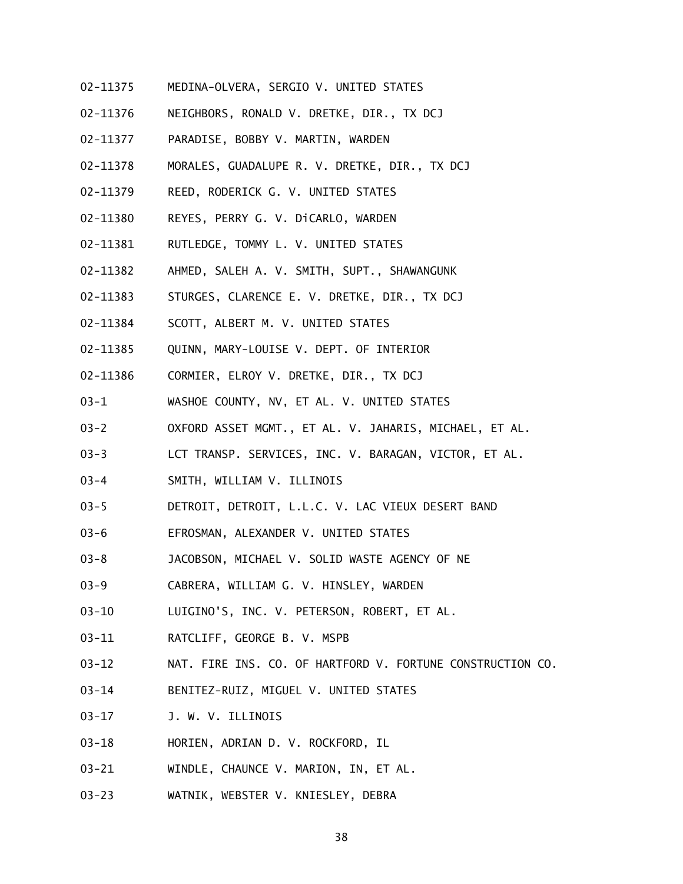- 02-11375 MEDINA-OLVERA, SERGIO V. UNITED STATES
- 02-11376 NEIGHBORS, RONALD V. DRETKE, DIR., TX DCJ
- 02-11377 PARADISE, BOBBY V. MARTIN, WARDEN
- 02-11378 MORALES, GUADALUPE R. V. DRETKE, DIR., TX DCJ
- 02-11379 REED, RODERICK G. V. UNITED STATES
- 02-11380 REYES, PERRY G. V. DiCARLO, WARDEN
- 02-11381 RUTLEDGE, TOMMY L. V. UNITED STATES
- 02-11382 AHMED, SALEH A. V. SMITH, SUPT., SHAWANGUNK
- 02-11383 STURGES, CLARENCE E. V. DRETKE, DIR., TX DCJ
- 02-11384 SCOTT, ALBERT M. V. UNITED STATES
- 02-11385 QUINN, MARY-LOUISE V. DEPT. OF INTERIOR
- 02-11386 CORMIER, ELROY V. DRETKE, DIR., TX DCJ
- 03-1 WASHOE COUNTY, NV, ET AL. V. UNITED STATES
- 03-2 OXFORD ASSET MGMT., ET AL. V. JAHARIS, MICHAEL, ET AL.
- 03-3 LCT TRANSP. SERVICES, INC. V. BARAGAN, VICTOR, ET AL.
- 03-4 SMITH, WILLIAM V. ILLINOIS
- 03-5 DETROIT, DETROIT, L.L.C. V. LAC VIEUX DESERT BAND
- 03-6 EFROSMAN, ALEXANDER V. UNITED STATES
- 03-8 JACOBSON, MICHAEL V. SOLID WASTE AGENCY OF NE
- 03-9 CABRERA, WILLIAM G. V. HINSLEY, WARDEN
- 03-10 LUIGINO'S, INC. V. PETERSON, ROBERT, ET AL.
- 03-11 RATCLIFF, GEORGE B. V. MSPB
- 03-12 NAT. FIRE INS. CO. OF HARTFORD V. FORTUNE CONSTRUCTION CO.
- 03-14 BENITEZ-RUIZ, MIGUEL V. UNITED STATES
- 03-17 J. W. V. ILLINOIS
- 03-18 HORIEN, ADRIAN D. V. ROCKFORD, IL
- 03-21 WINDLE, CHAUNCE V. MARION, IN, ET AL.
- 03-23 WATNIK, WEBSTER V. KNIESLEY, DEBRA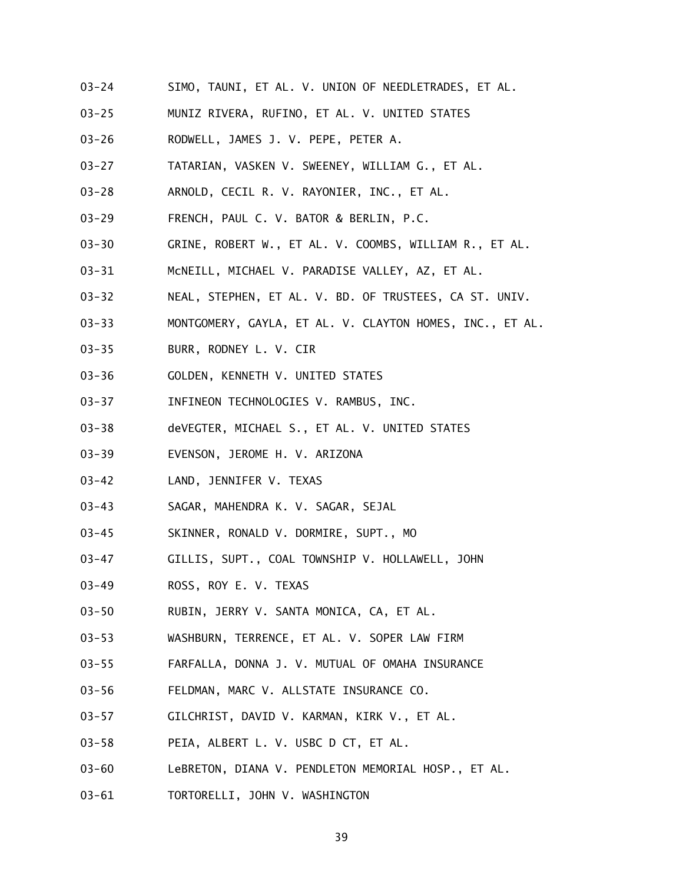- 03-24 SIMO, TAUNI, ET AL. V. UNION OF NEEDLETRADES, ET AL.
- 03-25 MUNIZ RIVERA, RUFINO, ET AL. V. UNITED STATES
- 03-26 RODWELL, JAMES J. V. PEPE, PETER A.
- 03-27 TATARIAN, VASKEN V. SWEENEY, WILLIAM G., ET AL.
- 03-28 ARNOLD, CECIL R. V. RAYONIER, INC., ET AL.
- 03-29 FRENCH, PAUL C. V. BATOR & BERLIN, P.C.
- 03-30 GRINE, ROBERT W., ET AL. V. COOMBS, WILLIAM R., ET AL.
- 03-31 McNEILL, MICHAEL V. PARADISE VALLEY, AZ, ET AL.
- 03-32 NEAL, STEPHEN, ET AL. V. BD. OF TRUSTEES, CA ST. UNIV.
- 03-33 MONTGOMERY, GAYLA, ET AL. V. CLAYTON HOMES, INC., ET AL.
- 03-35 BURR, RODNEY L. V. CIR
- 03-36 GOLDEN, KENNETH V. UNITED STATES
- 03-37 INFINEON TECHNOLOGIES V. RAMBUS, INC.
- 03-38 deVEGTER, MICHAEL S., ET AL. V. UNITED STATES
- 03-39 EVENSON, JEROME H. V. ARIZONA
- 03-42 LAND, JENNIFER V. TEXAS
- 03-43 SAGAR, MAHENDRA K. V. SAGAR, SEJAL
- 03-45 SKINNER, RONALD V. DORMIRE, SUPT., MO
- 03-47 GILLIS, SUPT., COAL TOWNSHIP V. HOLLAWELL, JOHN
- 03-49 ROSS, ROY E. V. TEXAS
- 03-50 RUBIN, JERRY V. SANTA MONICA, CA, ET AL.
- 03-53 WASHBURN, TERRENCE, ET AL. V. SOPER LAW FIRM
- 03-55 FARFALLA, DONNA J. V. MUTUAL OF OMAHA INSURANCE
- 03-56 FELDMAN, MARC V. ALLSTATE INSURANCE CO.
- 03-57 GILCHRIST, DAVID V. KARMAN, KIRK V., ET AL.
- 03-58 PEIA, ALBERT L. V. USBC D CT, ET AL.
- 03-60 LeBRETON, DIANA V. PENDLETON MEMORIAL HOSP., ET AL.
- 03-61 TORTORELLI, JOHN V. WASHINGTON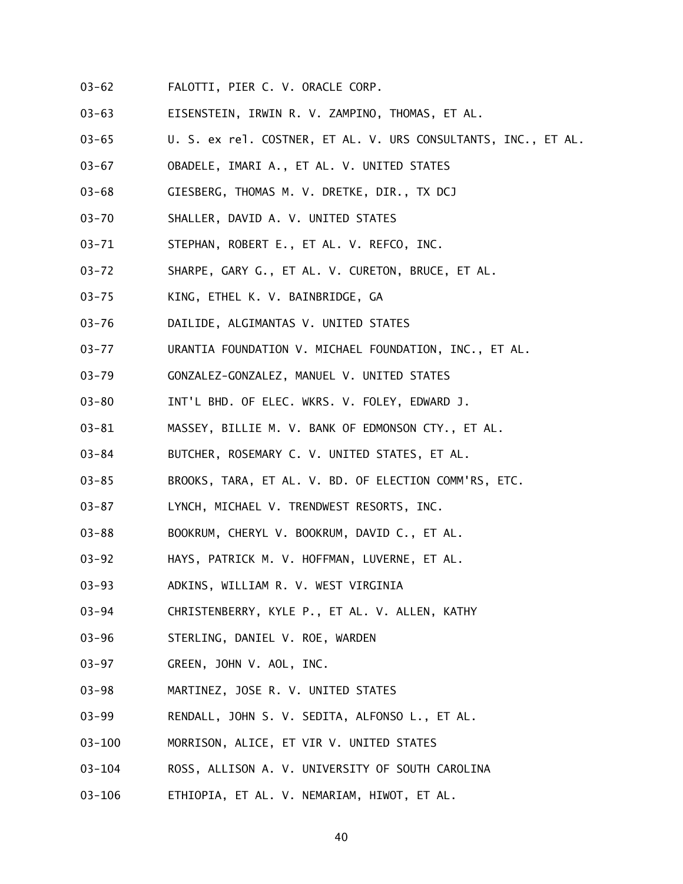- 03-62 FALOTTI, PIER C. V. ORACLE CORP.
- 03-63 EISENSTEIN, IRWIN R. V. ZAMPINO, THOMAS, ET AL.
- 03-65 U. S. ex rel. COSTNER, ET AL. V. URS CONSULTANTS, INC., ET AL.
- 03-67 OBADELE, IMARI A., ET AL. V. UNITED STATES
- 03-68 GIESBERG, THOMAS M. V. DRETKE, DIR., TX DCJ
- 03-70 SHALLER, DAVID A. V. UNITED STATES
- 03-71 STEPHAN, ROBERT E., ET AL. V. REFCO, INC.
- 03-72 SHARPE, GARY G., ET AL. V. CURETON, BRUCE, ET AL.
- 03-75 KING, ETHEL K. V. BAINBRIDGE, GA
- 03-76 DAILIDE, ALGIMANTAS V. UNITED STATES
- 03-77 URANTIA FOUNDATION V. MICHAEL FOUNDATION, INC., ET AL.
- 03-79 GONZALEZ-GONZALEZ, MANUEL V. UNITED STATES
- 03-80 INT'L BHD. OF ELEC. WKRS. V. FOLEY, EDWARD J.
- 03-81 MASSEY, BILLIE M. V. BANK OF EDMONSON CTY., ET AL.
- 03-84 BUTCHER, ROSEMARY C. V. UNITED STATES, ET AL.
- 03-85 BROOKS, TARA, ET AL. V. BD. OF ELECTION COMM'RS, ETC.
- 03-87 LYNCH, MICHAEL V. TRENDWEST RESORTS, INC.
- 03-88 BOOKRUM, CHERYL V. BOOKRUM, DAVID C., ET AL.
- 03-92 HAYS, PATRICK M. V. HOFFMAN, LUVERNE, ET AL.
- 03-93 ADKINS, WILLIAM R. V. WEST VIRGINIA
- 03-94 CHRISTENBERRY, KYLE P., ET AL. V. ALLEN, KATHY
- 03-96 STERLING, DANIEL V. ROE, WARDEN
- 03-97 GREEN, JOHN V. AOL, INC.
- 03-98 MARTINEZ, JOSE R. V. UNITED STATES
- 03-99 RENDALL, JOHN S. V. SEDITA, ALFONSO L., ET AL.
- 03-100 MORRISON, ALICE, ET VIR V. UNITED STATES
- 03-104 ROSS, ALLISON A. V. UNIVERSITY OF SOUTH CAROLINA
- 03-106 ETHIOPIA, ET AL. V. NEMARIAM, HIWOT, ET AL.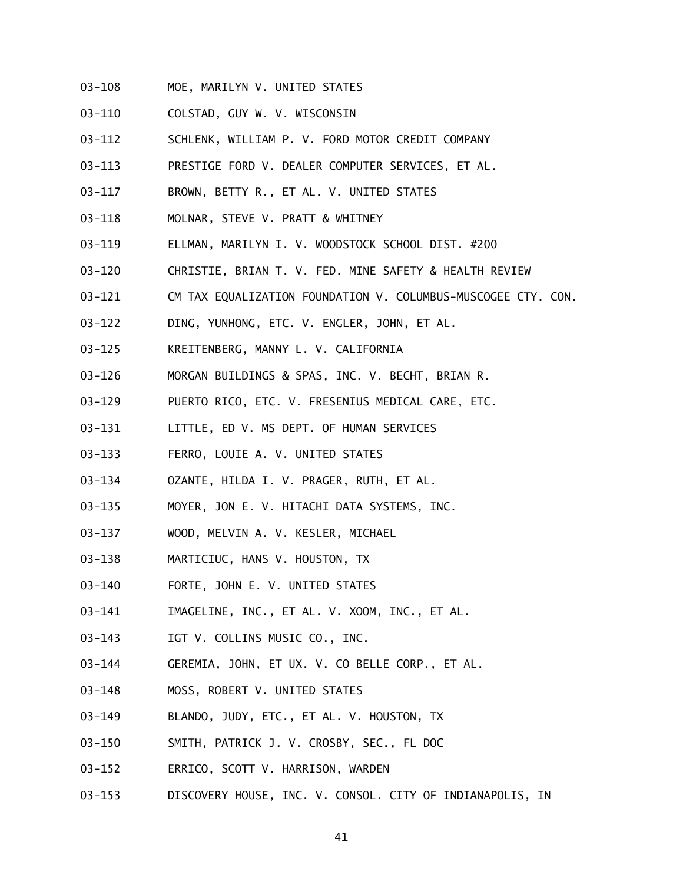- 03-108 MOE, MARILYN V. UNITED STATES
- 03-110 COLSTAD, GUY W. V. WISCONSIN
- 03-112 SCHLENK, WILLIAM P. V. FORD MOTOR CREDIT COMPANY
- 03-113 PRESTIGE FORD V. DEALER COMPUTER SERVICES, ET AL.
- 03-117 BROWN, BETTY R., ET AL. V. UNITED STATES
- 03-118 MOLNAR, STEVE V. PRATT & WHITNEY
- 03-119 ELLMAN, MARILYN I. V. WOODSTOCK SCHOOL DIST. #200
- 03-120 CHRISTIE, BRIAN T. V. FED. MINE SAFETY & HEALTH REVIEW
- 03-121 CM TAX EQUALIZATION FOUNDATION V. COLUMBUS-MUSCOGEE CTY. CON.
- 03-122 DING, YUNHONG, ETC. V. ENGLER, JOHN, ET AL.
- 03-125 KREITENBERG, MANNY L. V. CALIFORNIA
- 03-126 MORGAN BUILDINGS & SPAS, INC. V. BECHT, BRIAN R.
- 03-129 PUERTO RICO, ETC. V. FRESENIUS MEDICAL CARE, ETC.
- 03-131 LITTLE, ED V. MS DEPT. OF HUMAN SERVICES
- 03-133 FERRO, LOUIE A. V. UNITED STATES
- 03-134 OZANTE, HILDA I. V. PRAGER, RUTH, ET AL.
- 03-135 MOYER, JON E. V. HITACHI DATA SYSTEMS, INC.
- 03-137 WOOD, MELVIN A. V. KESLER, MICHAEL
- 03-138 MARTICIUC, HANS V. HOUSTON, TX
- 03-140 FORTE, JOHN E. V. UNITED STATES
- 03-141 IMAGELINE, INC., ET AL. V. XOOM, INC., ET AL.
- 03-143 IGT V. COLLINS MUSIC CO., INC.
- 03-144 GEREMIA, JOHN, ET UX. V. CO BELLE CORP., ET AL.
- 03-148 MOSS, ROBERT V. UNITED STATES
- 03-149 BLANDO, JUDY, ETC., ET AL. V. HOUSTON, TX
- 03-150 SMITH, PATRICK J. V. CROSBY, SEC., FL DOC
- 03-152 ERRICO, SCOTT V. HARRISON, WARDEN
- 03-153 DISCOVERY HOUSE, INC. V. CONSOL. CITY OF INDIANAPOLIS, IN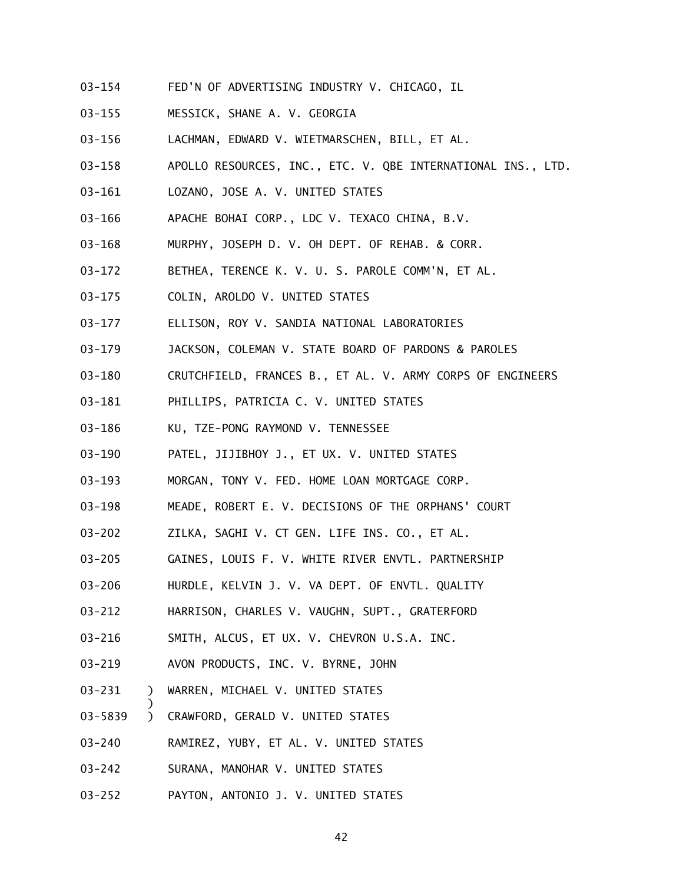- 03-154 FED'N OF ADVERTISING INDUSTRY V. CHICAGO, IL
- 03-155 MESSICK, SHANE A. V. GEORGIA
- 03-156 LACHMAN, EDWARD V. WIETMARSCHEN, BILL, ET AL.
- 03-158 APOLLO RESOURCES, INC., ETC. V. QBE INTERNATIONAL INS., LTD.
- 03-161 LOZANO, JOSE A. V. UNITED STATES
- 03-166 APACHE BOHAI CORP., LDC V. TEXACO CHINA, B.V.
- 03-168 MURPHY, JOSEPH D. V. OH DEPT. OF REHAB. & CORR.
- 03-172 BETHEA, TERENCE K. V. U. S. PAROLE COMM'N, ET AL.
- 03-175 COLIN, AROLDO V. UNITED STATES
- 03-177 ELLISON, ROY V. SANDIA NATIONAL LABORATORIES
- 03-179 JACKSON, COLEMAN V. STATE BOARD OF PARDONS & PAROLES
- 03-180 CRUTCHFIELD, FRANCES B., ET AL. V. ARMY CORPS OF ENGINEERS
- 03-181 PHILLIPS, PATRICIA C. V. UNITED STATES
- 03-186 KU, TZE-PONG RAYMOND V. TENNESSEE
- 03-190 PATEL, JIJIBHOY J., ET UX. V. UNITED STATES
- 03-193 MORGAN, TONY V. FED. HOME LOAN MORTGAGE CORP.
- 03-198 MEADE, ROBERT E. V. DECISIONS OF THE ORPHANS' COURT
- 03-202 ZILKA, SAGHI V. CT GEN. LIFE INS. CO., ET AL.
- 03-205 GAINES, LOUIS F. V. WHITE RIVER ENVTL. PARTNERSHIP
- 03-206 HURDLE, KELVIN J. V. VA DEPT. OF ENVTL. QUALITY
- 03-212 HARRISON, CHARLES V. VAUGHN, SUPT., GRATERFORD
- 03-216 SMITH, ALCUS, ET UX. V. CHEVRON U.S.A. INC.
- 03-219 AVON PRODUCTS, INC. V. BYRNE, JOHN
- 03-231 ) WARREN, MICHAEL V. UNITED STATES

)

- 03-5839 ) CRAWFORD, GERALD V. UNITED STATES
- 03-240 RAMIREZ, YUBY, ET AL. V. UNITED STATES
- 03-242 SURANA, MANOHAR V. UNITED STATES
- 03-252 PAYTON, ANTONIO J. V. UNITED STATES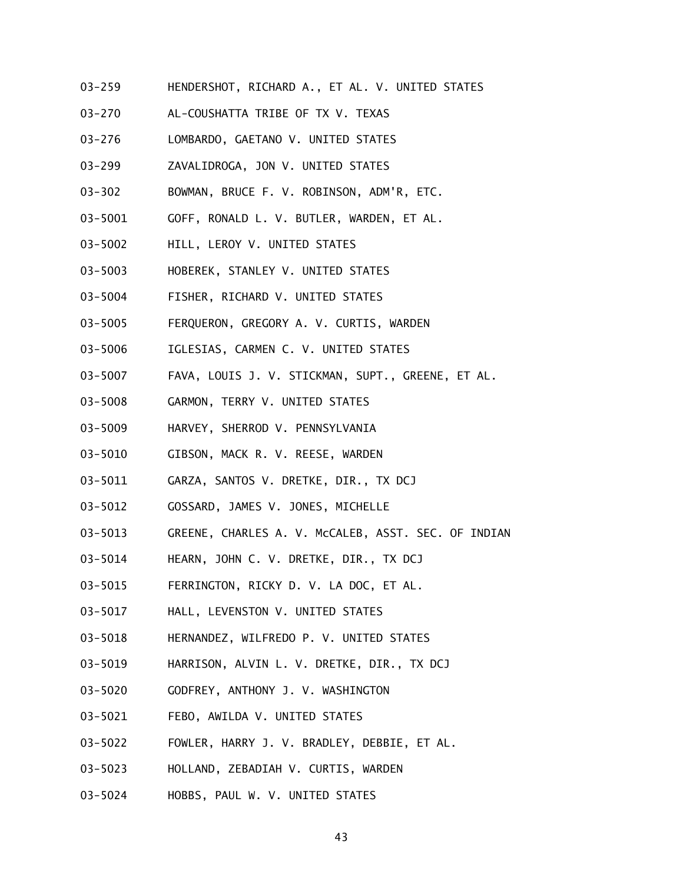- 03-259 HENDERSHOT, RICHARD A., ET AL. V. UNITED STATES
- 03-270 AL-COUSHATTA TRIBE OF TX V. TEXAS
- 03-276 LOMBARDO, GAETANO V. UNITED STATES
- 03-299 ZAVALIDROGA, JON V. UNITED STATES
- 03-302 BOWMAN, BRUCE F. V. ROBINSON, ADM'R, ETC.
- 03-5001 GOFF, RONALD L. V. BUTLER, WARDEN, ET AL.
- 03-5002 HILL, LEROY V. UNITED STATES
- 03-5003 HOBEREK, STANLEY V. UNITED STATES
- 03-5004 FISHER, RICHARD V. UNITED STATES
- 03-5005 FERQUERON, GREGORY A. V. CURTIS, WARDEN
- 03-5006 IGLESIAS, CARMEN C. V. UNITED STATES
- 03-5007 FAVA, LOUIS J. V. STICKMAN, SUPT., GREENE, ET AL.
- 03-5008 GARMON, TERRY V. UNITED STATES
- 03-5009 HARVEY, SHERROD V. PENNSYLVANIA
- 03-5010 GIBSON, MACK R. V. REESE, WARDEN
- 03-5011 GARZA, SANTOS V. DRETKE, DIR., TX DCJ
- 03-5012 GOSSARD, JAMES V. JONES, MICHELLE
- 03-5013 GREENE, CHARLES A. V. McCALEB, ASST. SEC. OF INDIAN
- 03-5014 HEARN, JOHN C. V. DRETKE, DIR., TX DCJ
- 03-5015 FERRINGTON, RICKY D. V. LA DOC, ET AL.
- 03-5017 HALL, LEVENSTON V. UNITED STATES
- 03-5018 HERNANDEZ, WILFREDO P. V. UNITED STATES
- 03-5019 HARRISON, ALVIN L. V. DRETKE, DIR., TX DCJ
- 03-5020 GODFREY, ANTHONY J. V. WASHINGTON
- 03-5021 FEBO, AWILDA V. UNITED STATES
- 03-5022 FOWLER, HARRY J. V. BRADLEY, DEBBIE, ET AL.
- 03-5023 HOLLAND, ZEBADIAH V. CURTIS, WARDEN
- 03-5024 HOBBS, PAUL W. V. UNITED STATES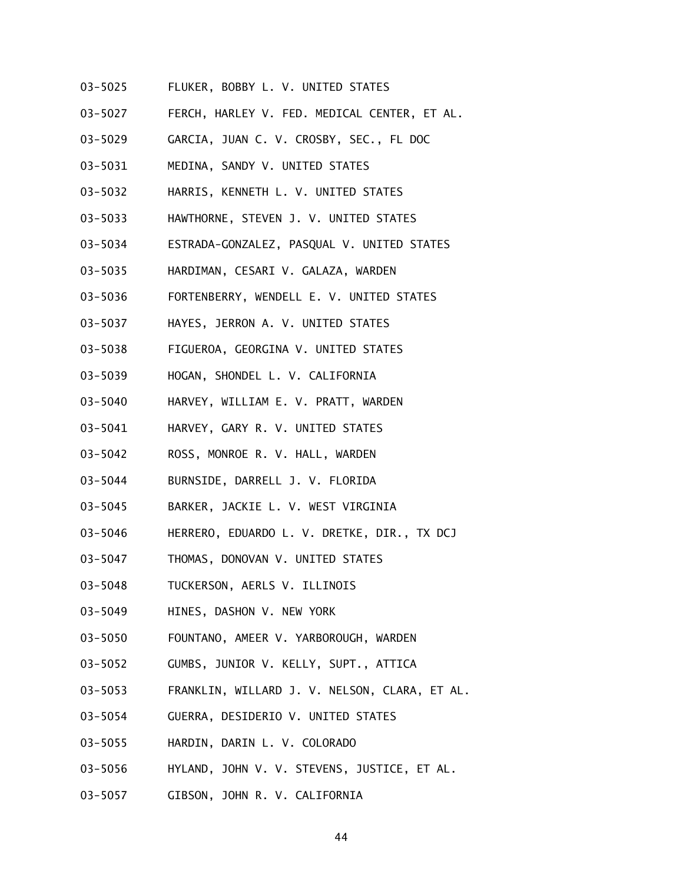- 03-5025 FLUKER, BOBBY L. V. UNITED STATES
- 03-5027 FERCH, HARLEY V. FED. MEDICAL CENTER, ET AL.
- 03-5029 GARCIA, JUAN C. V. CROSBY, SEC., FL DOC
- 03-5031 MEDINA, SANDY V. UNITED STATES
- 03-5032 HARRIS, KENNETH L. V. UNITED STATES
- 03-5033 HAWTHORNE, STEVEN J. V. UNITED STATES
- 03-5034 ESTRADA-GONZALEZ, PASQUAL V. UNITED STATES
- 03-5035 HARDIMAN, CESARI V. GALAZA, WARDEN
- 03-5036 FORTENBERRY, WENDELL E. V. UNITED STATES
- 03-5037 HAYES, JERRON A. V. UNITED STATES
- 03-5038 FIGUEROA, GEORGINA V. UNITED STATES
- 03-5039 HOGAN, SHONDEL L. V. CALIFORNIA
- 03-5040 HARVEY, WILLIAM E. V. PRATT, WARDEN
- 03-5041 HARVEY, GARY R. V. UNITED STATES
- 03-5042 ROSS, MONROE R. V. HALL, WARDEN
- 03-5044 BURNSIDE, DARRELL J. V. FLORIDA
- 03-5045 BARKER, JACKIE L. V. WEST VIRGINIA
- 03-5046 HERRERO, EDUARDO L. V. DRETKE, DIR., TX DCJ
- 03-5047 THOMAS, DONOVAN V. UNITED STATES
- 03-5048 TUCKERSON, AERLS V. ILLINOIS
- 03-5049 HINES, DASHON V. NEW YORK
- 03-5050 FOUNTANO, AMEER V. YARBOROUGH, WARDEN
- 03-5052 GUMBS, JUNIOR V. KELLY, SUPT., ATTICA
- 03-5053 FRANKLIN, WILLARD J. V. NELSON, CLARA, ET AL.
- 03-5054 GUERRA, DESIDERIO V. UNITED STATES
- 03-5055 HARDIN, DARIN L. V. COLORADO
- 03-5056 HYLAND, JOHN V. V. STEVENS, JUSTICE, ET AL.
- 03-5057 GIBSON, JOHN R. V. CALIFORNIA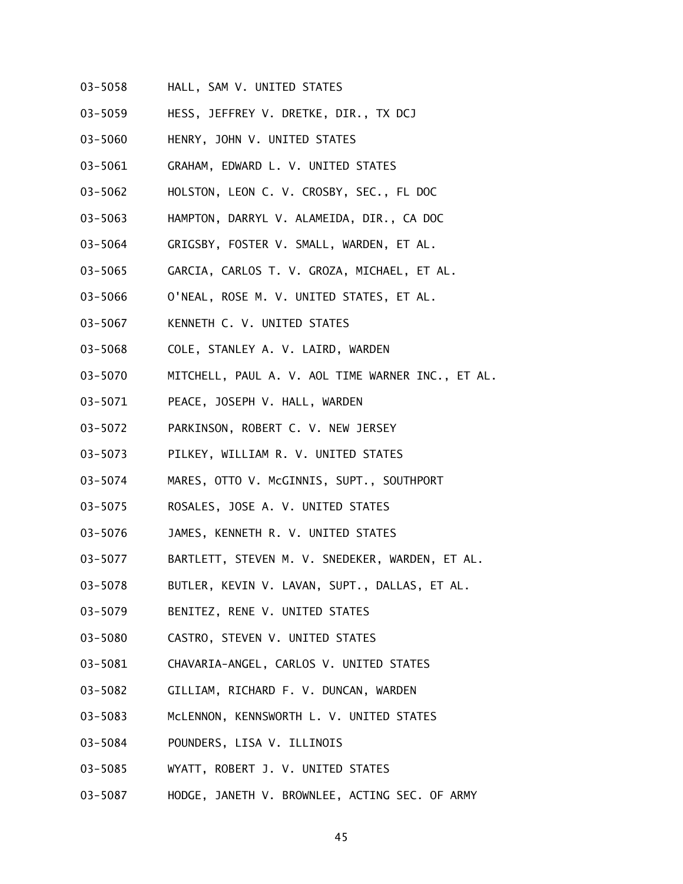- 03-5058 HALL, SAM V. UNITED STATES
- 03-5059 HESS, JEFFREY V. DRETKE, DIR., TX DCJ
- 03-5060 HENRY, JOHN V. UNITED STATES
- 03-5061 GRAHAM, EDWARD L. V. UNITED STATES
- 03-5062 HOLSTON, LEON C. V. CROSBY, SEC., FL DOC
- 03-5063 HAMPTON, DARRYL V. ALAMEIDA, DIR., CA DOC
- 03-5064 GRIGSBY, FOSTER V. SMALL, WARDEN, ET AL.
- 03-5065 GARCIA, CARLOS T. V. GROZA, MICHAEL, ET AL.
- 03-5066 O'NEAL, ROSE M. V. UNITED STATES, ET AL.
- 03-5067 KENNETH C. V. UNITED STATES
- 03-5068 COLE, STANLEY A. V. LAIRD, WARDEN
- 03-5070 MITCHELL, PAUL A. V. AOL TIME WARNER INC., ET AL.
- 03-5071 PEACE, JOSEPH V. HALL, WARDEN
- 03-5072 PARKINSON, ROBERT C. V. NEW JERSEY
- 03-5073 PILKEY, WILLIAM R. V. UNITED STATES
- 03-5074 MARES, OTTO V. McGINNIS, SUPT., SOUTHPORT
- 03-5075 ROSALES, JOSE A. V. UNITED STATES
- 03-5076 JAMES, KENNETH R. V. UNITED STATES
- 03-5077 BARTLETT, STEVEN M. V. SNEDEKER, WARDEN, ET AL.
- 03-5078 BUTLER, KEVIN V. LAVAN, SUPT., DALLAS, ET AL.
- 03-5079 BENITEZ, RENE V. UNITED STATES
- 03-5080 CASTRO, STEVEN V. UNITED STATES
- 03-5081 CHAVARIA-ANGEL, CARLOS V. UNITED STATES
- 03-5082 GILLIAM, RICHARD F. V. DUNCAN, WARDEN
- 03-5083 McLENNON, KENNSWORTH L. V. UNITED STATES
- 03-5084 POUNDERS, LISA V. ILLINOIS
- 03-5085 WYATT, ROBERT J. V. UNITED STATES
- 03-5087 HODGE, JANETH V. BROWNLEE, ACTING SEC. OF ARMY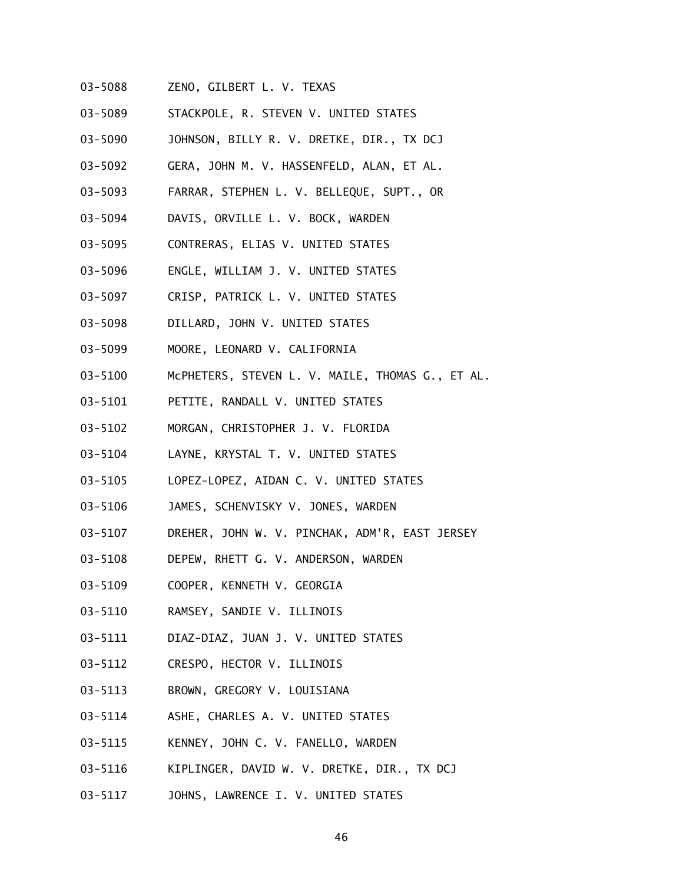- 03-5088 ZENO, GILBERT L. V. TEXAS
- 03-5089 STACKPOLE, R. STEVEN V. UNITED STATES
- 03-5090 JOHNSON, BILLY R. V. DRETKE, DIR., TX DCJ
- 03-5092 GERA, JOHN M. V. HASSENFELD, ALAN, ET AL.
- 03-5093 FARRAR, STEPHEN L. V. BELLEQUE, SUPT., OR
- 03-5094 DAVIS, ORVILLE L. V. BOCK, WARDEN
- 03-5095 CONTRERAS, ELIAS V. UNITED STATES
- 03-5096 ENGLE, WILLIAM J. V. UNITED STATES
- 03-5097 CRISP, PATRICK L. V. UNITED STATES
- 03-5098 DILLARD, JOHN V. UNITED STATES
- 03-5099 MOORE, LEONARD V. CALIFORNIA
- 03-5100 McPHETERS, STEVEN L. V. MAILE, THOMAS G., ET AL.
- 03-5101 PETITE, RANDALL V. UNITED STATES
- 03-5102 MORGAN, CHRISTOPHER J. V. FLORIDA
- 03-5104 LAYNE, KRYSTAL T. V. UNITED STATES
- 03-5105 LOPEZ-LOPEZ, AIDAN C. V. UNITED STATES
- 03-5106 JAMES, SCHENVISKY V. JONES, WARDEN
- 03-5107 DREHER, JOHN W. V. PINCHAK, ADM'R, EAST JERSEY
- 03-5108 DEPEW, RHETT G. V. ANDERSON, WARDEN
- 03-5109 COOPER, KENNETH V. GEORGIA
- 03-5110 RAMSEY, SANDIE V. ILLINOIS
- 03-5111 DIAZ-DIAZ, JUAN J. V. UNITED STATES
- 03-5112 CRESPO, HECTOR V. ILLINOIS
- 03-5113 BROWN, GREGORY V. LOUISIANA
- 03-5114 ASHE, CHARLES A. V. UNITED STATES
- 03-5115 KENNEY, JOHN C. V. FANELLO, WARDEN
- 03-5116 KIPLINGER, DAVID W. V. DRETKE, DIR., TX DCJ
- 03-5117 JOHNS, LAWRENCE I. V. UNITED STATES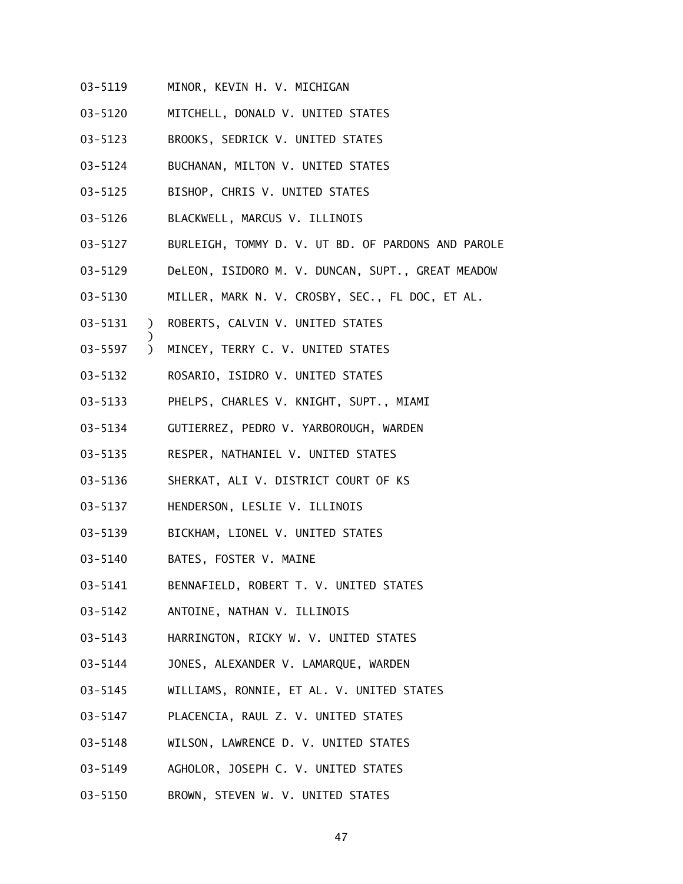- 03-5119 MINOR, KEVIN H. V. MICHIGAN
- 03-5120 MITCHELL, DONALD V. UNITED STATES
- 03-5123 BROOKS, SEDRICK V. UNITED STATES
- 03-5124 BUCHANAN, MILTON V. UNITED STATES
- 03-5125 BISHOP, CHRIS V. UNITED STATES
- 03-5126 BLACKWELL, MARCUS V. ILLINOIS
- 03-5127 BURLEIGH, TOMMY D. V. UT BD. OF PARDONS AND PAROLE
- 03-5129 DeLEON, ISIDORO M. V. DUNCAN, SUPT., GREAT MEADOW
- 03-5130 MILLER, MARK N. V. CROSBY, SEC., FL DOC, ET AL.
- 03-5131 ) ROBERTS, CALVIN V. UNITED STATES

)

- 03-5597 ) MINCEY, TERRY C. V. UNITED STATES
- 03-5132 ROSARIO, ISIDRO V. UNITED STATES
- 03-5133 PHELPS, CHARLES V. KNIGHT, SUPT., MIAMI
- 03-5134 GUTIERREZ, PEDRO V. YARBOROUGH, WARDEN
- 03-5135 RESPER, NATHANIEL V. UNITED STATES
- 03-5136 SHERKAT, ALI V. DISTRICT COURT OF KS
- 03-5137 HENDERSON, LESLIE V. ILLINOIS
- 03-5139 BICKHAM, LIONEL V. UNITED STATES
- 03-5140 BATES, FOSTER V. MAINE
- 03-5141 BENNAFIELD, ROBERT T. V. UNITED STATES
- 03-5142 ANTOINE, NATHAN V. ILLINOIS
- 03-5143 HARRINGTON, RICKY W. V. UNITED STATES
- 03-5144 JONES, ALEXANDER V. LAMARQUE, WARDEN
- 03-5145 WILLIAMS, RONNIE, ET AL. V. UNITED STATES
- 03-5147 PLACENCIA, RAUL Z. V. UNITED STATES
- 03-5148 WILSON, LAWRENCE D. V. UNITED STATES
- 03-5149 AGHOLOR, JOSEPH C. V. UNITED STATES
- 03-5150 BROWN, STEVEN W. V. UNITED STATES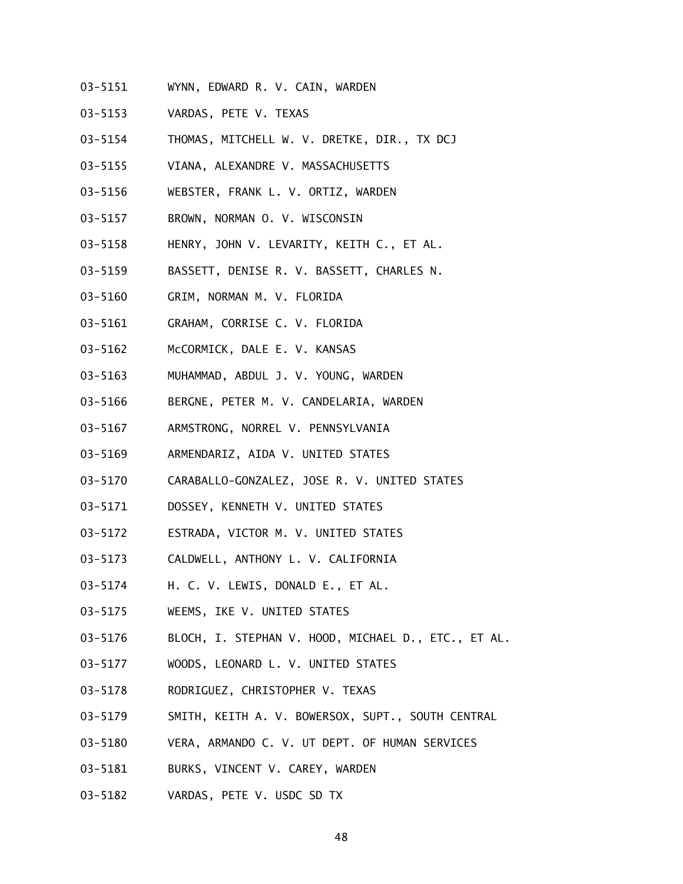- 03-5151 WYNN, EDWARD R. V. CAIN, WARDEN
- 03-5153 VARDAS, PETE V. TEXAS
- 03-5154 THOMAS, MITCHELL W. V. DRETKE, DIR., TX DCJ
- 03-5155 VIANA, ALEXANDRE V. MASSACHUSETTS
- 03-5156 WEBSTER, FRANK L. V. ORTIZ, WARDEN
- 03-5157 BROWN, NORMAN O. V. WISCONSIN
- 03-5158 HENRY, JOHN V. LEVARITY, KEITH C., ET AL.
- 03-5159 BASSETT, DENISE R. V. BASSETT, CHARLES N.
- 03-5160 GRIM, NORMAN M. V. FLORIDA
- 03-5161 GRAHAM, CORRISE C. V. FLORIDA
- 03-5162 McCORMICK, DALE E. V. KANSAS
- 03-5163 MUHAMMAD, ABDUL J. V. YOUNG, WARDEN
- 03-5166 BERGNE, PETER M. V. CANDELARIA, WARDEN
- 03-5167 ARMSTRONG, NORREL V. PENNSYLVANIA
- 03-5169 ARMENDARIZ, AIDA V. UNITED STATES
- 03-5170 CARABALLO-GONZALEZ, JOSE R. V. UNITED STATES
- 03-5171 DOSSEY, KENNETH V. UNITED STATES
- 03-5172 ESTRADA, VICTOR M. V. UNITED STATES
- 03-5173 CALDWELL, ANTHONY L. V. CALIFORNIA
- 03-5174 H. C. V. LEWIS, DONALD E., ET AL.
- 03-5175 WEEMS, IKE V. UNITED STATES
- 03-5176 BLOCH, I. STEPHAN V. HOOD, MICHAEL D., ETC., ET AL.
- 03-5177 WOODS, LEONARD L. V. UNITED STATES
- 03-5178 RODRIGUEZ, CHRISTOPHER V. TEXAS
- 03-5179 SMITH, KEITH A. V. BOWERSOX, SUPT., SOUTH CENTRAL
- 03-5180 VERA, ARMANDO C. V. UT DEPT. OF HUMAN SERVICES
- 03-5181 BURKS, VINCENT V. CAREY, WARDEN
- 03-5182 VARDAS, PETE V. USDC SD TX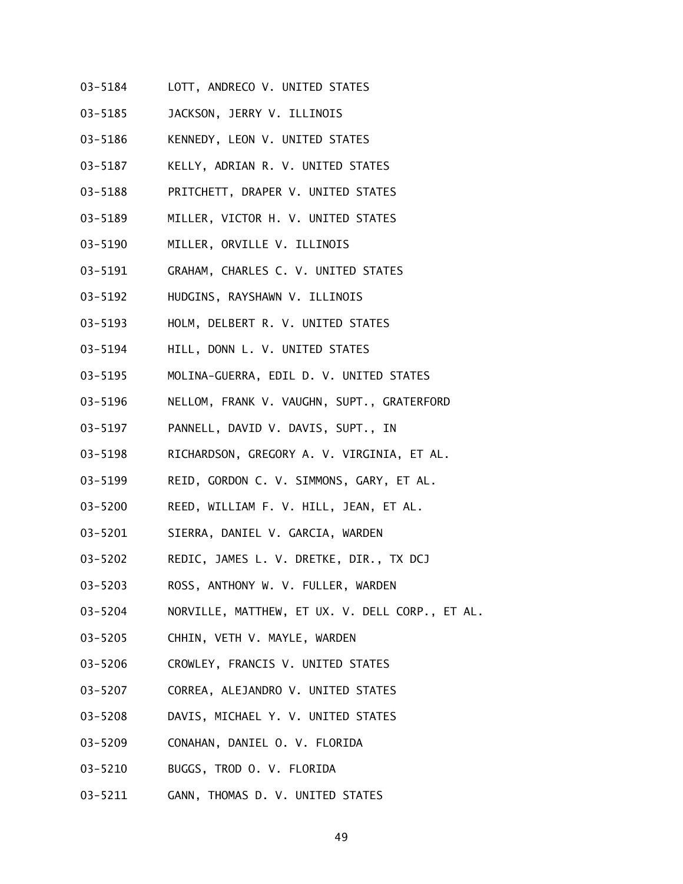- 03-5184 LOTT, ANDRECO V. UNITED STATES
- 03-5185 JACKSON, JERRY V. ILLINOIS
- 03-5186 KENNEDY, LEON V. UNITED STATES
- 03-5187 KELLY, ADRIAN R. V. UNITED STATES
- 03-5188 PRITCHETT, DRAPER V. UNITED STATES
- 03-5189 MILLER, VICTOR H. V. UNITED STATES
- 03-5190 MILLER, ORVILLE V. ILLINOIS
- 03-5191 GRAHAM, CHARLES C. V. UNITED STATES
- 03-5192 HUDGINS, RAYSHAWN V. ILLINOIS
- 03-5193 HOLM, DELBERT R. V. UNITED STATES
- 03-5194 HILL, DONN L. V. UNITED STATES
- 03-5195 MOLINA-GUERRA, EDIL D. V. UNITED STATES
- 03-5196 NELLOM, FRANK V. VAUGHN, SUPT., GRATERFORD
- 03-5197 PANNELL, DAVID V. DAVIS, SUPT., IN
- 03-5198 RICHARDSON, GREGORY A. V. VIRGINIA, ET AL.
- 03-5199 REID, GORDON C. V. SIMMONS, GARY, ET AL.
- 03-5200 REED, WILLIAM F. V. HILL, JEAN, ET AL.
- 03-5201 SIERRA, DANIEL V. GARCIA, WARDEN
- 03-5202 REDIC, JAMES L. V. DRETKE, DIR., TX DCJ
- 03-5203 ROSS, ANTHONY W. V. FULLER, WARDEN
- 03-5204 NORVILLE, MATTHEW, ET UX. V. DELL CORP., ET AL.
- 03-5205 CHHIN, VETH V. MAYLE, WARDEN
- 03-5206 CROWLEY, FRANCIS V. UNITED STATES
- 03-5207 CORREA, ALEJANDRO V. UNITED STATES
- 03-5208 DAVIS, MICHAEL Y. V. UNITED STATES
- 03-5209 CONAHAN, DANIEL O. V. FLORIDA
- 03-5210 BUGGS, TROD O. V. FLORIDA
- 03-5211 GANN, THOMAS D. V. UNITED STATES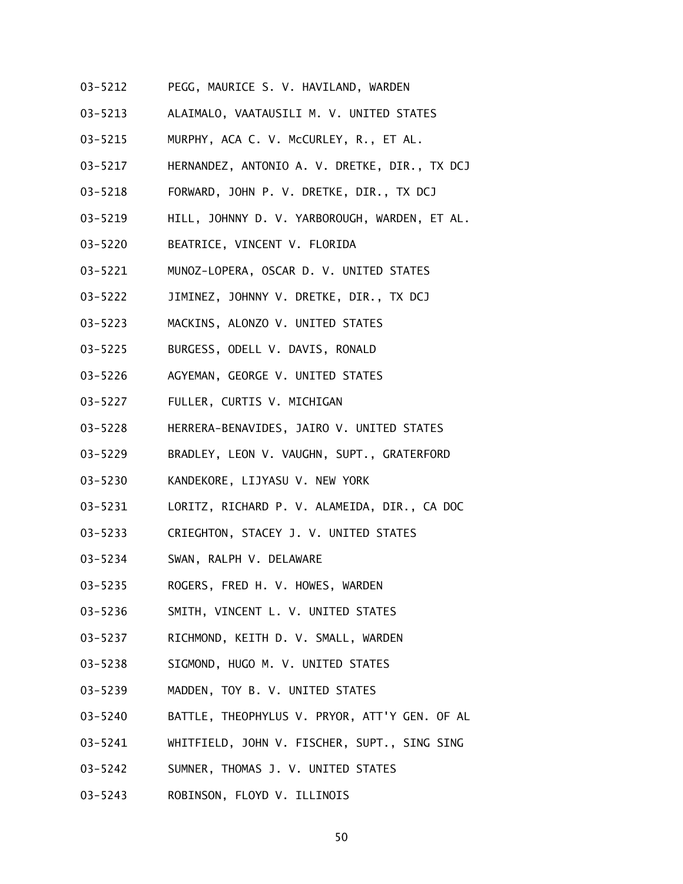- 03-5212 PEGG, MAURICE S. V. HAVILAND, WARDEN
- 03-5213 ALAIMALO, VAATAUSILI M. V. UNITED STATES
- 03-5215 MURPHY, ACA C. V. McCURLEY, R., ET AL.
- 03-5217 HERNANDEZ, ANTONIO A. V. DRETKE, DIR., TX DCJ
- 03-5218 FORWARD, JOHN P. V. DRETKE, DIR., TX DCJ
- 03-5219 HILL, JOHNNY D. V. YARBOROUGH, WARDEN, ET AL.
- 03-5220 BEATRICE, VINCENT V. FLORIDA
- 03-5221 MUNOZ-LOPERA, OSCAR D. V. UNITED STATES
- 03-5222 JIMINEZ, JOHNNY V. DRETKE, DIR., TX DCJ
- 03-5223 MACKINS, ALONZO V. UNITED STATES
- 03-5225 BURGESS, ODELL V. DAVIS, RONALD
- 03-5226 AGYEMAN, GEORGE V. UNITED STATES
- 03-5227 FULLER, CURTIS V. MICHIGAN
- 03-5228 HERRERA-BENAVIDES, JAIRO V. UNITED STATES
- 03-5229 BRADLEY, LEON V. VAUGHN, SUPT., GRATERFORD
- 03-5230 KANDEKORE, LIJYASU V. NEW YORK
- 03-5231 LORITZ, RICHARD P. V. ALAMEIDA, DIR., CA DOC
- 03-5233 CRIEGHTON, STACEY J. V. UNITED STATES
- 03-5234 SWAN, RALPH V. DELAWARE
- 03-5235 ROGERS, FRED H. V. HOWES, WARDEN
- 03-5236 SMITH, VINCENT L. V. UNITED STATES
- 03-5237 RICHMOND, KEITH D. V. SMALL, WARDEN
- 03-5238 SIGMOND, HUGO M. V. UNITED STATES
- 03-5239 MADDEN, TOY B. V. UNITED STATES
- 03-5240 BATTLE, THEOPHYLUS V. PRYOR, ATT'Y GEN. OF AL
- 03-5241 WHITFIELD, JOHN V. FISCHER, SUPT., SING SING
- 03-5242 SUMNER, THOMAS J. V. UNITED STATES
- 03-5243 ROBINSON, FLOYD V. ILLINOIS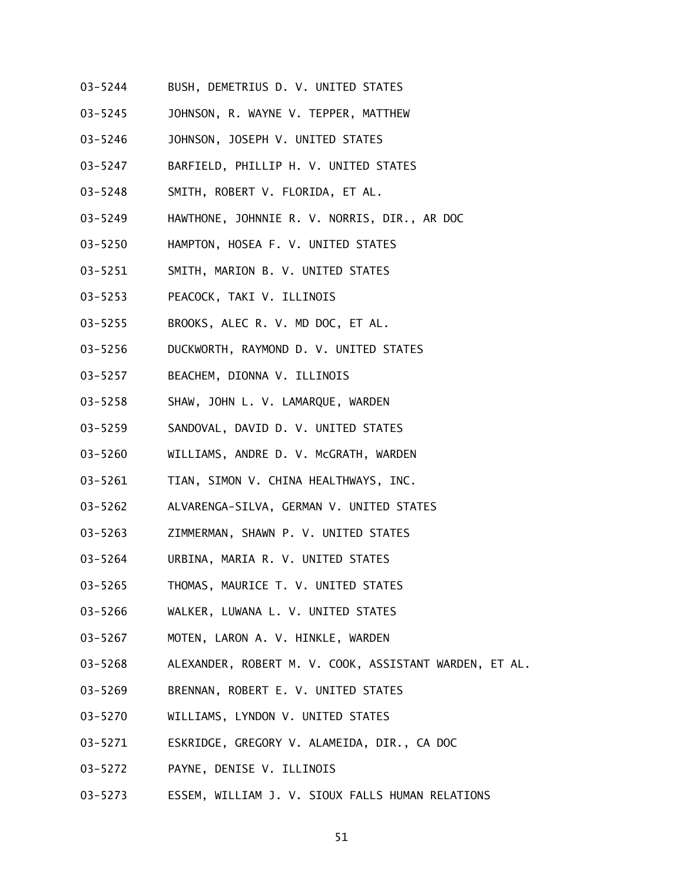- 03-5244 BUSH, DEMETRIUS D. V. UNITED STATES
- 03-5245 JOHNSON, R. WAYNE V. TEPPER, MATTHEW
- 03-5246 JOHNSON, JOSEPH V. UNITED STATES
- 03-5247 BARFIELD, PHILLIP H. V. UNITED STATES
- 03-5248 SMITH, ROBERT V. FLORIDA, ET AL.
- 03-5249 HAWTHONE, JOHNNIE R. V. NORRIS, DIR., AR DOC
- 03-5250 HAMPTON, HOSEA F. V. UNITED STATES
- 03-5251 SMITH, MARION B. V. UNITED STATES
- 03-5253 PEACOCK, TAKI V. ILLINOIS
- 03-5255 BROOKS, ALEC R. V. MD DOC, ET AL.
- 03-5256 DUCKWORTH, RAYMOND D. V. UNITED STATES
- 03-5257 BEACHEM, DIONNA V. ILLINOIS
- 03-5258 SHAW, JOHN L. V. LAMARQUE, WARDEN
- 03-5259 SANDOVAL, DAVID D. V. UNITED STATES
- 03-5260 WILLIAMS, ANDRE D. V. McGRATH, WARDEN
- 03-5261 TIAN, SIMON V. CHINA HEALTHWAYS, INC.
- 03-5262 ALVARENGA-SILVA, GERMAN V. UNITED STATES
- 03-5263 ZIMMERMAN, SHAWN P. V. UNITED STATES
- 03-5264 URBINA, MARIA R. V. UNITED STATES
- 03-5265 THOMAS, MAURICE T. V. UNITED STATES
- 03-5266 WALKER, LUWANA L. V. UNITED STATES
- 03-5267 MOTEN, LARON A. V. HINKLE, WARDEN
- 03-5268 ALEXANDER, ROBERT M. V. COOK, ASSISTANT WARDEN, ET AL.
- 03-5269 BRENNAN, ROBERT E. V. UNITED STATES
- 03-5270 WILLIAMS, LYNDON V. UNITED STATES
- 03-5271 ESKRIDGE, GREGORY V. ALAMEIDA, DIR., CA DOC
- 03-5272 PAYNE, DENISE V. ILLINOIS
- 03-5273 ESSEM, WILLIAM J. V. SIOUX FALLS HUMAN RELATIONS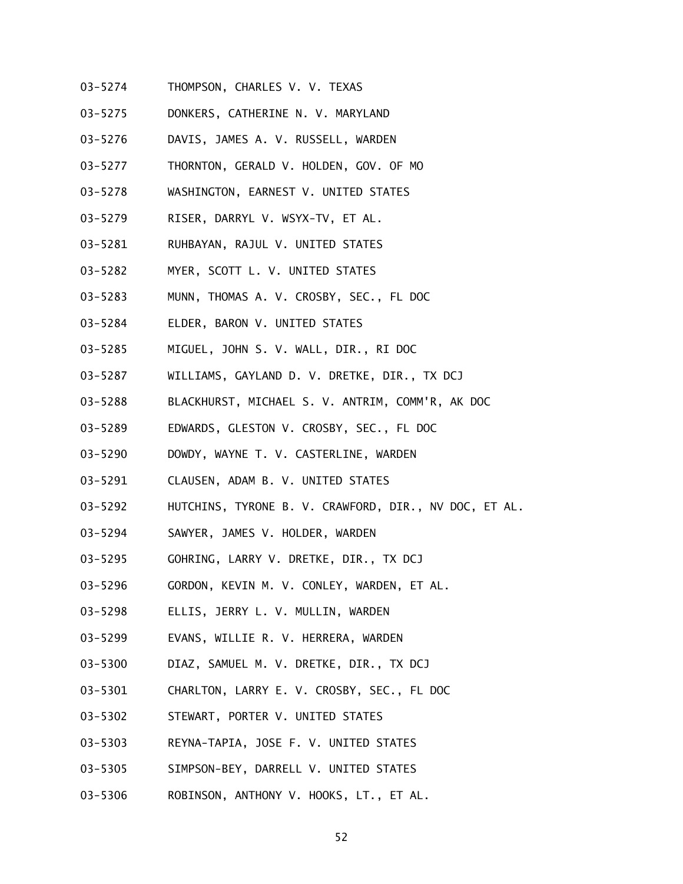- 03-5274 THOMPSON, CHARLES V. V. TEXAS
- 03-5275 DONKERS, CATHERINE N. V. MARYLAND
- 03-5276 DAVIS, JAMES A. V. RUSSELL, WARDEN
- 03-5277 THORNTON, GERALD V. HOLDEN, GOV. OF MO
- 03-5278 WASHINGTON, EARNEST V. UNITED STATES
- 03-5279 RISER, DARRYL V. WSYX-TV, ET AL.
- 03-5281 RUHBAYAN, RAJUL V. UNITED STATES
- 03-5282 MYER, SCOTT L. V. UNITED STATES
- 03-5283 MUNN, THOMAS A. V. CROSBY, SEC., FL DOC
- 03-5284 ELDER, BARON V. UNITED STATES
- 03-5285 MIGUEL, JOHN S. V. WALL, DIR., RI DOC
- 03-5287 WILLIAMS, GAYLAND D. V. DRETKE, DIR., TX DCJ
- 03-5288 BLACKHURST, MICHAEL S. V. ANTRIM, COMM'R, AK DOC
- 03-5289 EDWARDS, GLESTON V. CROSBY, SEC., FL DOC
- 03-5290 DOWDY, WAYNE T. V. CASTERLINE, WARDEN
- 03-5291 CLAUSEN, ADAM B. V. UNITED STATES
- 03-5292 HUTCHINS, TYRONE B. V. CRAWFORD, DIR., NV DOC, ET AL.
- 03-5294 SAWYER, JAMES V. HOLDER, WARDEN
- 03-5295 GOHRING, LARRY V. DRETKE, DIR., TX DCJ
- 03-5296 GORDON, KEVIN M. V. CONLEY, WARDEN, ET AL.
- 03-5298 ELLIS, JERRY L. V. MULLIN, WARDEN
- 03-5299 EVANS, WILLIE R. V. HERRERA, WARDEN
- 03-5300 DIAZ, SAMUEL M. V. DRETKE, DIR., TX DCJ
- 03-5301 CHARLTON, LARRY E. V. CROSBY, SEC., FL DOC
- 03-5302 STEWART, PORTER V. UNITED STATES
- 03-5303 REYNA-TAPIA, JOSE F. V. UNITED STATES
- 03-5305 SIMPSON-BEY, DARRELL V. UNITED STATES
- 03-5306 ROBINSON, ANTHONY V. HOOKS, LT., ET AL.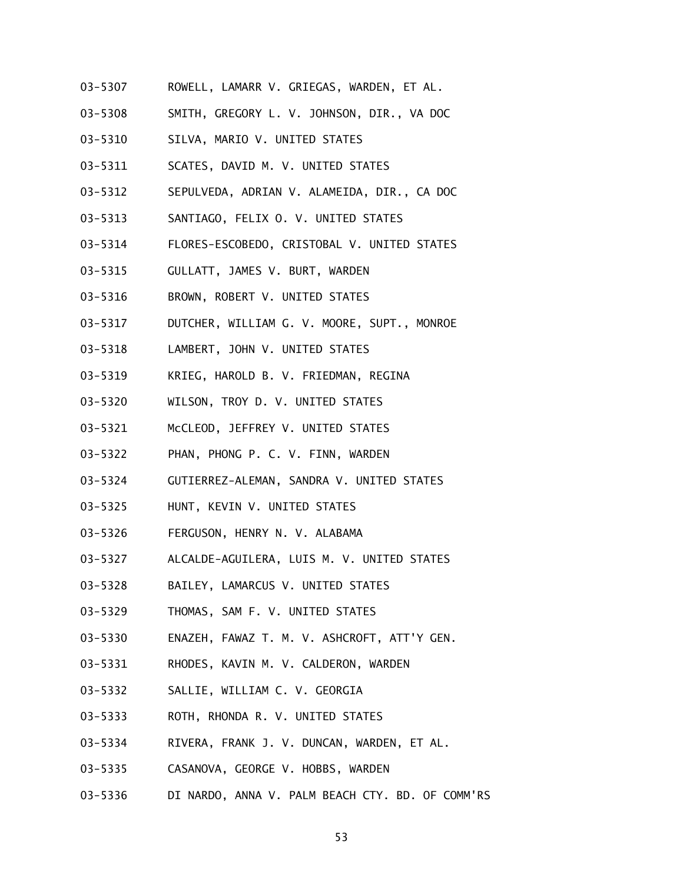- 03-5307 ROWELL, LAMARR V. GRIEGAS, WARDEN, ET AL.
- 03-5308 SMITH, GREGORY L. V. JOHNSON, DIR., VA DOC
- 03-5310 SILVA, MARIO V. UNITED STATES
- 03-5311 SCATES, DAVID M. V. UNITED STATES
- 03-5312 SEPULVEDA, ADRIAN V. ALAMEIDA, DIR., CA DOC
- 03-5313 SANTIAGO, FELIX O. V. UNITED STATES
- 03-5314 FLORES-ESCOBEDO, CRISTOBAL V. UNITED STATES
- 03-5315 GULLATT, JAMES V. BURT, WARDEN
- 03-5316 BROWN, ROBERT V. UNITED STATES
- 03-5317 DUTCHER, WILLIAM G. V. MOORE, SUPT., MONROE
- 03-5318 LAMBERT, JOHN V. UNITED STATES
- 03-5319 KRIEG, HAROLD B. V. FRIEDMAN, REGINA
- 03-5320 WILSON, TROY D. V. UNITED STATES
- 03-5321 McCLEOD, JEFFREY V. UNITED STATES
- 03-5322 PHAN, PHONG P. C. V. FINN, WARDEN
- 03-5324 GUTIERREZ-ALEMAN, SANDRA V. UNITED STATES
- 03-5325 HUNT, KEVIN V. UNITED STATES
- 03-5326 FERGUSON, HENRY N. V. ALABAMA
- 03-5327 ALCALDE-AGUILERA, LUIS M. V. UNITED STATES
- 03-5328 BAILEY, LAMARCUS V. UNITED STATES
- 03-5329 THOMAS, SAM F. V. UNITED STATES
- 03-5330 ENAZEH, FAWAZ T. M. V. ASHCROFT, ATT'Y GEN.
- 03-5331 RHODES, KAVIN M. V. CALDERON, WARDEN
- 03-5332 SALLIE, WILLIAM C. V. GEORGIA
- 03-5333 ROTH, RHONDA R. V. UNITED STATES
- 03-5334 RIVERA, FRANK J. V. DUNCAN, WARDEN, ET AL.
- 03-5335 CASANOVA, GEORGE V. HOBBS, WARDEN
- 03-5336 DI NARDO, ANNA V. PALM BEACH CTY. BD. OF COMM'RS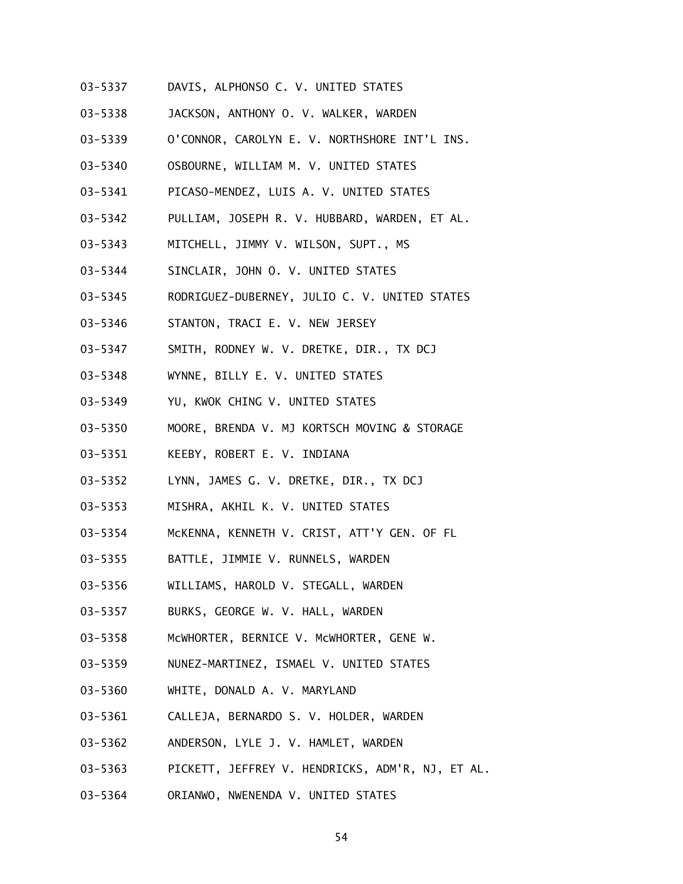- 03-5337 DAVIS, ALPHONSO C. V. UNITED STATES
- 03-5338 JACKSON, ANTHONY O. V. WALKER, WARDEN
- 03-5339 O'CONNOR, CAROLYN E. V. NORTHSHORE INT'L INS.
- 03-5340 OSBOURNE, WILLIAM M. V. UNITED STATES
- 03-5341 PICASO-MENDEZ, LUIS A. V. UNITED STATES
- 03-5342 PULLIAM, JOSEPH R. V. HUBBARD, WARDEN, ET AL.
- 03-5343 MITCHELL, JIMMY V. WILSON, SUPT., MS
- 03-5344 SINCLAIR, JOHN O. V. UNITED STATES
- 03-5345 RODRIGUEZ-DUBERNEY, JULIO C. V. UNITED STATES
- 03-5346 STANTON, TRACI E. V. NEW JERSEY
- 03-5347 SMITH, RODNEY W. V. DRETKE, DIR., TX DCJ
- 03-5348 WYNNE, BILLY E. V. UNITED STATES
- 03-5349 YU, KWOK CHING V. UNITED STATES
- 03-5350 MOORE, BRENDA V. MJ KORTSCH MOVING & STORAGE
- 03-5351 KEEBY, ROBERT E. V. INDIANA
- 03-5352 LYNN, JAMES G. V. DRETKE, DIR., TX DCJ
- 03-5353 MISHRA, AKHIL K. V. UNITED STATES
- 03-5354 McKENNA, KENNETH V. CRIST, ATT'Y GEN. OF FL
- 03-5355 BATTLE, JIMMIE V. RUNNELS, WARDEN
- 03-5356 WILLIAMS, HAROLD V. STEGALL, WARDEN
- 03-5357 BURKS, GEORGE W. V. HALL, WARDEN
- 03-5358 McWHORTER, BERNICE V. McWHORTER, GENE W.
- 03-5359 NUNEZ-MARTINEZ, ISMAEL V. UNITED STATES
- 03-5360 WHITE, DONALD A. V. MARYLAND
- 03-5361 CALLEJA, BERNARDO S. V. HOLDER, WARDEN
- 03-5362 ANDERSON, LYLE J. V. HAMLET, WARDEN
- 03-5363 PICKETT, JEFFREY V. HENDRICKS, ADM'R, NJ, ET AL.
- 03-5364 ORIANWO, NWENENDA V. UNITED STATES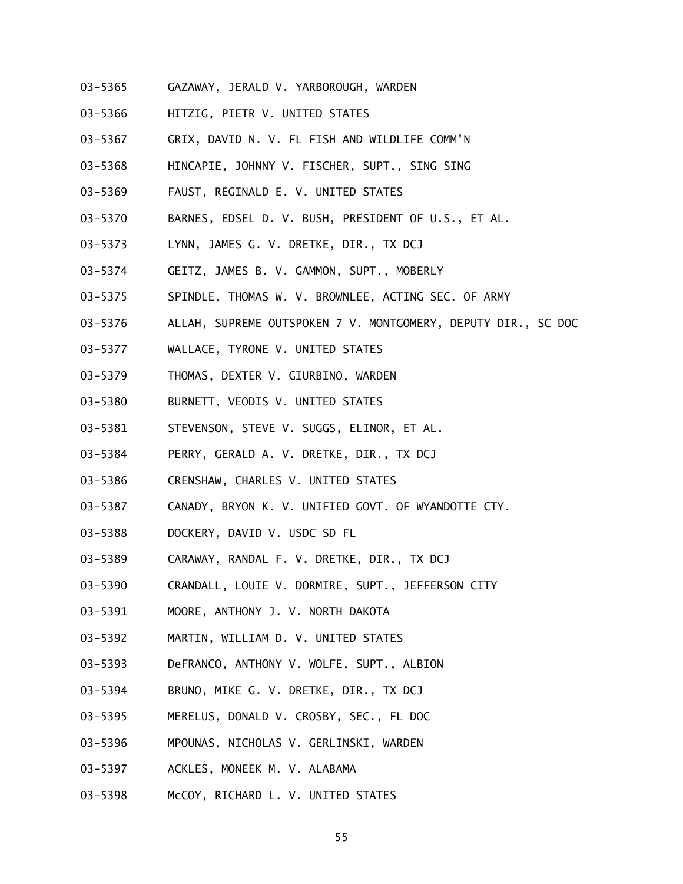- 03-5365 GAZAWAY, JERALD V. YARBOROUGH, WARDEN
- 03-5366 HITZIG, PIETR V. UNITED STATES
- 03-5367 GRIX, DAVID N. V. FL FISH AND WILDLIFE COMM'N
- 03-5368 HINCAPIE, JOHNNY V. FISCHER, SUPT., SING SING
- 03-5369 FAUST, REGINALD E. V. UNITED STATES
- 03-5370 BARNES, EDSEL D. V. BUSH, PRESIDENT OF U.S., ET AL.
- 03-5373 LYNN, JAMES G. V. DRETKE, DIR., TX DCJ
- 03-5374 GEITZ, JAMES B. V. GAMMON, SUPT., MOBERLY
- 03-5375 SPINDLE, THOMAS W. V. BROWNLEE, ACTING SEC. OF ARMY
- 03-5376 ALLAH, SUPREME OUTSPOKEN 7 V. MONTGOMERY, DEPUTY DIR., SC DOC
- 03-5377 WALLACE, TYRONE V. UNITED STATES
- 03-5379 THOMAS, DEXTER V. GIURBINO, WARDEN
- 03-5380 BURNETT, VEODIS V. UNITED STATES
- 03-5381 STEVENSON, STEVE V. SUGGS, ELINOR, ET AL.
- 03-5384 PERRY, GERALD A. V. DRETKE, DIR., TX DCJ
- 03-5386 CRENSHAW, CHARLES V. UNITED STATES
- 03-5387 CANADY, BRYON K. V. UNIFIED GOVT. OF WYANDOTTE CTY.
- 03-5388 DOCKERY, DAVID V. USDC SD FL
- 03-5389 CARAWAY, RANDAL F. V. DRETKE, DIR., TX DCJ
- 03-5390 CRANDALL, LOUIE V. DORMIRE, SUPT., JEFFERSON CITY
- 03-5391 MOORE, ANTHONY J. V. NORTH DAKOTA
- 03-5392 MARTIN, WILLIAM D. V. UNITED STATES
- 03-5393 DeFRANCO, ANTHONY V. WOLFE, SUPT., ALBION
- 03-5394 BRUNO, MIKE G. V. DRETKE, DIR., TX DCJ
- 03-5395 MERELUS, DONALD V. CROSBY, SEC., FL DOC
- 03-5396 MPOUNAS, NICHOLAS V. GERLINSKI, WARDEN
- 03-5397 ACKLES, MONEEK M. V. ALABAMA
- 03-5398 McCOY, RICHARD L. V. UNITED STATES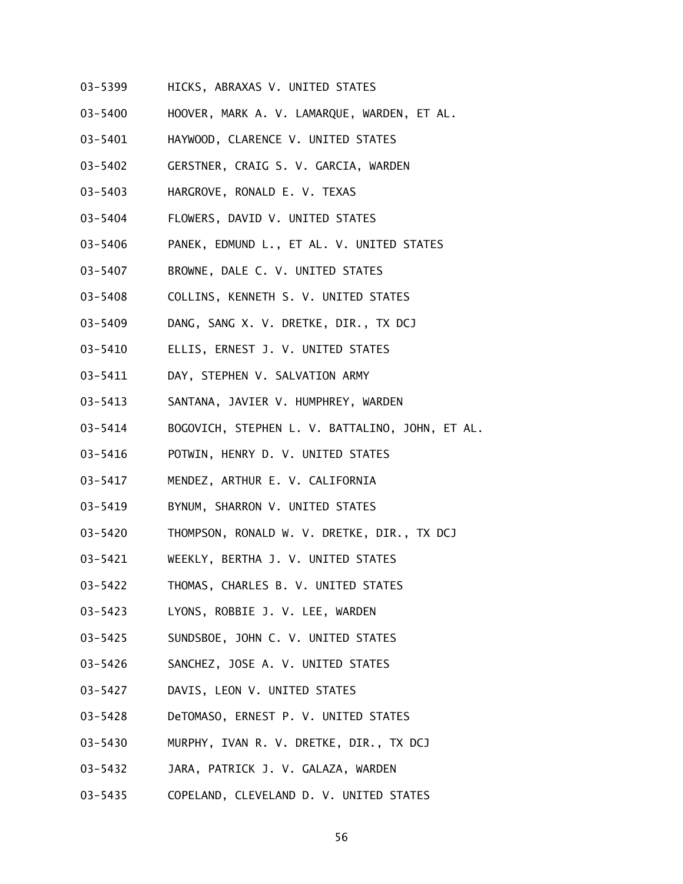- 03-5399 HICKS, ABRAXAS V. UNITED STATES
- 03-5400 HOOVER, MARK A. V. LAMARQUE, WARDEN, ET AL.
- 03-5401 HAYWOOD, CLARENCE V. UNITED STATES
- 03-5402 GERSTNER, CRAIG S. V. GARCIA, WARDEN
- 03-5403 HARGROVE, RONALD E. V. TEXAS
- 03-5404 FLOWERS, DAVID V. UNITED STATES
- 03-5406 PANEK, EDMUND L., ET AL. V. UNITED STATES
- 03-5407 BROWNE, DALE C. V. UNITED STATES
- 03-5408 COLLINS, KENNETH S. V. UNITED STATES
- 03-5409 DANG, SANG X. V. DRETKE, DIR., TX DCJ
- 03-5410 ELLIS, ERNEST J. V. UNITED STATES
- 03-5411 DAY, STEPHEN V. SALVATION ARMY
- 03-5413 SANTANA, JAVIER V. HUMPHREY, WARDEN
- 03-5414 BOGOVICH, STEPHEN L. V. BATTALINO, JOHN, ET AL.
- 03-5416 POTWIN, HENRY D. V. UNITED STATES
- 03-5417 MENDEZ, ARTHUR E. V. CALIFORNIA
- 03-5419 BYNUM, SHARRON V. UNITED STATES
- 03-5420 THOMPSON, RONALD W. V. DRETKE, DIR., TX DCJ
- 03-5421 WEEKLY, BERTHA J. V. UNITED STATES
- 03-5422 THOMAS, CHARLES B. V. UNITED STATES
- 03-5423 LYONS, ROBBIE J. V. LEE, WARDEN
- 03-5425 SUNDSBOE, JOHN C. V. UNITED STATES
- 03-5426 SANCHEZ, JOSE A. V. UNITED STATES
- 03-5427 DAVIS, LEON V. UNITED STATES
- 03-5428 DeTOMASO, ERNEST P. V. UNITED STATES
- 03-5430 MURPHY, IVAN R. V. DRETKE, DIR., TX DCJ
- 03-5432 JARA, PATRICK J. V. GALAZA, WARDEN
- 03-5435 COPELAND, CLEVELAND D. V. UNITED STATES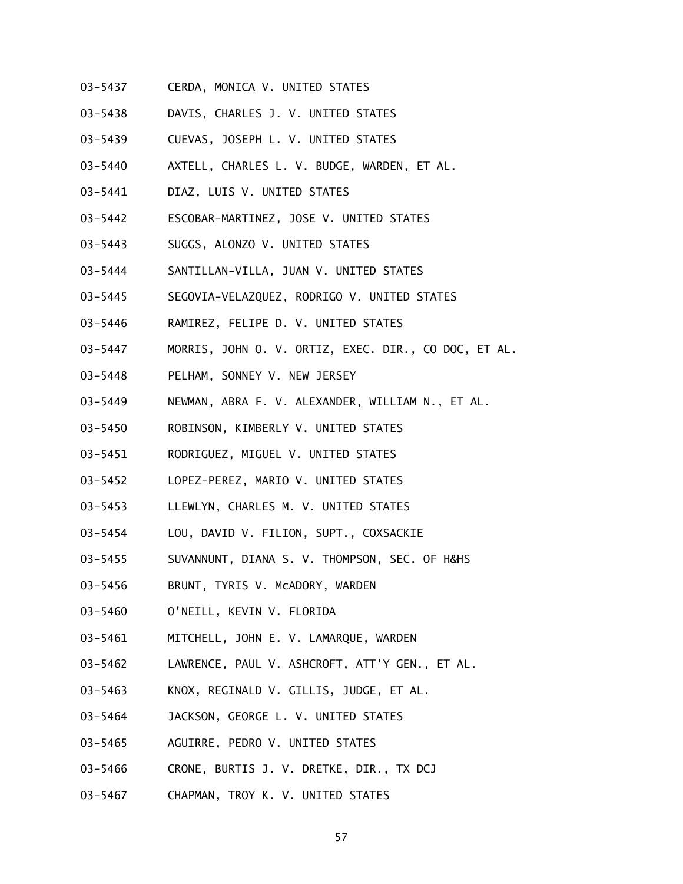- 03-5437 CERDA, MONICA V. UNITED STATES
- 03-5438 DAVIS, CHARLES J. V. UNITED STATES
- 03-5439 CUEVAS, JOSEPH L. V. UNITED STATES
- 03-5440 AXTELL, CHARLES L. V. BUDGE, WARDEN, ET AL.
- 03-5441 DIAZ, LUIS V. UNITED STATES
- 03-5442 ESCOBAR-MARTINEZ, JOSE V. UNITED STATES
- 03-5443 SUGGS, ALONZO V. UNITED STATES
- 03-5444 SANTILLAN-VILLA, JUAN V. UNITED STATES
- 03-5445 SEGOVIA-VELAZQUEZ, RODRIGO V. UNITED STATES
- 03-5446 RAMIREZ, FELIPE D. V. UNITED STATES
- 03-5447 MORRIS, JOHN O. V. ORTIZ, EXEC. DIR., CO DOC, ET AL.
- 03-5448 PELHAM, SONNEY V. NEW JERSEY
- 03-5449 NEWMAN, ABRA F. V. ALEXANDER, WILLIAM N., ET AL.
- 03-5450 ROBINSON, KIMBERLY V. UNITED STATES
- 03-5451 RODRIGUEZ, MIGUEL V. UNITED STATES
- 03-5452 LOPEZ-PEREZ, MARIO V. UNITED STATES
- 03-5453 LLEWLYN, CHARLES M. V. UNITED STATES
- 03-5454 LOU, DAVID V. FILION, SUPT., COXSACKIE
- 03-5455 SUVANNUNT, DIANA S. V. THOMPSON, SEC. OF H&HS
- 03-5456 BRUNT, TYRIS V. McADORY, WARDEN
- 03-5460 O'NEILL, KEVIN V. FLORIDA
- 03-5461 MITCHELL, JOHN E. V. LAMARQUE, WARDEN
- 03-5462 LAWRENCE, PAUL V. ASHCROFT, ATT'Y GEN., ET AL.
- 03-5463 KNOX, REGINALD V. GILLIS, JUDGE, ET AL.
- 03-5464 JACKSON, GEORGE L. V. UNITED STATES
- 03-5465 AGUIRRE, PEDRO V. UNITED STATES
- 03-5466 CRONE, BURTIS J. V. DRETKE, DIR., TX DCJ
- 03-5467 CHAPMAN, TROY K. V. UNITED STATES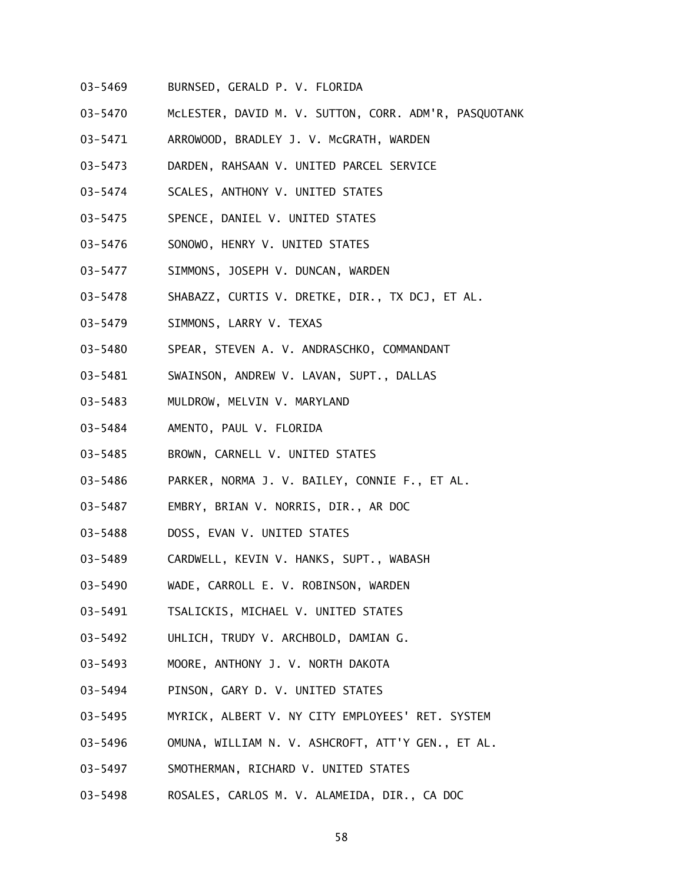- 03-5469 BURNSED, GERALD P. V. FLORIDA
- 03-5470 McLESTER, DAVID M. V. SUTTON, CORR. ADM'R, PASQUOTANK
- 03-5471 ARROWOOD, BRADLEY J. V. McGRATH, WARDEN
- 03-5473 DARDEN, RAHSAAN V. UNITED PARCEL SERVICE
- 03-5474 SCALES, ANTHONY V. UNITED STATES
- 03-5475 SPENCE, DANIEL V. UNITED STATES
- 03-5476 SONOWO, HENRY V. UNITED STATES
- 03-5477 SIMMONS, JOSEPH V. DUNCAN, WARDEN
- 03-5478 SHABAZZ, CURTIS V. DRETKE, DIR., TX DCJ, ET AL.
- 03-5479 SIMMONS, LARRY V. TEXAS
- 03-5480 SPEAR, STEVEN A. V. ANDRASCHKO, COMMANDANT
- 03-5481 SWAINSON, ANDREW V. LAVAN, SUPT., DALLAS
- 03-5483 MULDROW, MELVIN V. MARYLAND
- 03-5484 AMENTO, PAUL V. FLORIDA
- 03-5485 BROWN, CARNELL V. UNITED STATES
- 03-5486 PARKER, NORMA J. V. BAILEY, CONNIE F., ET AL.
- 03-5487 EMBRY, BRIAN V. NORRIS, DIR., AR DOC
- 03-5488 DOSS, EVAN V. UNITED STATES
- 03-5489 CARDWELL, KEVIN V. HANKS, SUPT., WABASH
- 03-5490 WADE, CARROLL E. V. ROBINSON, WARDEN
- 03-5491 TSALICKIS, MICHAEL V. UNITED STATES
- 03-5492 UHLICH, TRUDY V. ARCHBOLD, DAMIAN G.
- 03-5493 MOORE, ANTHONY J. V. NORTH DAKOTA
- 03-5494 PINSON, GARY D. V. UNITED STATES
- 03-5495 MYRICK, ALBERT V. NY CITY EMPLOYEES' RET. SYSTEM
- 03-5496 OMUNA, WILLIAM N. V. ASHCROFT, ATT'Y GEN., ET AL.
- 03-5497 SMOTHERMAN, RICHARD V. UNITED STATES
- 03-5498 ROSALES, CARLOS M. V. ALAMEIDA, DIR., CA DOC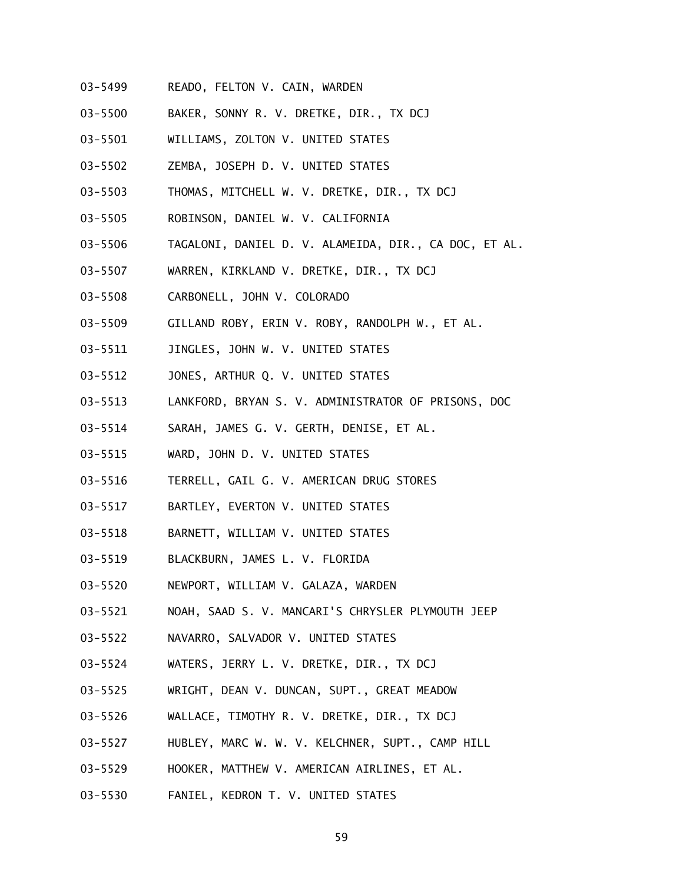- 03-5499 READO, FELTON V. CAIN, WARDEN
- 03-5500 BAKER, SONNY R. V. DRETKE, DIR., TX DCJ
- 03-5501 WILLIAMS, ZOLTON V. UNITED STATES
- 03-5502 ZEMBA, JOSEPH D. V. UNITED STATES
- 03-5503 THOMAS, MITCHELL W. V. DRETKE, DIR., TX DCJ
- 03-5505 ROBINSON, DANIEL W. V. CALIFORNIA
- 03-5506 TAGALONI, DANIEL D. V. ALAMEIDA, DIR., CA DOC, ET AL.
- 03-5507 WARREN, KIRKLAND V. DRETKE, DIR., TX DCJ
- 03-5508 CARBONELL, JOHN V. COLORADO
- 03-5509 GILLAND ROBY, ERIN V. ROBY, RANDOLPH W., ET AL.
- 03-5511 JINGLES, JOHN W. V. UNITED STATES
- 03-5512 JONES, ARTHUR Q. V. UNITED STATES
- 03-5513 LANKFORD, BRYAN S. V. ADMINISTRATOR OF PRISONS, DOC
- 03-5514 SARAH, JAMES G. V. GERTH, DENISE, ET AL.
- 03-5515 WARD, JOHN D. V. UNITED STATES
- 03-5516 TERRELL, GAIL G. V. AMERICAN DRUG STORES
- 03-5517 BARTLEY, EVERTON V. UNITED STATES
- 03-5518 BARNETT, WILLIAM V. UNITED STATES
- 03-5519 BLACKBURN, JAMES L. V. FLORIDA
- 03-5520 NEWPORT, WILLIAM V. GALAZA, WARDEN
- 03-5521 NOAH, SAAD S. V. MANCARI'S CHRYSLER PLYMOUTH JEEP
- 03-5522 NAVARRO, SALVADOR V. UNITED STATES
- 03-5524 WATERS, JERRY L. V. DRETKE, DIR., TX DCJ
- 03-5525 WRIGHT, DEAN V. DUNCAN, SUPT., GREAT MEADOW
- 03-5526 WALLACE, TIMOTHY R. V. DRETKE, DIR., TX DCJ
- 03-5527 HUBLEY, MARC W. W. V. KELCHNER, SUPT., CAMP HILL
- 03-5529 HOOKER, MATTHEW V. AMERICAN AIRLINES, ET AL.
- 03-5530 FANIEL, KEDRON T. V. UNITED STATES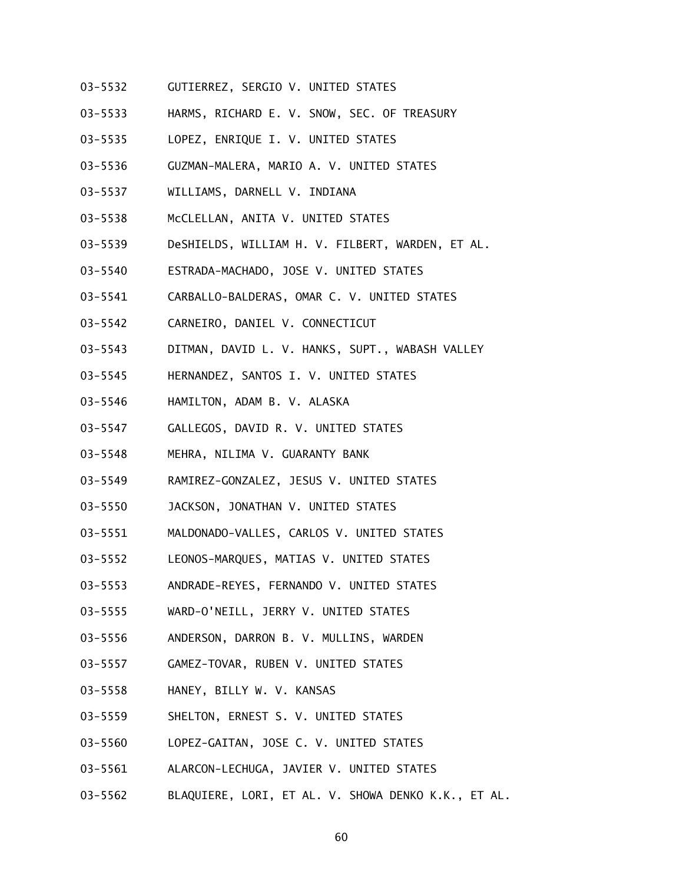- 03-5532 GUTIERREZ, SERGIO V. UNITED STATES
- 03-5533 HARMS, RICHARD E. V. SNOW, SEC. OF TREASURY
- 03-5535 LOPEZ, ENRIQUE I. V. UNITED STATES
- 03-5536 GUZMAN-MALERA, MARIO A. V. UNITED STATES
- 03-5537 WILLIAMS, DARNELL V. INDIANA
- 03-5538 McCLELLAN, ANITA V. UNITED STATES
- 03-5539 DeSHIELDS, WILLIAM H. V. FILBERT, WARDEN, ET AL.
- 03-5540 ESTRADA-MACHADO, JOSE V. UNITED STATES
- 03-5541 CARBALLO-BALDERAS, OMAR C. V. UNITED STATES
- 03-5542 CARNEIRO, DANIEL V. CONNECTICUT
- 03-5543 DITMAN, DAVID L. V. HANKS, SUPT., WABASH VALLEY
- 03-5545 HERNANDEZ, SANTOS I. V. UNITED STATES
- 03-5546 HAMILTON, ADAM B. V. ALASKA
- 03-5547 GALLEGOS, DAVID R. V. UNITED STATES
- 03-5548 MEHRA, NILIMA V. GUARANTY BANK
- 03-5549 RAMIREZ-GONZALEZ, JESUS V. UNITED STATES
- 03-5550 JACKSON, JONATHAN V. UNITED STATES
- 03-5551 MALDONADO-VALLES, CARLOS V. UNITED STATES
- 03-5552 LEONOS-MARQUES, MATIAS V. UNITED STATES
- 03-5553 ANDRADE-REYES, FERNANDO V. UNITED STATES
- 03-5555 WARD-O'NEILL, JERRY V. UNITED STATES
- 03-5556 ANDERSON, DARRON B. V. MULLINS, WARDEN
- 03-5557 GAMEZ-TOVAR, RUBEN V. UNITED STATES
- 03-5558 HANEY, BILLY W. V. KANSAS
- 03-5559 SHELTON, ERNEST S. V. UNITED STATES
- 03-5560 LOPEZ-GAITAN, JOSE C. V. UNITED STATES
- 03-5561 ALARCON-LECHUGA, JAVIER V. UNITED STATES
- 03-5562 BLAQUIERE, LORI, ET AL. V. SHOWA DENKO K.K., ET AL.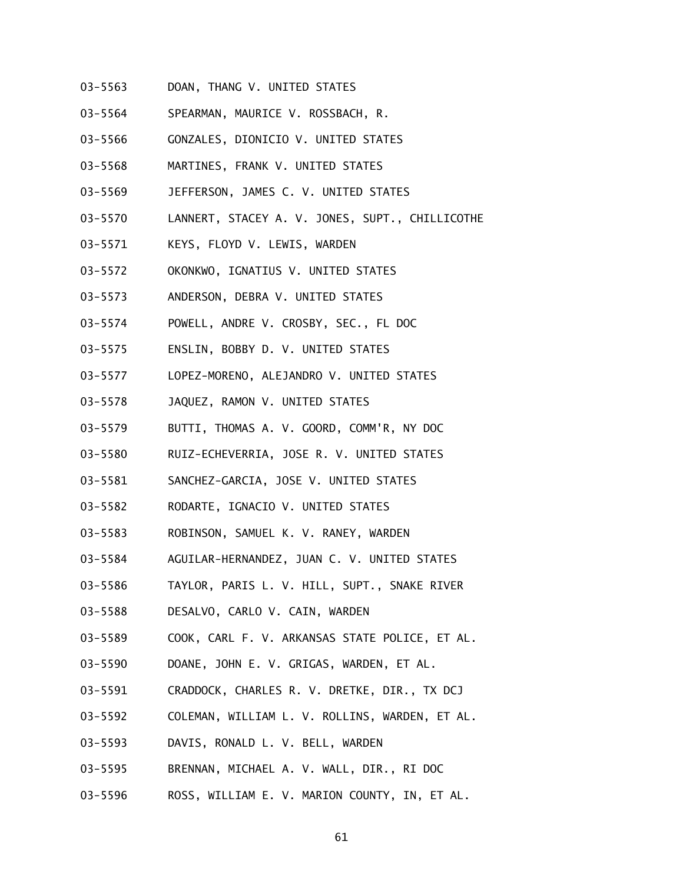- 03-5563 DOAN, THANG V. UNITED STATES
- 03-5564 SPEARMAN, MAURICE V. ROSSBACH, R.
- 03-5566 GONZALES, DIONICIO V. UNITED STATES
- 03-5568 MARTINES, FRANK V. UNITED STATES
- 03-5569 JEFFERSON, JAMES C. V. UNITED STATES
- 03-5570 LANNERT, STACEY A. V. JONES, SUPT., CHILLICOTHE
- 03-5571 KEYS, FLOYD V. LEWIS, WARDEN
- 03-5572 OKONKWO, IGNATIUS V. UNITED STATES
- 03-5573 ANDERSON, DEBRA V. UNITED STATES
- 03-5574 POWELL, ANDRE V. CROSBY, SEC., FL DOC
- 03-5575 ENSLIN, BOBBY D. V. UNITED STATES
- 03-5577 LOPEZ-MORENO, ALEJANDRO V. UNITED STATES
- 03-5578 JAQUEZ, RAMON V. UNITED STATES
- 03-5579 BUTTI, THOMAS A. V. GOORD, COMM'R, NY DOC
- 03-5580 RUIZ-ECHEVERRIA, JOSE R. V. UNITED STATES
- 03-5581 SANCHEZ-GARCIA, JOSE V. UNITED STATES
- 03-5582 RODARTE, IGNACIO V. UNITED STATES
- 03-5583 ROBINSON, SAMUEL K. V. RANEY, WARDEN
- 03-5584 AGUILAR-HERNANDEZ, JUAN C. V. UNITED STATES
- 03-5586 TAYLOR, PARIS L. V. HILL, SUPT., SNAKE RIVER
- 03-5588 DESALVO, CARLO V. CAIN, WARDEN
- 03-5589 COOK, CARL F. V. ARKANSAS STATE POLICE, ET AL.
- 03-5590 DOANE, JOHN E. V. GRIGAS, WARDEN, ET AL.
- 03-5591 CRADDOCK, CHARLES R. V. DRETKE, DIR., TX DCJ
- 03-5592 COLEMAN, WILLIAM L. V. ROLLINS, WARDEN, ET AL.
- 03-5593 DAVIS, RONALD L. V. BELL, WARDEN
- 03-5595 BRENNAN, MICHAEL A. V. WALL, DIR., RI DOC
- 03-5596 ROSS, WILLIAM E. V. MARION COUNTY, IN, ET AL.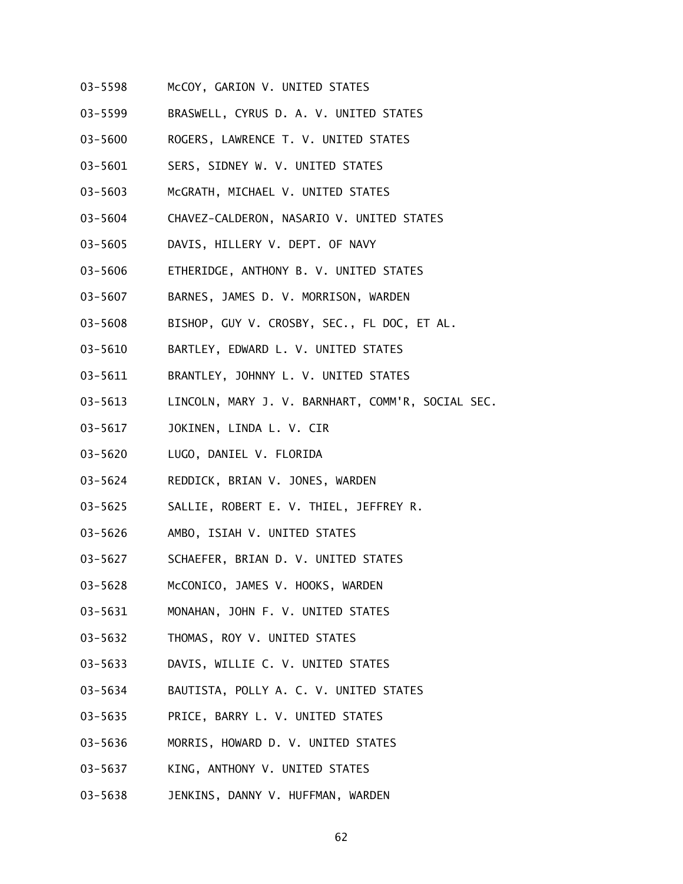- 03-5598 McCOY, GARION V. UNITED STATES
- 03-5599 BRASWELL, CYRUS D. A. V. UNITED STATES
- 03-5600 ROGERS, LAWRENCE T. V. UNITED STATES
- 03-5601 SERS, SIDNEY W. V. UNITED STATES
- 03-5603 McGRATH, MICHAEL V. UNITED STATES
- 03-5604 CHAVEZ-CALDERON, NASARIO V. UNITED STATES
- 03-5605 DAVIS, HILLERY V. DEPT. OF NAVY
- 03-5606 ETHERIDGE, ANTHONY B. V. UNITED STATES
- 03-5607 BARNES, JAMES D. V. MORRISON, WARDEN
- 03-5608 BISHOP, GUY V. CROSBY, SEC., FL DOC, ET AL.
- 03-5610 BARTLEY, EDWARD L. V. UNITED STATES
- 03-5611 BRANTLEY, JOHNNY L. V. UNITED STATES
- 03-5613 LINCOLN, MARY J. V. BARNHART, COMM'R, SOCIAL SEC.
- 03-5617 JOKINEN, LINDA L. V. CIR
- 03-5620 LUGO, DANIEL V. FLORIDA
- 03-5624 REDDICK, BRIAN V. JONES, WARDEN
- 03-5625 SALLIE, ROBERT E. V. THIEL, JEFFREY R.
- 03-5626 AMBO, ISIAH V. UNITED STATES
- 03-5627 SCHAEFER, BRIAN D. V. UNITED STATES
- 03-5628 McCONICO, JAMES V. HOOKS, WARDEN
- 03-5631 MONAHAN, JOHN F. V. UNITED STATES
- 03-5632 THOMAS, ROY V. UNITED STATES
- 03-5633 DAVIS, WILLIE C. V. UNITED STATES
- 03-5634 BAUTISTA, POLLY A. C. V. UNITED STATES
- 03-5635 PRICE, BARRY L. V. UNITED STATES
- 03-5636 MORRIS, HOWARD D. V. UNITED STATES
- 03-5637 KING, ANTHONY V. UNITED STATES
- 03-5638 JENKINS, DANNY V. HUFFMAN, WARDEN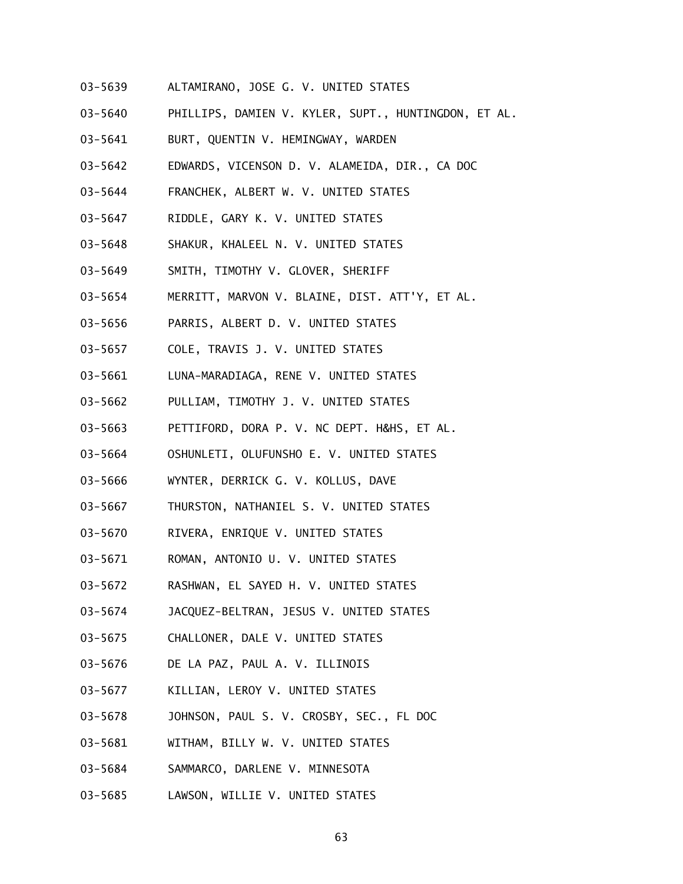- 03-5639 ALTAMIRANO, JOSE G. V. UNITED STATES
- 03-5640 PHILLIPS, DAMIEN V. KYLER, SUPT., HUNTINGDON, ET AL.
- 03-5641 BURT, QUENTIN V. HEMINGWAY, WARDEN
- 03-5642 EDWARDS, VICENSON D. V. ALAMEIDA, DIR., CA DOC
- 03-5644 FRANCHEK, ALBERT W. V. UNITED STATES
- 03-5647 RIDDLE, GARY K. V. UNITED STATES
- 03-5648 SHAKUR, KHALEEL N. V. UNITED STATES
- 03-5649 SMITH, TIMOTHY V. GLOVER, SHERIFF
- 03-5654 MERRITT, MARVON V. BLAINE, DIST. ATT'Y, ET AL.
- 03-5656 PARRIS, ALBERT D. V. UNITED STATES
- 03-5657 COLE, TRAVIS J. V. UNITED STATES
- 03-5661 LUNA-MARADIAGA, RENE V. UNITED STATES
- 03-5662 PULLIAM, TIMOTHY J. V. UNITED STATES
- 03-5663 PETTIFORD, DORA P. V. NC DEPT. H&HS, ET AL.
- 03-5664 OSHUNLETI, OLUFUNSHO E. V. UNITED STATES
- 03-5666 WYNTER, DERRICK G. V. KOLLUS, DAVE
- 03-5667 THURSTON, NATHANIEL S. V. UNITED STATES
- 03-5670 RIVERA, ENRIQUE V. UNITED STATES
- 03-5671 ROMAN, ANTONIO U. V. UNITED STATES
- 03-5672 RASHWAN, EL SAYED H. V. UNITED STATES
- 03-5674 JACQUEZ-BELTRAN, JESUS V. UNITED STATES
- 03-5675 CHALLONER, DALE V. UNITED STATES
- 03-5676 DE LA PAZ, PAUL A. V. ILLINOIS
- 03-5677 KILLIAN, LEROY V. UNITED STATES
- 03-5678 JOHNSON, PAUL S. V. CROSBY, SEC., FL DOC
- 03-5681 WITHAM, BILLY W. V. UNITED STATES
- 03-5684 SAMMARCO, DARLENE V. MINNESOTA
- 03-5685 LAWSON, WILLIE V. UNITED STATES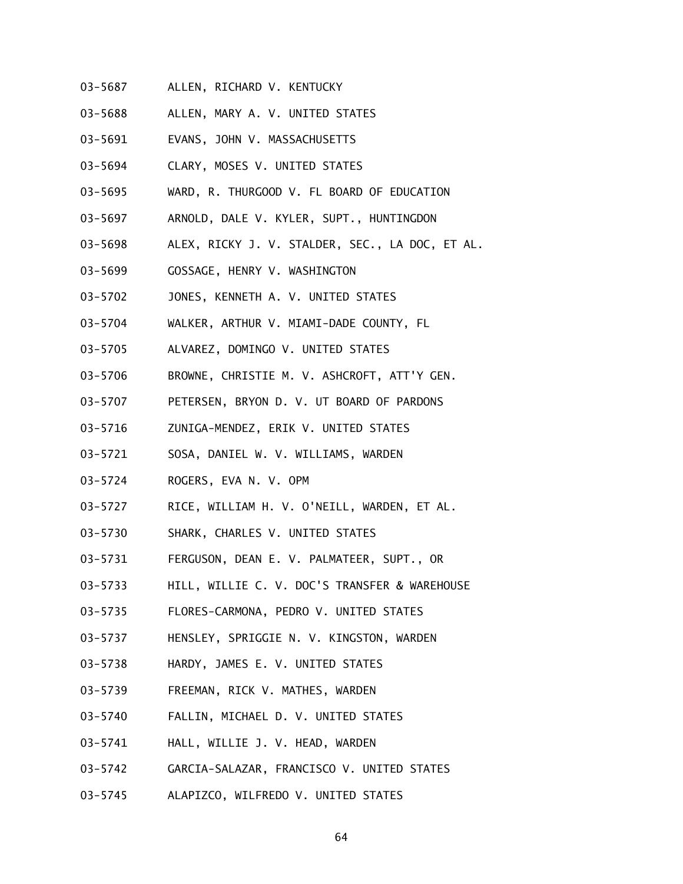- 03-5687 ALLEN, RICHARD V. KENTUCKY
- 03-5688 ALLEN, MARY A. V. UNITED STATES
- 03-5691 EVANS, JOHN V. MASSACHUSETTS
- 03-5694 CLARY, MOSES V. UNITED STATES
- 03-5695 WARD, R. THURGOOD V. FL BOARD OF EDUCATION
- 03-5697 ARNOLD, DALE V. KYLER, SUPT., HUNTINGDON
- 03-5698 ALEX, RICKY J. V. STALDER, SEC., LA DOC, ET AL.
- 03-5699 GOSSAGE, HENRY V. WASHINGTON
- 03-5702 JONES, KENNETH A. V. UNITED STATES
- 03-5704 WALKER, ARTHUR V. MIAMI-DADE COUNTY, FL
- 03-5705 ALVAREZ, DOMINGO V. UNITED STATES
- 03-5706 BROWNE, CHRISTIE M. V. ASHCROFT, ATT'Y GEN.
- 03-5707 PETERSEN, BRYON D. V. UT BOARD OF PARDONS
- 03-5716 ZUNIGA-MENDEZ, ERIK V. UNITED STATES
- 03-5721 SOSA, DANIEL W. V. WILLIAMS, WARDEN
- 03-5724 ROGERS, EVA N. V. OPM
- 03-5727 RICE, WILLIAM H. V. O'NEILL, WARDEN, ET AL.
- 03-5730 SHARK, CHARLES V. UNITED STATES
- 03-5731 FERGUSON, DEAN E. V. PALMATEER, SUPT., OR
- 03-5733 HILL, WILLIE C. V. DOC'S TRANSFER & WAREHOUSE
- 03-5735 FLORES-CARMONA, PEDRO V. UNITED STATES
- 03-5737 HENSLEY, SPRIGGIE N. V. KINGSTON, WARDEN
- 03-5738 HARDY, JAMES E. V. UNITED STATES
- 03-5739 FREEMAN, RICK V. MATHES, WARDEN
- 03-5740 FALLIN, MICHAEL D. V. UNITED STATES
- 03-5741 HALL, WILLIE J. V. HEAD, WARDEN
- 03-5742 GARCIA-SALAZAR, FRANCISCO V. UNITED STATES
- 03-5745 ALAPIZCO, WILFREDO V. UNITED STATES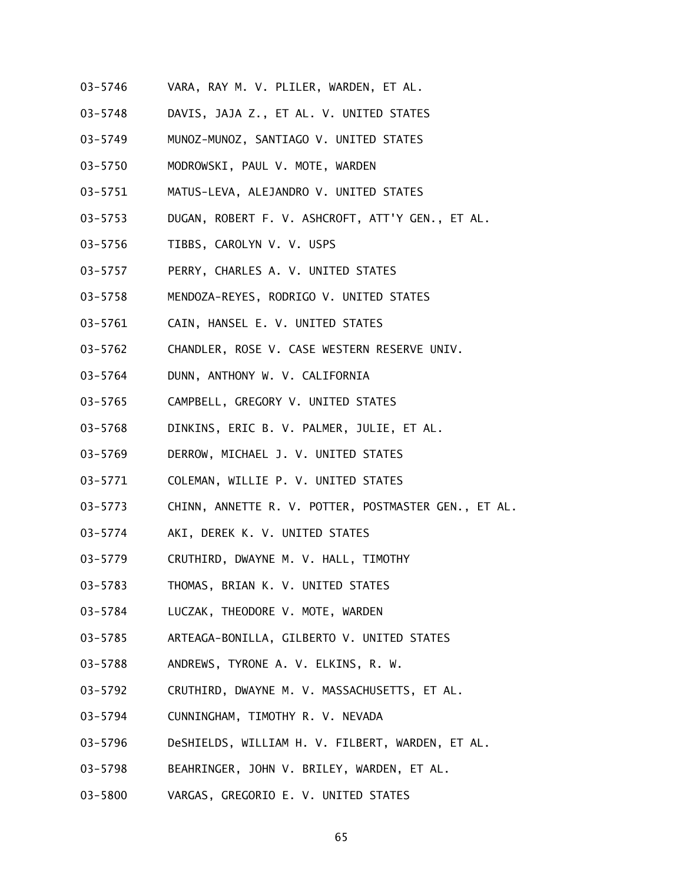- 03-5746 VARA, RAY M. V. PLILER, WARDEN, ET AL.
- 03-5748 DAVIS, JAJA Z., ET AL. V. UNITED STATES
- 03-5749 MUNOZ-MUNOZ, SANTIAGO V. UNITED STATES
- 03-5750 MODROWSKI, PAUL V. MOTE, WARDEN
- 03-5751 MATUS-LEVA, ALEJANDRO V. UNITED STATES
- 03-5753 DUGAN, ROBERT F. V. ASHCROFT, ATT'Y GEN., ET AL.
- 03-5756 TIBBS, CAROLYN V. V. USPS
- 03-5757 PERRY, CHARLES A. V. UNITED STATES
- 03-5758 MENDOZA-REYES, RODRIGO V. UNITED STATES
- 03-5761 CAIN, HANSEL E. V. UNITED STATES
- 03-5762 CHANDLER, ROSE V. CASE WESTERN RESERVE UNIV.
- 03-5764 DUNN, ANTHONY W. V. CALIFORNIA
- 03-5765 CAMPBELL, GREGORY V. UNITED STATES
- 03-5768 DINKINS, ERIC B. V. PALMER, JULIE, ET AL.
- 03-5769 DERROW, MICHAEL J. V. UNITED STATES
- 03-5771 COLEMAN, WILLIE P. V. UNITED STATES
- 03-5773 CHINN, ANNETTE R. V. POTTER, POSTMASTER GEN., ET AL.
- 03-5774 AKI, DEREK K. V. UNITED STATES
- 03-5779 CRUTHIRD, DWAYNE M. V. HALL, TIMOTHY
- 03-5783 THOMAS, BRIAN K. V. UNITED STATES
- 03-5784 LUCZAK, THEODORE V. MOTE, WARDEN
- 03-5785 ARTEAGA-BONILLA, GILBERTO V. UNITED STATES
- 03-5788 ANDREWS, TYRONE A. V. ELKINS, R. W.
- 03-5792 CRUTHIRD, DWAYNE M. V. MASSACHUSETTS, ET AL.
- 03-5794 CUNNINGHAM, TIMOTHY R. V. NEVADA
- 03-5796 DeSHIELDS, WILLIAM H. V. FILBERT, WARDEN, ET AL.
- 03-5798 BEAHRINGER, JOHN V. BRILEY, WARDEN, ET AL.
- 03-5800 VARGAS, GREGORIO E. V. UNITED STATES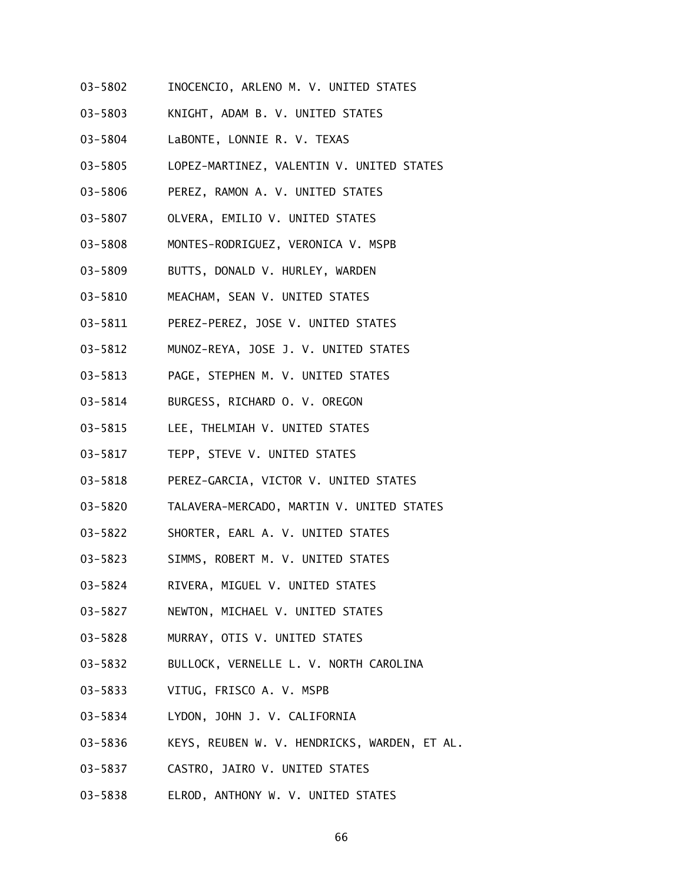- 03-5802 INOCENCIO, ARLENO M. V. UNITED STATES
- 03-5803 KNIGHT, ADAM B. V. UNITED STATES
- 03-5804 LaBONTE, LONNIE R. V. TEXAS
- 03-5805 LOPEZ-MARTINEZ, VALENTIN V. UNITED STATES
- 03-5806 PEREZ, RAMON A. V. UNITED STATES
- 03-5807 OLVERA, EMILIO V. UNITED STATES
- 03-5808 MONTES-RODRIGUEZ, VERONICA V. MSPB
- 03-5809 BUTTS, DONALD V. HURLEY, WARDEN
- 03-5810 MEACHAM, SEAN V. UNITED STATES
- 03-5811 PEREZ-PEREZ, JOSE V. UNITED STATES
- 03-5812 MUNOZ-REYA, JOSE J. V. UNITED STATES
- 03-5813 PAGE, STEPHEN M. V. UNITED STATES
- 03-5814 BURGESS, RICHARD O. V. OREGON
- 03-5815 LEE, THELMIAH V. UNITED STATES
- 03-5817 TEPP, STEVE V. UNITED STATES
- 03-5818 PEREZ-GARCIA, VICTOR V. UNITED STATES
- 03-5820 TALAVERA-MERCADO, MARTIN V. UNITED STATES
- 03-5822 SHORTER, EARL A. V. UNITED STATES
- 03-5823 SIMMS, ROBERT M. V. UNITED STATES
- 03-5824 RIVERA, MIGUEL V. UNITED STATES
- 03-5827 NEWTON, MICHAEL V. UNITED STATES
- 03-5828 MURRAY, OTIS V. UNITED STATES
- 03-5832 BULLOCK, VERNELLE L. V. NORTH CAROLINA
- 03-5833 VITUG, FRISCO A. V. MSPB
- 03-5834 LYDON, JOHN J. V. CALIFORNIA
- 03-5836 KEYS, REUBEN W. V. HENDRICKS, WARDEN, ET AL.
- 03-5837 CASTRO, JAIRO V. UNITED STATES
- 03-5838 ELROD, ANTHONY W. V. UNITED STATES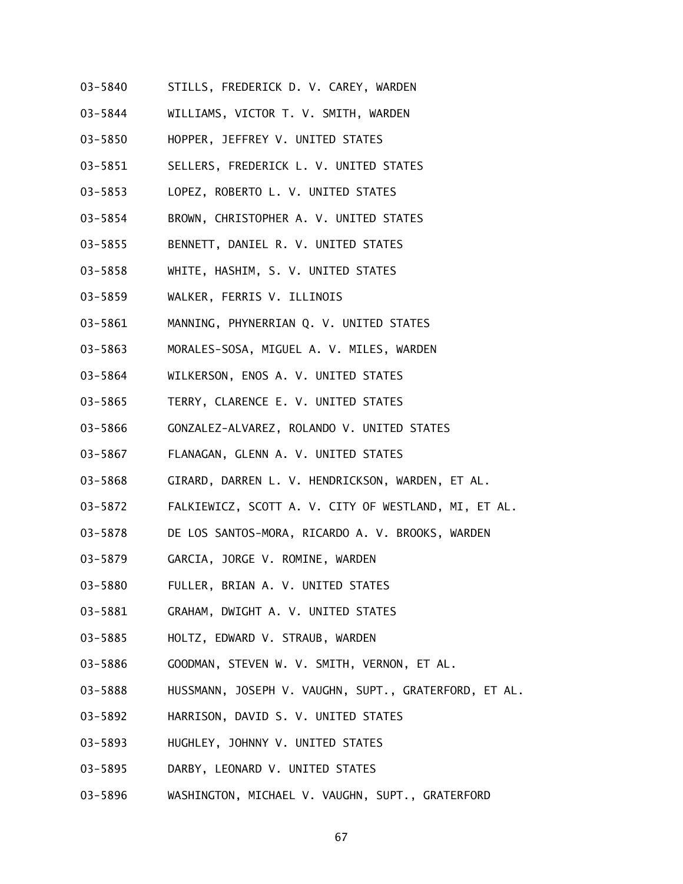- 03-5840 STILLS, FREDERICK D. V. CAREY, WARDEN
- 03-5844 WILLIAMS, VICTOR T. V. SMITH, WARDEN
- 03-5850 HOPPER, JEFFREY V. UNITED STATES
- 03-5851 SELLERS, FREDERICK L. V. UNITED STATES
- 03-5853 LOPEZ, ROBERTO L. V. UNITED STATES
- 03-5854 BROWN, CHRISTOPHER A. V. UNITED STATES
- 03-5855 BENNETT, DANIEL R. V. UNITED STATES
- 03-5858 WHITE, HASHIM, S. V. UNITED STATES
- 03-5859 WALKER, FERRIS V. ILLINOIS
- 03-5861 MANNING, PHYNERRIAN Q. V. UNITED STATES
- 03-5863 MORALES-SOSA, MIGUEL A. V. MILES, WARDEN
- 03-5864 WILKERSON, ENOS A. V. UNITED STATES
- 03-5865 TERRY, CLARENCE E. V. UNITED STATES
- 03-5866 GONZALEZ-ALVAREZ, ROLANDO V. UNITED STATES
- 03-5867 FLANAGAN, GLENN A. V. UNITED STATES
- 03-5868 GIRARD, DARREN L. V. HENDRICKSON, WARDEN, ET AL.
- 03-5872 FALKIEWICZ, SCOTT A. V. CITY OF WESTLAND, MI, ET AL.
- 03-5878 DE LOS SANTOS-MORA, RICARDO A. V. BROOKS, WARDEN
- 03-5879 GARCIA, JORGE V. ROMINE, WARDEN
- 03-5880 FULLER, BRIAN A. V. UNITED STATES
- 03-5881 GRAHAM, DWIGHT A. V. UNITED STATES
- 03-5885 HOLTZ, EDWARD V. STRAUB, WARDEN
- 03-5886 GOODMAN, STEVEN W. V. SMITH, VERNON, ET AL.
- 03-5888 HUSSMANN, JOSEPH V. VAUGHN, SUPT., GRATERFORD, ET AL.
- 03-5892 HARRISON, DAVID S. V. UNITED STATES
- 03-5893 HUGHLEY, JOHNNY V. UNITED STATES
- 03-5895 DARBY, LEONARD V. UNITED STATES
- 03-5896 WASHINGTON, MICHAEL V. VAUGHN, SUPT., GRATERFORD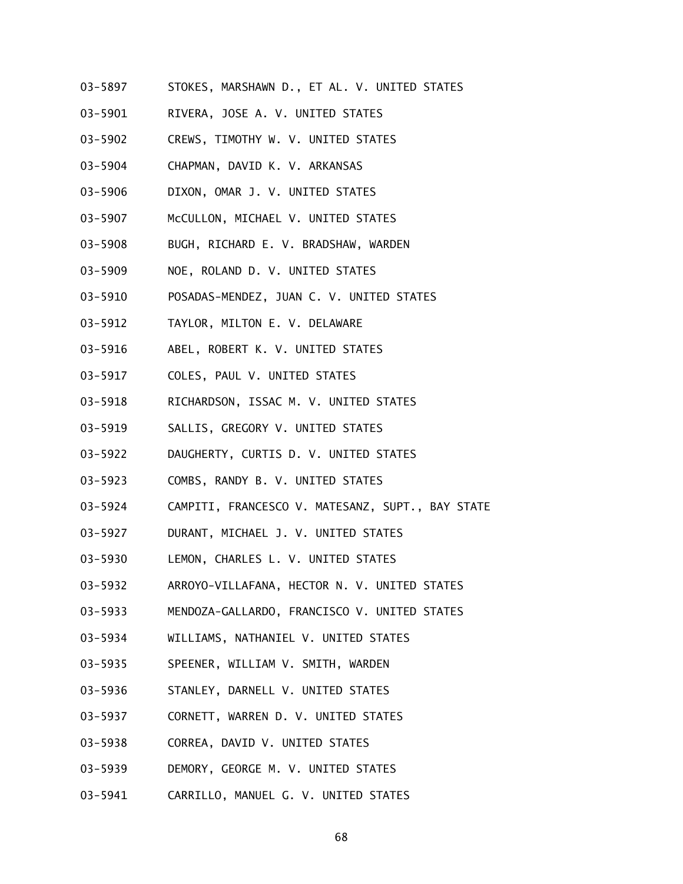- 03-5897 STOKES, MARSHAWN D., ET AL. V. UNITED STATES
- 03-5901 RIVERA, JOSE A. V. UNITED STATES
- 03-5902 CREWS, TIMOTHY W. V. UNITED STATES
- 03-5904 CHAPMAN, DAVID K. V. ARKANSAS
- 03-5906 DIXON, OMAR J. V. UNITED STATES
- 03-5907 McCULLON, MICHAEL V. UNITED STATES
- 03-5908 BUGH, RICHARD E. V. BRADSHAW, WARDEN
- 03-5909 NOE, ROLAND D. V. UNITED STATES
- 03-5910 POSADAS-MENDEZ, JUAN C. V. UNITED STATES
- 03-5912 TAYLOR, MILTON E. V. DELAWARE
- 03-5916 ABEL, ROBERT K. V. UNITED STATES
- 03-5917 COLES, PAUL V. UNITED STATES
- 03-5918 RICHARDSON, ISSAC M. V. UNITED STATES
- 03-5919 SALLIS, GREGORY V. UNITED STATES
- 03-5922 DAUGHERTY, CURTIS D. V. UNITED STATES
- 03-5923 COMBS, RANDY B. V. UNITED STATES
- 03-5924 CAMPITI, FRANCESCO V. MATESANZ, SUPT., BAY STATE
- 03-5927 DURANT, MICHAEL J. V. UNITED STATES
- 03-5930 LEMON, CHARLES L. V. UNITED STATES
- 03-5932 ARROYO-VILLAFANA, HECTOR N. V. UNITED STATES
- 03-5933 MENDOZA-GALLARDO, FRANCISCO V. UNITED STATES
- 03-5934 WILLIAMS, NATHANIEL V. UNITED STATES
- 03-5935 SPEENER, WILLIAM V. SMITH, WARDEN
- 03-5936 STANLEY, DARNELL V. UNITED STATES
- 03-5937 CORNETT, WARREN D. V. UNITED STATES
- 03-5938 CORREA, DAVID V. UNITED STATES
- 03-5939 DEMORY, GEORGE M. V. UNITED STATES
- 03-5941 CARRILLO, MANUEL G. V. UNITED STATES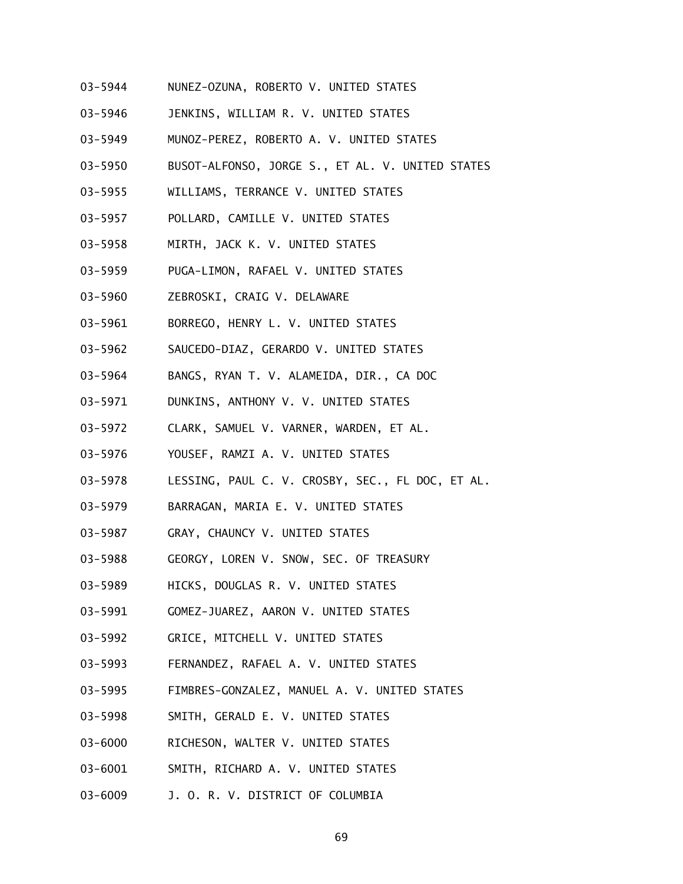- 03-5944 NUNEZ-OZUNA, ROBERTO V. UNITED STATES
- 03-5946 JENKINS, WILLIAM R. V. UNITED STATES
- 03-5949 MUNOZ-PEREZ, ROBERTO A. V. UNITED STATES
- 03-5950 BUSOT-ALFONSO, JORGE S., ET AL. V. UNITED STATES
- 03-5955 WILLIAMS, TERRANCE V. UNITED STATES
- 03-5957 POLLARD, CAMILLE V. UNITED STATES
- 03-5958 MIRTH, JACK K. V. UNITED STATES
- 03-5959 PUGA-LIMON, RAFAEL V. UNITED STATES
- 03-5960 ZEBROSKI, CRAIG V. DELAWARE
- 03-5961 BORREGO, HENRY L. V. UNITED STATES
- 03-5962 SAUCEDO-DIAZ, GERARDO V. UNITED STATES
- 03-5964 BANGS, RYAN T. V. ALAMEIDA, DIR., CA DOC
- 03-5971 DUNKINS, ANTHONY V. V. UNITED STATES
- 03-5972 CLARK, SAMUEL V. VARNER, WARDEN, ET AL.
- 03-5976 YOUSEF, RAMZI A. V. UNITED STATES
- 03-5978 LESSING, PAUL C. V. CROSBY, SEC., FL DOC, ET AL.
- 03-5979 BARRAGAN, MARIA E. V. UNITED STATES
- 03-5987 GRAY, CHAUNCY V. UNITED STATES
- 03-5988 GEORGY, LOREN V. SNOW, SEC. OF TREASURY
- 03-5989 HICKS, DOUGLAS R. V. UNITED STATES
- 03-5991 GOMEZ-JUAREZ, AARON V. UNITED STATES
- 03-5992 GRICE, MITCHELL V. UNITED STATES
- 03-5993 FERNANDEZ, RAFAEL A. V. UNITED STATES
- 03-5995 FIMBRES-GONZALEZ, MANUEL A. V. UNITED STATES
- 03-5998 SMITH, GERALD E. V. UNITED STATES
- 03-6000 RICHESON, WALTER V. UNITED STATES
- 03-6001 SMITH, RICHARD A. V. UNITED STATES
- 03-6009 J. O. R. V. DISTRICT OF COLUMBIA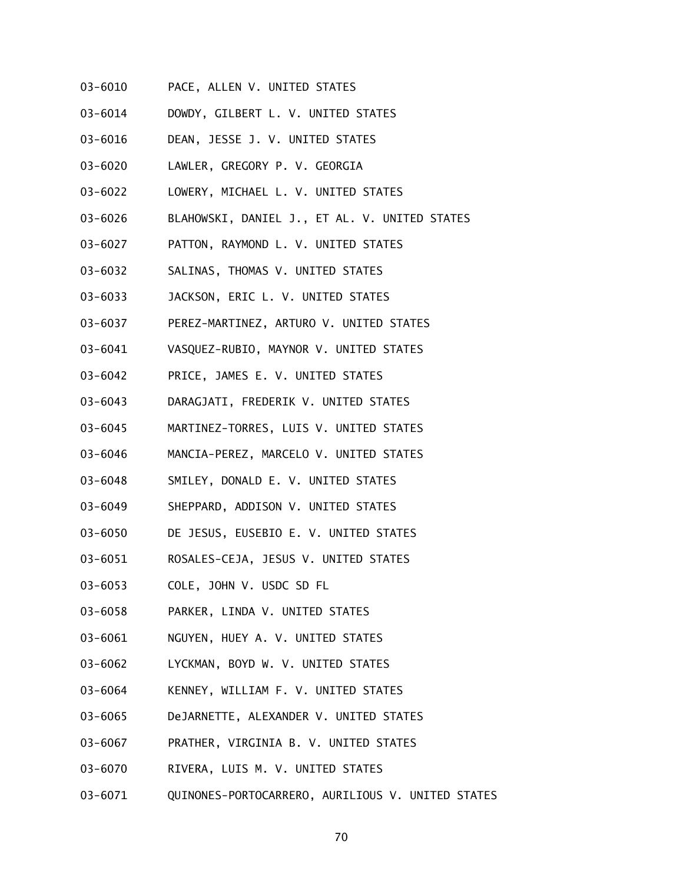- 03-6010 PACE, ALLEN V. UNITED STATES
- 03-6014 DOWDY, GILBERT L. V. UNITED STATES
- 03-6016 DEAN, JESSE J. V. UNITED STATES
- 03-6020 LAWLER, GREGORY P. V. GEORGIA
- 03-6022 LOWERY, MICHAEL L. V. UNITED STATES
- 03-6026 BLAHOWSKI, DANIEL J., ET AL. V. UNITED STATES
- 03-6027 PATTON, RAYMOND L. V. UNITED STATES
- 03-6032 SALINAS, THOMAS V. UNITED STATES
- 03-6033 JACKSON, ERIC L. V. UNITED STATES
- 03-6037 PEREZ-MARTINEZ, ARTURO V. UNITED STATES
- 03-6041 VASQUEZ-RUBIO, MAYNOR V. UNITED STATES
- 03-6042 PRICE, JAMES E. V. UNITED STATES
- 03-6043 DARAGJATI, FREDERIK V. UNITED STATES
- 03-6045 MARTINEZ-TORRES, LUIS V. UNITED STATES
- 03-6046 MANCIA-PEREZ, MARCELO V. UNITED STATES
- 03-6048 SMILEY, DONALD E. V. UNITED STATES
- 03-6049 SHEPPARD, ADDISON V. UNITED STATES
- 03-6050 DE JESUS, EUSEBIO E. V. UNITED STATES
- 03-6051 ROSALES-CEJA, JESUS V. UNITED STATES
- 03-6053 COLE, JOHN V. USDC SD FL
- 03-6058 PARKER, LINDA V. UNITED STATES
- 03-6061 NGUYEN, HUEY A. V. UNITED STATES
- 03-6062 LYCKMAN, BOYD W. V. UNITED STATES
- 03-6064 KENNEY, WILLIAM F. V. UNITED STATES
- 03-6065 DeJARNETTE, ALEXANDER V. UNITED STATES
- 03-6067 PRATHER, VIRGINIA B. V. UNITED STATES
- 03-6070 RIVERA, LUIS M. V. UNITED STATES
- 03-6071 QUINONES-PORTOCARRERO, AURILIOUS V. UNITED STATES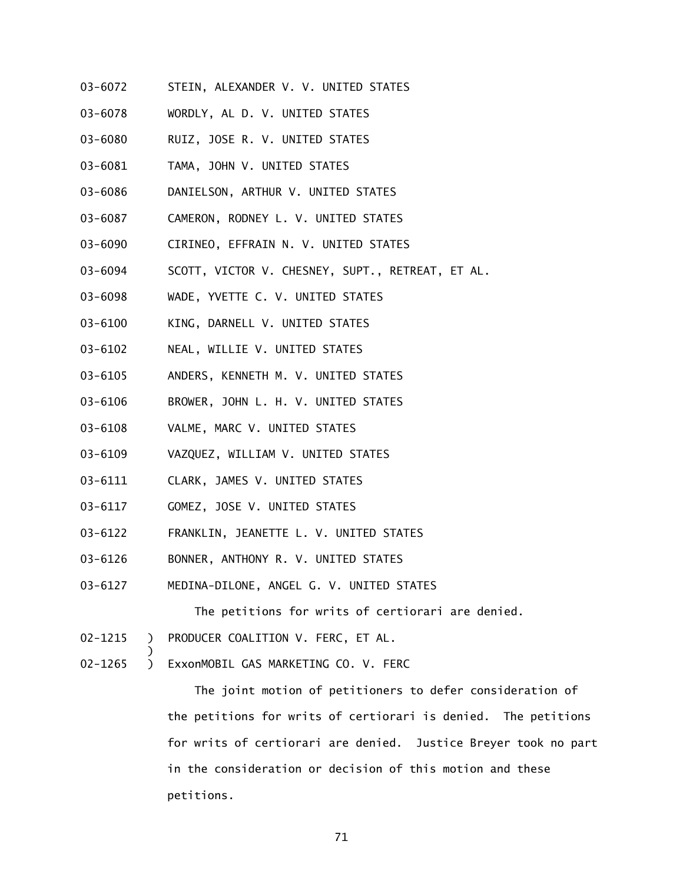- 03-6072 STEIN, ALEXANDER V. V. UNITED STATES
- 03-6078 WORDLY, AL D. V. UNITED STATES
- 03-6080 RUIZ, JOSE R. V. UNITED STATES
- 03-6081 TAMA, JOHN V. UNITED STATES
- 03-6086 DANIELSON, ARTHUR V. UNITED STATES
- 03-6087 CAMERON, RODNEY L. V. UNITED STATES
- 03-6090 CIRINEO, EFFRAIN N. V. UNITED STATES
- 03-6094 SCOTT, VICTOR V. CHESNEY, SUPT., RETREAT, ET AL.
- 03-6098 WADE, YVETTE C. V. UNITED STATES
- 03-6100 KING, DARNELL V. UNITED STATES
- 03-6102 NEAL, WILLIE V. UNITED STATES
- 03-6105 ANDERS, KENNETH M. V. UNITED STATES
- 03-6106 BROWER, JOHN L. H. V. UNITED STATES
- 03-6108 VALME, MARC V. UNITED STATES
- 03-6109 VAZQUEZ, WILLIAM V. UNITED STATES
- 03-6111 CLARK, JAMES V. UNITED STATES
- 03-6117 GOMEZ, JOSE V. UNITED STATES
- 03-6122 FRANKLIN, JEANETTE L. V. UNITED STATES
- 03-6126 BONNER, ANTHONY R. V. UNITED STATES
- 03-6127 MEDINA-DILONE, ANGEL G. V. UNITED STATES

The petitions for writs of certiorari are denied.

02-1215 ) PRODUCER COALITION V. FERC, ET AL.

)

02-1265 ) ExxonMOBIL GAS MARKETING CO. V. FERC

The joint motion of petitioners to defer consideration of the petitions for writs of certiorari is denied. The petitions for writs of certiorari are denied. Justice Breyer took no part in the consideration or decision of this motion and these petitions.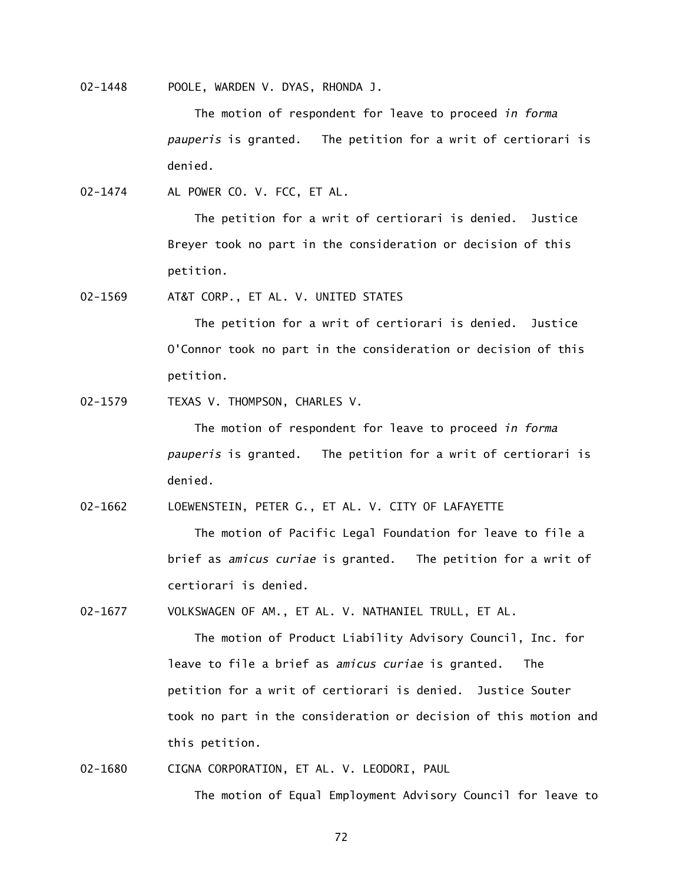02-1448 POOLE, WARDEN V. DYAS, RHONDA J.

The motion of respondent for leave to proceed *in forma pauperis* is granted. The petition for a writ of certiorari is denied.

02-1474 AL POWER CO. V. FCC, ET AL.

The petition for a writ of certiorari is denied. Justice Breyer took no part in the consideration or decision of this petition.

02-1569 AT&T CORP., ET AL. V. UNITED STATES

The petition for a writ of certiorari is denied. Justice O'Connor took no part in the consideration or decision of this petition.

02-1579 TEXAS V. THOMPSON, CHARLES V.

The motion of respondent for leave to proceed *in forma pauperis* is granted. The petition for a writ of certiorari is denied.

02-1662 LOEWENSTEIN, PETER G., ET AL. V. CITY OF LAFAYETTE

The motion of Pacific Legal Foundation for leave to file a brief as *amicus curiae* is granted. The petition for a writ of certiorari is denied.

02-1677 VOLKSWAGEN OF AM., ET AL. V. NATHANIEL TRULL, ET AL.

The motion of Product Liability Advisory Council, Inc. for leave to file a brief as *amicus curiae* is granted. The petition for a writ of certiorari is denied. Justice Souter took no part in the consideration or decision of this motion and this petition.

02-1680 CIGNA CORPORATION, ET AL. V. LEODORI, PAUL The motion of Equal Employment Advisory Council for leave to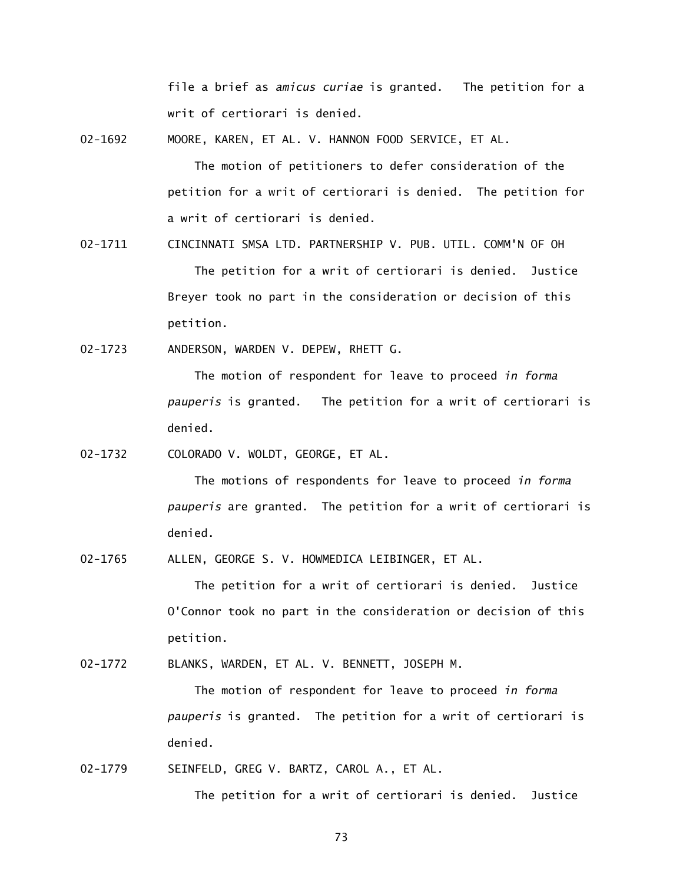file a brief as *amicus curiae* is granted. The petition for a writ of certiorari is denied.

02-1692 MOORE, KAREN, ET AL. V. HANNON FOOD SERVICE, ET AL.

The motion of petitioners to defer consideration of the petition for a writ of certiorari is denied. The petition for a writ of certiorari is denied.

02-1711 CINCINNATI SMSA LTD. PARTNERSHIP V. PUB. UTIL. COMM'N OF OH The petition for a writ of certiorari is denied. Justice Breyer took no part in the consideration or decision of this petition.

02-1723 ANDERSON, WARDEN V. DEPEW, RHETT G.

The motion of respondent for leave to proceed *in forma pauperis* is granted. The petition for a writ of certiorari is denied.

02-1732 COLORADO V. WOLDT, GEORGE, ET AL.

The motions of respondents for leave to proceed *in forma pauperis* are granted. The petition for a writ of certiorari is denied.

02-1765 ALLEN, GEORGE S. V. HOWMEDICA LEIBINGER, ET AL.

The petition for a writ of certiorari is denied. Justice O'Connor took no part in the consideration or decision of this petition.

02-1772 BLANKS, WARDEN, ET AL. V. BENNETT, JOSEPH M.

The motion of respondent for leave to proceed *in forma pauperis* is granted. The petition for a writ of certiorari is denied.

02-1779 SEINFELD, GREG V. BARTZ, CAROL A., ET AL.

The petition for a writ of certiorari is denied. Justice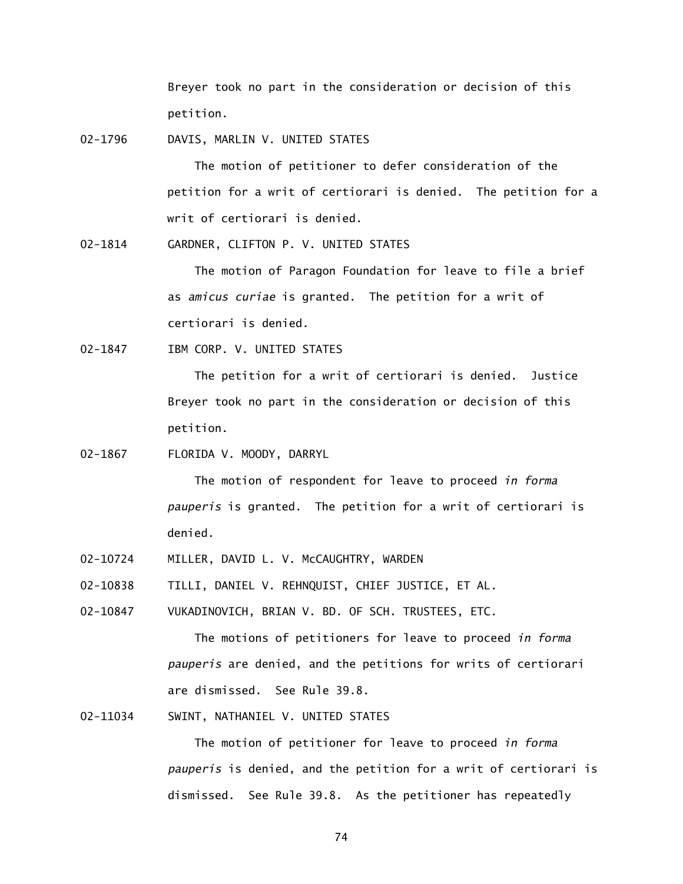Breyer took no part in the consideration or decision of this petition.

02-1796 DAVIS, MARLIN V. UNITED STATES

The motion of petitioner to defer consideration of the petition for a writ of certiorari is denied. The petition for a writ of certiorari is denied.

02-1814 GARDNER, CLIFTON P. V. UNITED STATES

The motion of Paragon Foundation for leave to file a brief as *amicus curiae* is granted. The petition for a writ of certiorari is denied.

02-1847 IBM CORP. V. UNITED STATES

The petition for a writ of certiorari is denied. Justice Breyer took no part in the consideration or decision of this petition.

02-1867 FLORIDA V. MOODY, DARRYL

The motion of respondent for leave to proceed *in forma pauperis* is granted. The petition for a writ of certiorari is denied.

02-10724 MILLER, DAVID L. V. McCAUGHTRY, WARDEN

02-10838 TILLI, DANIEL V. REHNQUIST, CHIEF JUSTICE, ET AL.

02-10847 VUKADINOVICH, BRIAN V. BD. OF SCH. TRUSTEES, ETC.

The motions of petitioners for leave to proceed *in forma pauperis* are denied, and the petitions for writs of certiorari are dismissed. See Rule 39.8.

02-11034 SWINT, NATHANIEL V. UNITED STATES

The motion of petitioner for leave to proceed *in forma pauperis* is denied, and the petition for a writ of certiorari is dismissed. See Rule 39.8. As the petitioner has repeatedly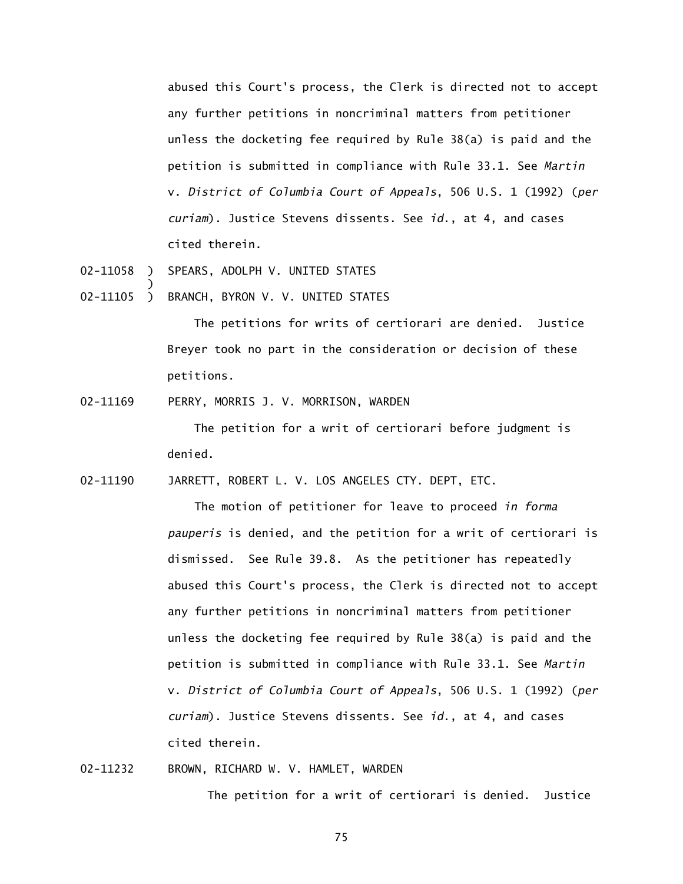abused this Court's process, the Clerk is directed not to accept any further petitions in noncriminal matters from petitioner unless the docketing fee required by Rule 38(a) is paid and the petition is submitted in compliance with Rule 33.1. See *Martin*  v. *District of Columbia Court of Appeals*, 506 U.S. 1 (1992) (*per curiam*). Justice Stevens dissents. See *id*., at 4, and cases cited therein.

02-11058 ) SPEARS, ADOLPH V. UNITED STATES

)

02-11105 ) BRANCH, BYRON V. V. UNITED STATES

The petitions for writs of certiorari are denied. Justice Breyer took no part in the consideration or decision of these petitions.

02-11169 PERRY, MORRIS J. V. MORRISON, WARDEN

The petition for a writ of certiorari before judgment is denied.

02-11190 JARRETT, ROBERT L. V. LOS ANGELES CTY. DEPT, ETC.

The motion of petitioner for leave to proceed *in forma pauperis* is denied, and the petition for a writ of certiorari is dismissed. See Rule 39.8. As the petitioner has repeatedly abused this Court's process, the Clerk is directed not to accept any further petitions in noncriminal matters from petitioner unless the docketing fee required by Rule 38(a) is paid and the petition is submitted in compliance with Rule 33.1. See *Martin*  v. *District of Columbia Court of Appeals*, 506 U.S. 1 (1992) (*per curiam*). Justice Stevens dissents. See *id*., at 4, and cases cited therein.

02-11232 BROWN, RICHARD W. V. HAMLET, WARDEN

The petition for a writ of certiorari is denied. Justice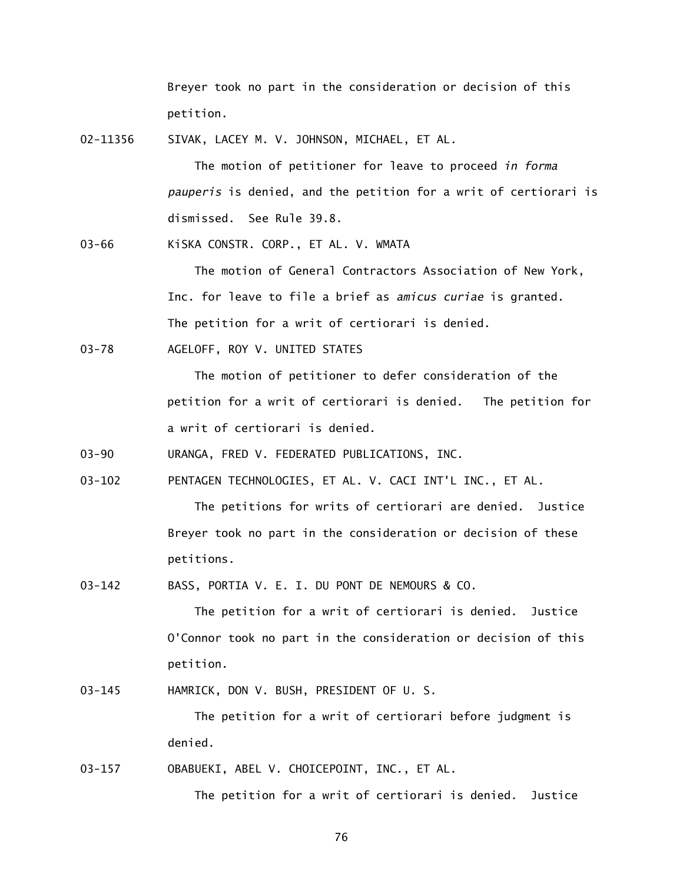Breyer took no part in the consideration or decision of this petition.

02-11356 SIVAK, LACEY M. V. JOHNSON, MICHAEL, ET AL.

The motion of petitioner for leave to proceed *in forma pauperis* is denied, and the petition for a writ of certiorari is dismissed. See Rule 39.8.

03-66 KiSKA CONSTR. CORP., ET AL. V. WMATA

The motion of General Contractors Association of New York, Inc. for leave to file a brief as *amicus curiae* is granted. The petition for a writ of certiorari is denied.

03-78 AGELOFF, ROY V. UNITED STATES

The motion of petitioner to defer consideration of the petition for a writ of certiorari is denied. The petition for a writ of certiorari is denied.

03-90 URANGA, FRED V. FEDERATED PUBLICATIONS, INC.

03-102 PENTAGEN TECHNOLOGIES, ET AL. V. CACI INT'L INC., ET AL.

The petitions for writs of certiorari are denied. Justice Breyer took no part in the consideration or decision of these petitions.

03-142 BASS, PORTIA V. E. I. DU PONT DE NEMOURS & CO.

The petition for a writ of certiorari is denied. Justice O'Connor took no part in the consideration or decision of this petition.

03-145 HAMRICK, DON V. BUSH, PRESIDENT OF U. S.

The petition for a writ of certiorari before judgment is denied.

03-157 OBABUEKI, ABEL V. CHOICEPOINT, INC., ET AL.

The petition for a writ of certiorari is denied. Justice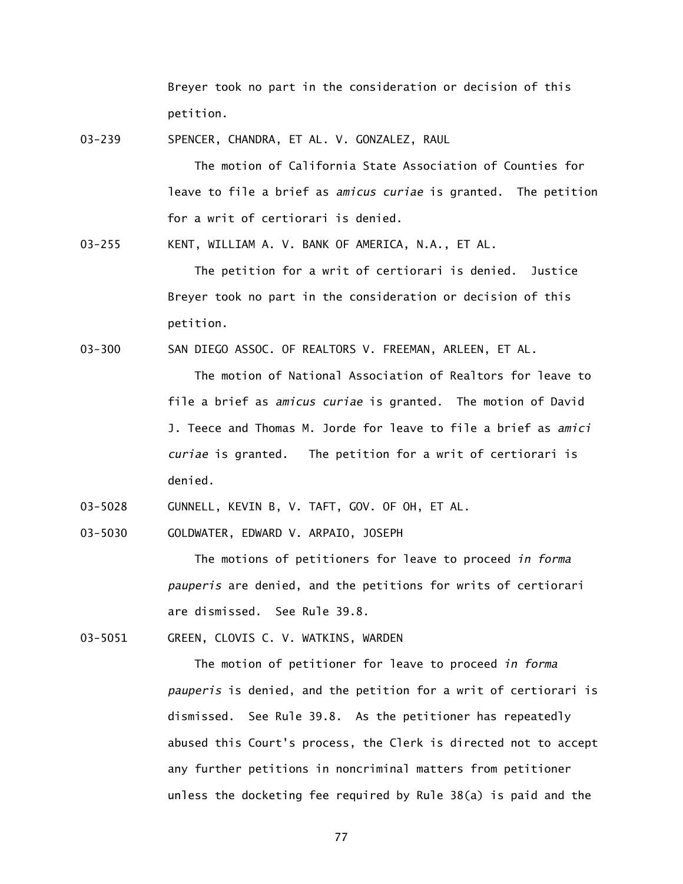Breyer took no part in the consideration or decision of this petition.

03-239 SPENCER, CHANDRA, ET AL. V. GONZALEZ, RAUL

The motion of California State Association of Counties for leave to file a brief as *amicus curiae* is granted. The petition for a writ of certiorari is denied.

03-255 KENT, WILLIAM A. V. BANK OF AMERICA, N.A., ET AL.

The petition for a writ of certiorari is denied. Justice Breyer took no part in the consideration or decision of this petition.

03-300 SAN DIEGO ASSOC. OF REALTORS V. FREEMAN, ARLEEN, ET AL.

The motion of National Association of Realtors for leave to file a brief as *amicus curiae* is granted. The motion of David J. Teece and Thomas M. Jorde for leave to file a brief as *amici curiae* is granted. The petition for a writ of certiorari is denied.

03-5028 GUNNELL, KEVIN B, V. TAFT, GOV. OF OH, ET AL.

03-5030 GOLDWATER, EDWARD V. ARPAIO, JOSEPH

The motions of petitioners for leave to proceed *in forma pauperis* are denied, and the petitions for writs of certiorari are dismissed. See Rule 39.8.

03-5051 GREEN, CLOVIS C. V. WATKINS, WARDEN

The motion of petitioner for leave to proceed *in forma pauperis* is denied, and the petition for a writ of certiorari is dismissed. See Rule 39.8. As the petitioner has repeatedly abused this Court's process, the Clerk is directed not to accept any further petitions in noncriminal matters from petitioner unless the docketing fee required by Rule 38(a) is paid and the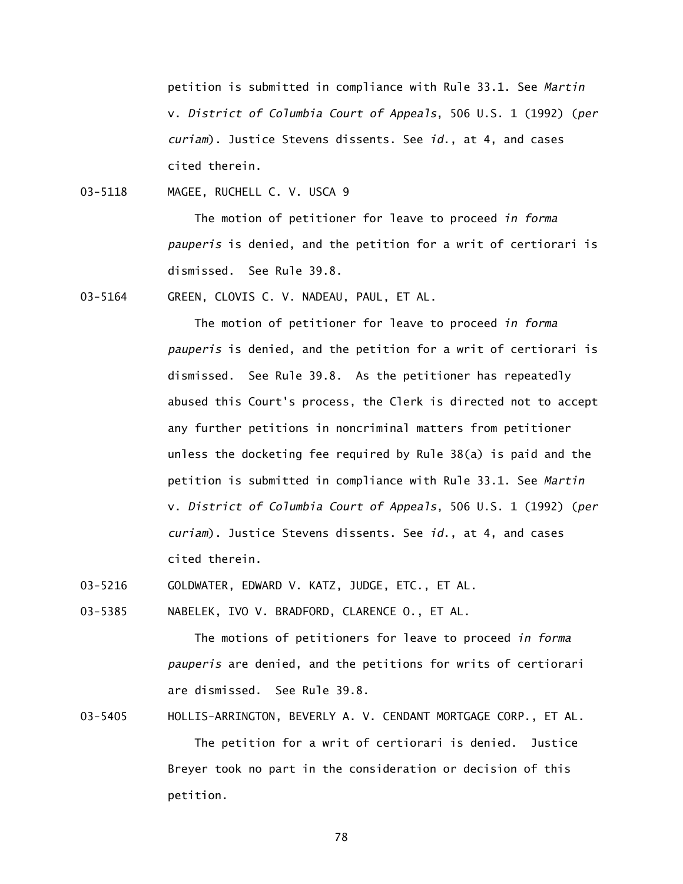petition is submitted in compliance with Rule 33.1. See *Martin*  v. *District of Columbia Court of Appeals*, 506 U.S. 1 (1992) (*per curiam*). Justice Stevens dissents. See *id*., at 4, and cases cited therein.

03-5118 MAGEE, RUCHELL C. V. USCA 9

The motion of petitioner for leave to proceed *in forma pauperis* is denied, and the petition for a writ of certiorari is dismissed. See Rule 39.8.

03-5164 GREEN, CLOVIS C. V. NADEAU, PAUL, ET AL.

The motion of petitioner for leave to proceed *in forma pauperis* is denied, and the petition for a writ of certiorari is dismissed. See Rule 39.8. As the petitioner has repeatedly abused this Court's process, the Clerk is directed not to accept any further petitions in noncriminal matters from petitioner unless the docketing fee required by Rule 38(a) is paid and the petition is submitted in compliance with Rule 33.1. See *Martin*  v. *District of Columbia Court of Appeals*, 506 U.S. 1 (1992) (*per curiam*). Justice Stevens dissents. See *id*., at 4, and cases cited therein.

03-5216 GOLDWATER, EDWARD V. KATZ, JUDGE, ETC., ET AL.

03-5385 NABELEK, IVO V. BRADFORD, CLARENCE O., ET AL.

The motions of petitioners for leave to proceed *in forma pauperis* are denied, and the petitions for writs of certiorari are dismissed. See Rule 39.8.

03-5405 HOLLIS-ARRINGTON, BEVERLY A. V. CENDANT MORTGAGE CORP., ET AL. The petition for a writ of certiorari is denied. Justice Breyer took no part in the consideration or decision of this petition.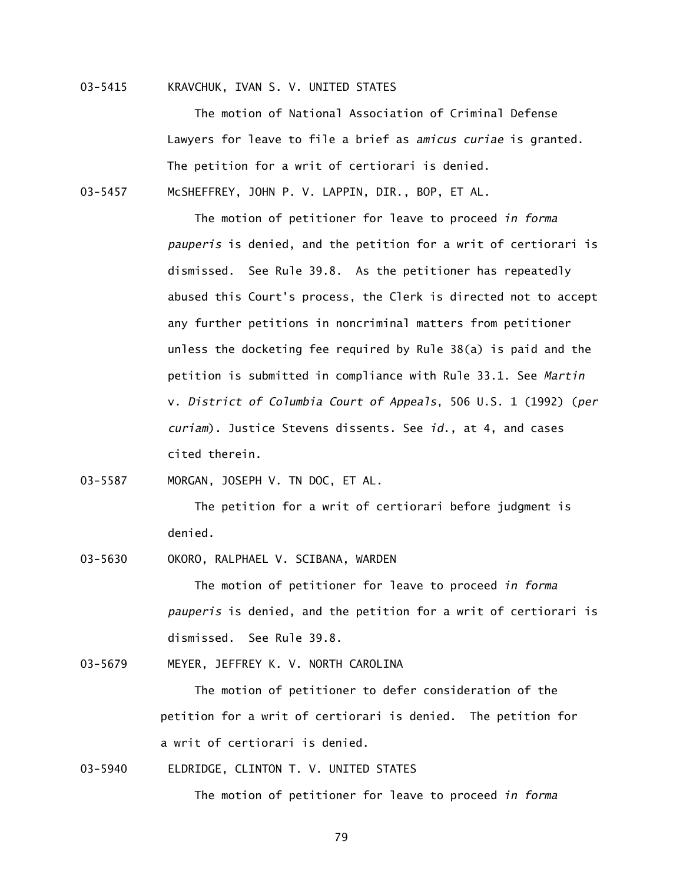## 03-5415 KRAVCHUK, IVAN S. V. UNITED STATES

The motion of National Association of Criminal Defense Lawyers for leave to file a brief as *amicus curiae* is granted. The petition for a writ of certiorari is denied. 03-5457 McSHEFFREY, JOHN P. V. LAPPIN, DIR., BOP, ET AL.

> The motion of petitioner for leave to proceed *in forma pauperis* is denied, and the petition for a writ of certiorari is dismissed. See Rule 39.8. As the petitioner has repeatedly abused this Court's process, the Clerk is directed not to accept any further petitions in noncriminal matters from petitioner unless the docketing fee required by Rule 38(a) is paid and the petition is submitted in compliance with Rule 33.1. See *Martin*  v. *District of Columbia Court of Appeals*, 506 U.S. 1 (1992) (*per curiam*). Justice Stevens dissents. See *id*., at 4, and cases cited therein.

03-5587 MORGAN, JOSEPH V. TN DOC, ET AL.

The petition for a writ of certiorari before judgment is denied.

03-5630 OKORO, RALPHAEL V. SCIBANA, WARDEN

The motion of petitioner for leave to proceed *in forma pauperis* is denied, and the petition for a writ of certiorari is dismissed. See Rule 39.8.

03-5679 MEYER, JEFFREY K. V. NORTH CAROLINA

The motion of petitioner to defer consideration of the petition for a writ of certiorari is denied. The petition for a writ of certiorari is denied.

03-5940 ELDRIDGE, CLINTON T. V. UNITED STATES

The motion of petitioner for leave to proceed *in forma*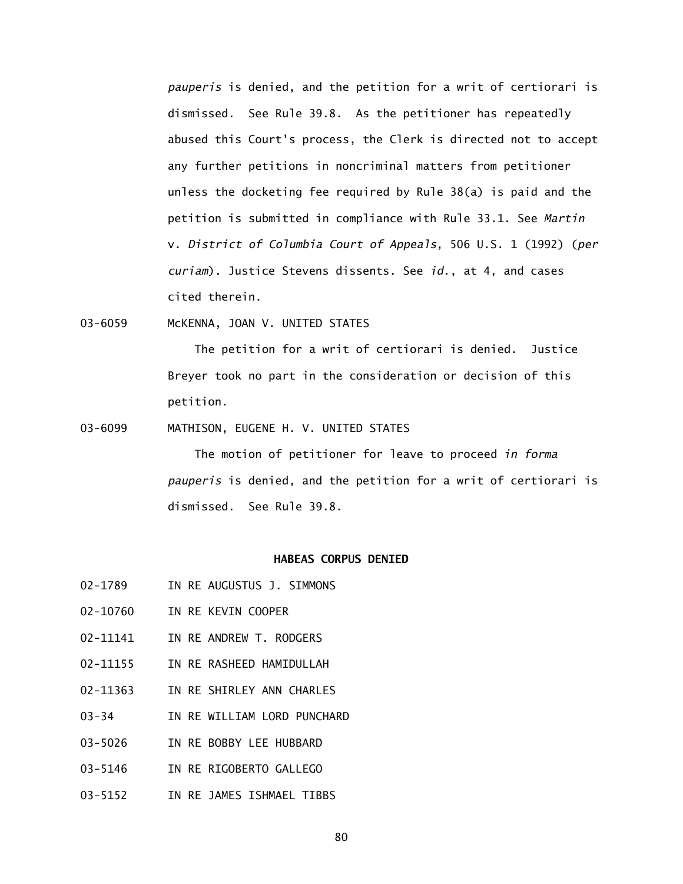*pauperis* is denied, and the petition for a writ of certiorari is dismissed. See Rule 39.8. As the petitioner has repeatedly abused this Court's process, the Clerk is directed not to accept any further petitions in noncriminal matters from petitioner unless the docketing fee required by Rule 38(a) is paid and the petition is submitted in compliance with Rule 33.1. See *Martin*  v. *District of Columbia Court of Appeals*, 506 U.S. 1 (1992) (*per curiam*). Justice Stevens dissents. See *id*., at 4, and cases cited therein.

03-6059 McKENNA, JOAN V. UNITED STATES

The petition for a writ of certiorari is denied. Justice Breyer took no part in the consideration or decision of this petition.

03-6099 MATHISON, EUGENE H. V. UNITED STATES

The motion of petitioner for leave to proceed *in forma pauperis* is denied, and the petition for a writ of certiorari is dismissed. See Rule 39.8.

## **HABEAS CORPUS DENIED**

- 02-1789 IN RE AUGUSTUS J. SIMMONS
- 02-10760 IN RE KEVIN COOPER
- 02-11141 IN RE ANDREW T. RODGERS
- 02-11155 IN RE RASHEED HAMIDULLAH
- 02-11363 IN RE SHIRLEY ANN CHARLES
- 03-34 IN RE WILLIAM LORD PUNCHARD
- 03-5026 IN RE BOBBY LEE HUBBARD
- 03-5146 IN RE RIGOBERTO GALLEGO
- 03-5152 IN RE JAMES ISHMAEL TIBBS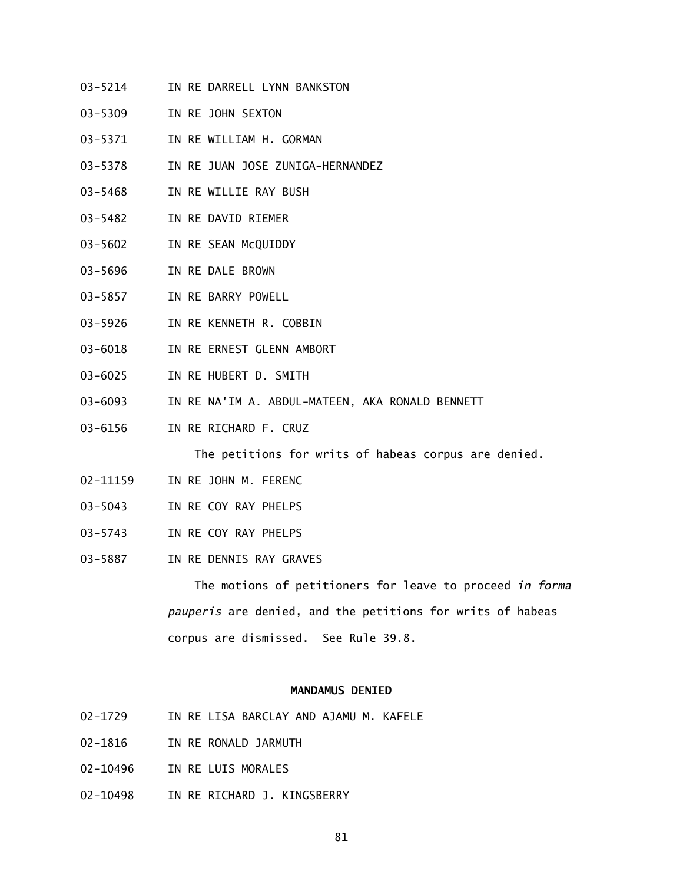- 03-5214 IN RE DARRELL LYNN BANKSTON
- 03-5309 IN RE JOHN SEXTON
- 03-5371 IN RE WILLIAM H. GORMAN
- 03-5378 IN RE JUAN JOSE ZUNIGA-HERNANDEZ
- 03-5468 IN RE WILLIE RAY BUSH
- 03-5482 IN RE DAVID RIEMER
- 03-5602 IN RE SEAN McQUIDDY
- 03-5696 IN RE DALE BROWN
- 03-5857 IN RE BARRY POWELL
- 03-5926 IN RE KENNETH R. COBBIN
- 03-6018 IN RE ERNEST GLENN AMBORT
- 03-6025 IN RE HUBERT D. SMITH
- 03-6093 IN RE NA'IM A. ABDUL-MATEEN, AKA RONALD BENNETT
- 03-6156 IN RE RICHARD F. CRUZ

The petitions for writs of habeas corpus are denied.

- 02-11159 IN RE JOHN M. FERENC
- 03-5043 IN RE COY RAY PHELPS
- 03-5743 IN RE COY RAY PHELPS
- 03-5887 IN RE DENNIS RAY GRAVES

The motions of petitioners for leave to proceed *in forma pauperis* are denied, and the petitions for writs of habeas corpus are dismissed. See Rule 39.8.

## **MANDAMUS DENIED**

- 02-1729 IN RE LISA BARCLAY AND AJAMU M. KAFELE
- 02-1816 IN RE RONALD JARMUTH
- 02-10496 IN RE LUIS MORALES
- 02-10498 IN RE RICHARD J. KINGSBERRY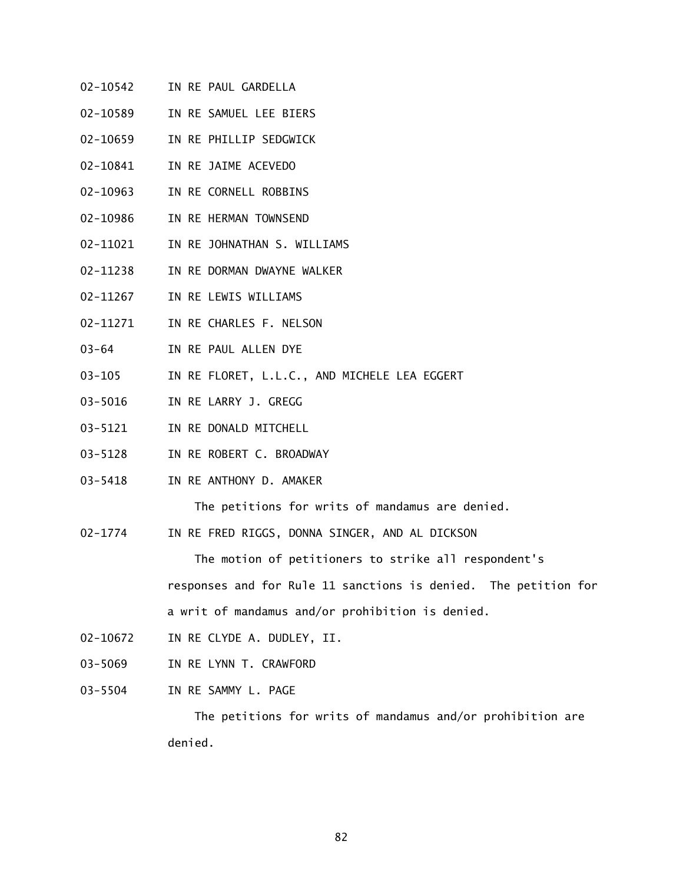- 02-10542 IN RE PAUL GARDELLA
- 02-10589 IN RE SAMUEL LEE BIERS
- 02-10659 IN RE PHILLIP SEDGWICK
- 02-10841 IN RE JAIME ACEVEDO
- 02-10963 IN RE CORNELL ROBBINS
- 02-10986 IN RE HERMAN TOWNSEND
- 02-11021 IN RE JOHNATHAN S. WILLIAMS
- 02-11238 IN RE DORMAN DWAYNE WALKER
- 02-11267 IN RE LEWIS WILLIAMS
- 02-11271 IN RE CHARLES F. NELSON
- 03-64 IN RE PAUL ALLEN DYE
- 03-105 IN RE FLORET, L.L.C., AND MICHELE LEA EGGERT
- 03-5016 IN RE LARRY J. GREGG
- 03-5121 IN RE DONALD MITCHELL
- 03-5128 IN RE ROBERT C. BROADWAY
- 03-5418 IN RE ANTHONY D. AMAKER

The petitions for writs of mandamus are denied.

02-1774 IN RE FRED RIGGS, DONNA SINGER, AND AL DICKSON

The motion of petitioners to strike all respondent's

responses and for Rule 11 sanctions is denied. The petition for a writ of mandamus and/or prohibition is denied.

- 02-10672 IN RE CLYDE A. DUDLEY, II.
- 03-5069 IN RE LYNN T. CRAWFORD
- 03-5504 IN RE SAMMY L. PAGE

The petitions for writs of mandamus and/or prohibition are denied.